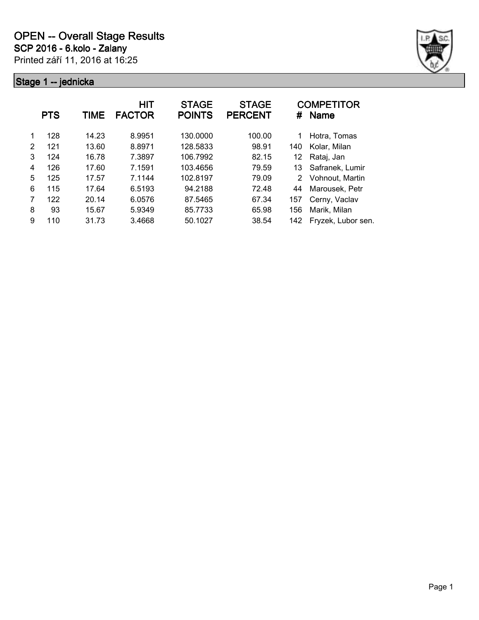

|   | <b>PTS</b> | TIME  | HIT<br><b>FACTOR</b> | <b>STAGE</b><br><b>POINTS</b> | <b>STAGE</b><br><b>PERCENT</b> | #   | <b>COMPETITOR</b><br><b>Name</b> |
|---|------------|-------|----------------------|-------------------------------|--------------------------------|-----|----------------------------------|
| 1 | 128        | 14.23 | 8.9951               | 130.0000                      | 100.00                         | 1   | Hotra, Tomas                     |
| 2 | 121        | 13.60 | 8.8971               | 128.5833                      | 98.91                          | 140 | Kolar, Milan                     |
| 3 | 124        | 16.78 | 7.3897               | 106.7992                      | 82.15                          | 12  | Rataj, Jan                       |
| 4 | 126        | 17.60 | 7.1591               | 103.4656                      | 79.59                          | 13  | Safranek, Lumir                  |
| 5 | 125        | 17.57 | 7.1144               | 102.8197                      | 79.09                          | 2   | Vohnout, Martin                  |
| 6 | 115        | 17.64 | 6.5193               | 94.2188                       | 72.48                          | 44  | Marousek, Petr                   |
| 7 | 122        | 20.14 | 6.0576               | 87.5465                       | 67.34                          | 157 | Cerny, Vaclav                    |
| 8 | 93         | 15.67 | 5.9349               | 85.7733                       | 65.98                          | 156 | Marik, Milan                     |
| 9 | 110        | 31.73 | 3.4668               | 50.1027                       | 38.54                          | 142 | Fryzek, Lubor sen.               |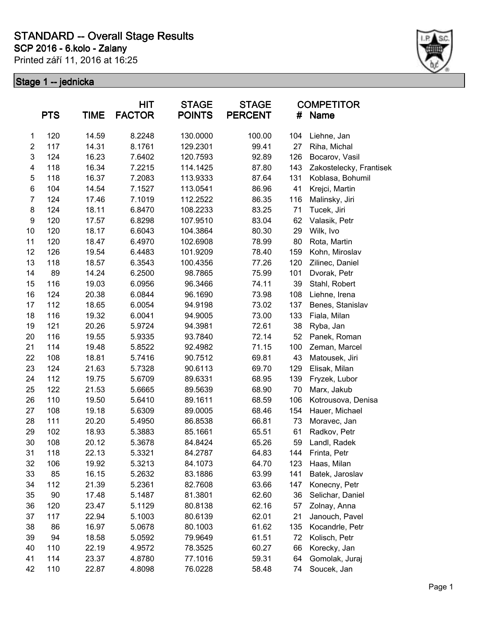### **SCP 2016 - 6.kolo - Zalany STANDARD -- Overall Stage Results**

Printed září 11, 2016 at 16:25



|                  | <b>PTS</b> | <b>TIME</b> | HIT<br><b>FACTOR</b> | <b>STAGE</b><br><b>POINTS</b> | <b>STAGE</b><br><b>PERCENT</b> | #   | <b>COMPETITOR</b><br><b>Name</b> |
|------------------|------------|-------------|----------------------|-------------------------------|--------------------------------|-----|----------------------------------|
| $\mathbf 1$      | 120        | 14.59       | 8.2248               | 130.0000                      | 100.00                         | 104 | Liehne, Jan                      |
| $\overline{c}$   | 117        | 14.31       | 8.1761               | 129.2301                      | 99.41                          | 27  | Riha, Michal                     |
| 3                | 124        | 16.23       | 7.6402               | 120.7593                      | 92.89                          | 126 | Bocarov, Vasil                   |
| 4                | 118        | 16.34       | 7.2215               | 114.1425                      | 87.80                          | 143 | Zakostelecky, Frantisek          |
| 5                | 118        | 16.37       | 7.2083               | 113.9333                      | 87.64                          | 131 | Koblasa, Bohumil                 |
| 6                | 104        | 14.54       | 7.1527               | 113.0541                      | 86.96                          | 41  | Krejci, Martin                   |
| 7                | 124        | 17.46       | 7.1019               | 112.2522                      | 86.35                          | 116 | Malinsky, Jiri                   |
| 8                | 124        | 18.11       | 6.8470               | 108.2233                      | 83.25                          | 71  | Tucek, Jiri                      |
| $\boldsymbol{9}$ | 120        | 17.57       | 6.8298               | 107.9510                      | 83.04                          | 62  | Valasik, Petr                    |
| 10               | 120        | 18.17       | 6.6043               | 104.3864                      | 80.30                          | 29  | Wilk, Ivo                        |
| 11               | 120        | 18.47       | 6.4970               | 102.6908                      | 78.99                          | 80  | Rota, Martin                     |
| 12               | 126        | 19.54       | 6.4483               | 101.9209                      | 78.40                          | 159 | Kohn, Miroslav                   |
| 13               | 118        | 18.57       | 6.3543               | 100.4356                      | 77.26                          | 120 | Zilinec, Daniel                  |
| 14               | 89         | 14.24       | 6.2500               | 98.7865                       | 75.99                          | 101 | Dvorak, Petr                     |
| 15               | 116        | 19.03       | 6.0956               | 96.3466                       | 74.11                          | 39  | Stahl, Robert                    |
| 16               | 124        | 20.38       | 6.0844               | 96.1690                       | 73.98                          | 108 | Liehne, Irena                    |
| 17               | 112        | 18.65       | 6.0054               | 94.9198                       | 73.02                          | 137 | Benes, Stanislav                 |
| 18               | 116        | 19.32       | 6.0041               | 94.9005                       | 73.00                          | 133 | Fiala, Milan                     |
| 19               | 121        | 20.26       | 5.9724               | 94.3981                       | 72.61                          | 38  | Ryba, Jan                        |
| 20               | 116        | 19.55       | 5.9335               | 93.7840                       | 72.14                          | 52  | Panek, Roman                     |
| 21               | 114        | 19.48       | 5.8522               | 92.4982                       | 71.15                          | 100 | Zeman, Marcel                    |
| 22               | 108        | 18.81       | 5.7416               | 90.7512                       | 69.81                          | 43  | Matousek, Jiri                   |
| 23               | 124        | 21.63       | 5.7328               | 90.6113                       | 69.70                          | 129 | Elisak, Milan                    |
| 24               | 112        | 19.75       | 5.6709               | 89.6331                       | 68.95                          | 139 | Fryzek, Lubor                    |
| 25               | 122        | 21.53       | 5.6665               | 89.5639                       | 68.90                          | 70  | Marx, Jakub                      |
| 26               | 110        | 19.50       | 5.6410               | 89.1611                       | 68.59                          | 106 | Kotrousova, Denisa               |
| 27               | 108        | 19.18       | 5.6309               | 89.0005                       | 68.46                          | 154 | Hauer, Michael                   |
| 28               | 111        | 20.20       | 5.4950               | 86.8538                       | 66.81                          | 73  | Moravec, Jan                     |
| 29               | 102        | 18.93       | 5.3883               | 85.1661                       | 65.51                          | 61  | Radkov, Petr                     |
| 30               | 108        | 20.12       | 5.3678               | 84.8424                       | 65.26                          | 59  | Landl, Radek                     |
| 31               | 118        | 22.13       | 5.3321               | 84.2787                       | 64.83                          | 144 | Frinta, Petr                     |
| 32               | 106        | 19.92       | 5.3213               | 84.1073                       | 64.70                          | 123 | Haas, Milan                      |
| 33               | 85         | 16.15       | 5.2632               | 83.1886                       | 63.99                          | 141 | Batek, Jaroslav                  |
| 34               | 112        | 21.39       | 5.2361               | 82.7608                       | 63.66                          | 147 | Konecny, Petr                    |
| 35               | 90         | 17.48       | 5.1487               | 81.3801                       | 62.60                          | 36  | Selichar, Daniel                 |
| 36               | 120        | 23.47       | 5.1129               | 80.8138                       | 62.16                          | 57  | Zolnay, Anna                     |
| 37               | 117        | 22.94       | 5.1003               | 80.6139                       | 62.01                          | 21  | Janouch, Pavel                   |
| 38               | 86         | 16.97       | 5.0678               | 80.1003                       | 61.62                          | 135 | Kocandrle, Petr                  |
| 39               | 94         | 18.58       | 5.0592               | 79.9649                       | 61.51                          | 72  | Kolisch, Petr                    |
| 40               | 110        | 22.19       | 4.9572               | 78.3525                       | 60.27                          | 66  | Korecky, Jan                     |
| 41               | 114        | 23.37       | 4.8780               | 77.1016                       | 59.31                          | 64  | Gomolak, Juraj                   |
| 42               | 110        | 22.87       | 4.8098               | 76.0228                       | 58.48                          | 74  | Soucek, Jan                      |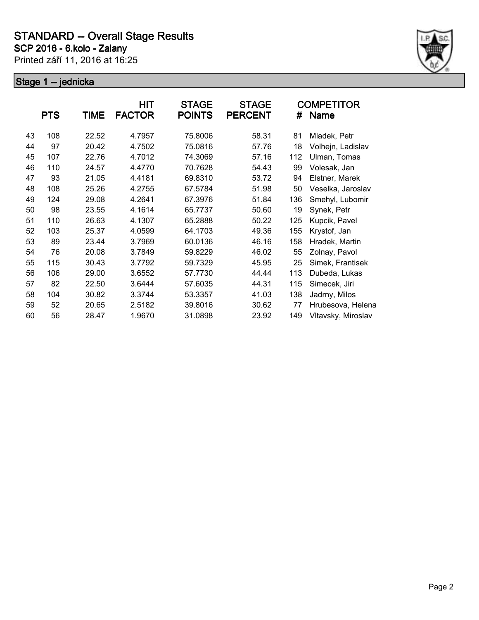

|    | <b>PTS</b> | TIME  | HIT<br><b>FACTOR</b> | <b>STAGE</b><br><b>POINTS</b> | <b>STAGE</b><br><b>PERCENT</b> | #   | <b>COMPETITOR</b><br>Name |
|----|------------|-------|----------------------|-------------------------------|--------------------------------|-----|---------------------------|
| 43 | 108        | 22.52 | 4.7957               | 75.8006                       | 58.31                          | 81  | Mladek, Petr              |
| 44 | 97         | 20.42 | 4.7502               | 75.0816                       | 57.76                          | 18  | Volhejn, Ladislav         |
| 45 | 107        | 22.76 | 4.7012               | 74.3069                       | 57.16                          | 112 | Ulman, Tomas              |
| 46 | 110        | 24.57 | 4.4770               | 70.7628                       | 54.43                          | 99  | Volesak, Jan              |
| 47 | 93         | 21.05 | 4.4181               | 69.8310                       | 53.72                          | 94  | Elstner, Marek            |
| 48 | 108        | 25.26 | 4.2755               | 67.5784                       | 51.98                          | 50  | Veselka, Jaroslav         |
| 49 | 124        | 29.08 | 4.2641               | 67.3976                       | 51.84                          | 136 | Smehyl, Lubomir           |
| 50 | 98         | 23.55 | 4.1614               | 65.7737                       | 50.60                          | 19  | Synek, Petr               |
| 51 | 110        | 26.63 | 4.1307               | 65.2888                       | 50.22                          | 125 | Kupcik, Pavel             |
| 52 | 103        | 25.37 | 4.0599               | 64.1703                       | 49.36                          | 155 | Krystof, Jan              |
| 53 | 89         | 23.44 | 3.7969               | 60.0136                       | 46.16                          | 158 | Hradek, Martin            |
| 54 | 76         | 20.08 | 3.7849               | 59.8229                       | 46.02                          | 55  | Zolnay, Pavol             |
| 55 | 115        | 30.43 | 3.7792               | 59.7329                       | 45.95                          | 25  | Simek, Frantisek          |
| 56 | 106        | 29.00 | 3.6552               | 57.7730                       | 44.44                          | 113 | Dubeda, Lukas             |
| 57 | 82         | 22.50 | 3.6444               | 57.6035                       | 44.31                          | 115 | Simecek, Jiri             |
| 58 | 104        | 30.82 | 3.3744               | 53.3357                       | 41.03                          | 138 | Jadrny, Milos             |
| 59 | 52         | 20.65 | 2.5182               | 39.8016                       | 30.62                          | 77  | Hrubesova, Helena         |
| 60 | 56         | 28.47 | 1.9670               | 31.0898                       | 23.92                          | 149 | Vltavsky, Miroslav        |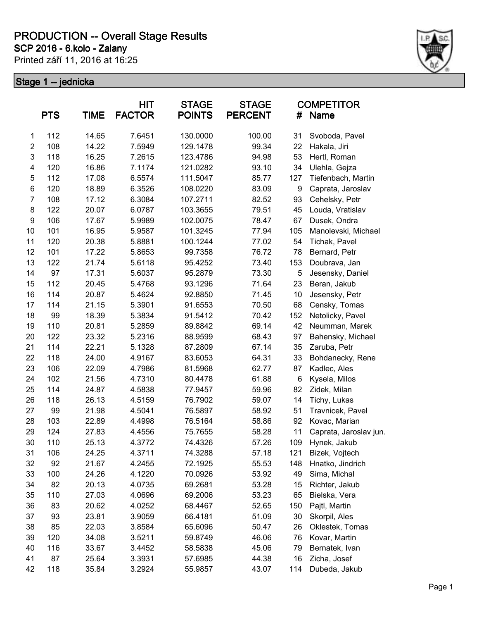**SCP 2016 - 6.kolo - Zalany**

Printed září 11, 2016 at 16:25



|                | <b>PTS</b> | <b>TIME</b> | <b>HIT</b><br><b>FACTOR</b> | <b>STAGE</b><br><b>POINTS</b> | <b>STAGE</b><br><b>PERCENT</b> | #   | <b>COMPETITOR</b><br>Name |
|----------------|------------|-------------|-----------------------------|-------------------------------|--------------------------------|-----|---------------------------|
| $\mathbf{1}$   | 112        | 14.65       | 7.6451                      | 130.0000                      | 100.00                         | 31  | Svoboda, Pavel            |
| $\overline{c}$ | 108        | 14.22       | 7.5949                      | 129.1478                      | 99.34                          | 22  | Hakala, Jiri              |
| $\mathsf 3$    | 118        | 16.25       | 7.2615                      | 123.4786                      | 94.98                          | 53  | Hertl, Roman              |
| 4              | 120        | 16.86       | 7.1174                      | 121.0282                      | 93.10                          | 34  | Ulehla, Gejza             |
| 5              | 112        | 17.08       | 6.5574                      | 111.5047                      | 85.77                          | 127 | Tiefenbach, Martin        |
| 6              | 120        | 18.89       | 6.3526                      | 108.0220                      | 83.09                          | 9   | Caprata, Jaroslav         |
| $\overline{7}$ | 108        | 17.12       | 6.3084                      | 107.2711                      | 82.52                          | 93  | Cehelsky, Petr            |
| 8              | 122        | 20.07       | 6.0787                      | 103.3655                      | 79.51                          | 45  | Louda, Vratislav          |
| 9              | 106        | 17.67       | 5.9989                      | 102.0075                      | 78.47                          | 67  | Dusek, Ondra              |
| 10             | 101        | 16.95       | 5.9587                      | 101.3245                      | 77.94                          | 105 | Manolevski, Michael       |
| 11             | 120        | 20.38       | 5.8881                      | 100.1244                      | 77.02                          | 54  | Tichak, Pavel             |
| 12             | 101        | 17.22       | 5.8653                      | 99.7358                       | 76.72                          | 78  | Bernard, Petr             |
| 13             | 122        | 21.74       | 5.6118                      | 95.4252                       | 73.40                          | 153 | Doubrava, Jan             |
| 14             | 97         | 17.31       | 5.6037                      | 95.2879                       | 73.30                          | 5   | Jesensky, Daniel          |
| 15             | 112        | 20.45       | 5.4768                      | 93.1296                       | 71.64                          | 23  | Beran, Jakub              |
| 16             | 114        | 20.87       | 5.4624                      | 92.8850                       | 71.45                          | 10  | Jesensky, Petr            |
| 17             | 114        | 21.15       | 5.3901                      | 91.6553                       | 70.50                          | 68  | Censky, Tomas             |
| 18             | 99         | 18.39       | 5.3834                      | 91.5412                       | 70.42                          | 152 | Netolicky, Pavel          |
| 19             | 110        | 20.81       | 5.2859                      | 89.8842                       | 69.14                          | 42  | Neumman, Marek            |
| 20             | 122        | 23.32       | 5.2316                      | 88.9599                       | 68.43                          | 97  | Bahensky, Michael         |
| 21             | 114        | 22.21       | 5.1328                      | 87.2809                       | 67.14                          | 35  | Zaruba, Petr              |
| 22             | 118        | 24.00       | 4.9167                      | 83.6053                       | 64.31                          | 33  | Bohdanecky, Rene          |
| 23             | 106        | 22.09       | 4.7986                      | 81.5968                       | 62.77                          | 87  | Kadlec, Ales              |
| 24             | 102        | 21.56       | 4.7310                      | 80.4478                       | 61.88                          | 6   | Kysela, Milos             |
| 25             | 114        | 24.87       | 4.5838                      | 77.9457                       | 59.96                          | 82  | Zidek, Milan              |
| 26             | 118        | 26.13       | 4.5159                      | 76.7902                       | 59.07                          | 14  | Tichy, Lukas              |
| 27             | 99         | 21.98       | 4.5041                      | 76.5897                       | 58.92                          | 51  | Travnicek, Pavel          |
| 28             | 103        | 22.89       | 4.4998                      | 76.5164                       | 58.86                          | 92  | Kovac, Marian             |
| 29             | 124        | 27.83       | 4.4556                      | 75.7655                       | 58.28                          | 11  | Caprata, Jaroslav jun.    |
| 30             | 110        | 25.13       | 4.3772                      | 74.4326                       | 57.26                          | 109 | Hynek, Jakub              |
| 31             | 106        | 24.25       | 4.3711                      | 74.3288                       | 57.18                          | 121 | Bizek, Vojtech            |
| 32             | 92         | 21.67       | 4.2455                      | 72.1925                       | 55.53                          | 148 | Hnatko, Jindrich          |
| 33             | 100        | 24.26       | 4.1220                      | 70.0926                       | 53.92                          | 49  | Sima, Michal              |
| 34             | 82         | 20.13       | 4.0735                      | 69.2681                       | 53.28                          | 15  | Richter, Jakub            |
| 35             | 110        | 27.03       | 4.0696                      | 69.2006                       | 53.23                          | 65  | Bielska, Vera             |
| 36             | 83         | 20.62       | 4.0252                      | 68.4467                       | 52.65                          | 150 | Pajtl, Martin             |
| 37             | 93         | 23.81       | 3.9059                      | 66.4181                       | 51.09                          | 30  | Skorpil, Ales             |
| 38             | 85         | 22.03       | 3.8584                      | 65.6096                       | 50.47                          | 26  | Oklestek, Tomas           |
| 39             | 120        | 34.08       | 3.5211                      | 59.8749                       | 46.06                          | 76  | Kovar, Martin             |
| 40             | 116        | 33.67       | 3.4452                      | 58.5838                       | 45.06                          | 79  | Bernatek, Ivan            |
| 41             | 87         | 25.64       | 3.3931                      | 57.6985                       | 44.38                          | 16  | Zicha, Josef              |
| 42             | 118        | 35.84       | 3.2924                      | 55.9857                       | 43.07                          | 114 | Dubeda, Jakub             |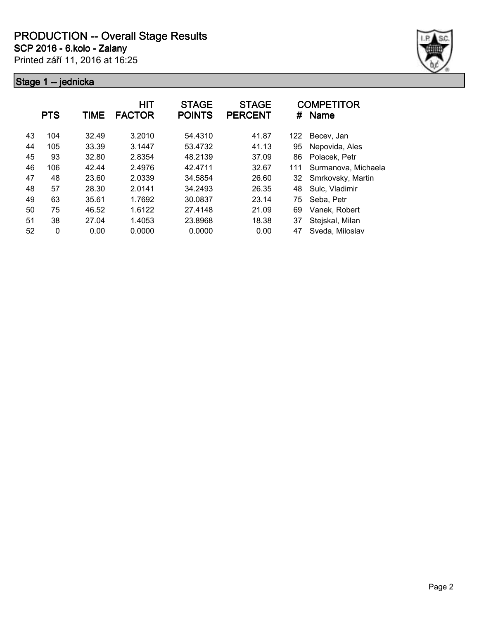**SCP 2016 - 6.kolo - Zalany**

Printed září 11, 2016 at 16:25



|    | <b>PTS</b> | TIME  | <b>HIT</b><br><b>FACTOR</b> | <b>STAGE</b><br><b>POINTS</b> | <b>STAGE</b><br><b>PERCENT</b> | #   | <b>COMPETITOR</b><br><b>Name</b> |
|----|------------|-------|-----------------------------|-------------------------------|--------------------------------|-----|----------------------------------|
| 43 | 104        | 32.49 | 3.2010                      | 54.4310                       | 41.87                          | 122 | Becev, Jan                       |
| 44 | 105        | 33.39 | 3.1447                      | 53.4732                       | 41.13                          | 95  | Nepovida, Ales                   |
| 45 | 93         | 32.80 | 2.8354                      | 48.2139                       | 37.09                          | 86  | Polacek, Petr                    |
| 46 | 106        | 42.44 | 2.4976                      | 42.4711                       | 32.67                          | 111 | Surmanova, Michaela              |
| 47 | 48         | 23.60 | 2.0339                      | 34.5854                       | 26.60                          | 32  | Smrkovsky, Martin                |
| 48 | 57         | 28.30 | 2.0141                      | 34.2493                       | 26.35                          | 48  | Sulc, Vladimir                   |
| 49 | 63         | 35.61 | 1.7692                      | 30.0837                       | 23.14                          | 75  | Seba, Petr                       |
| 50 | 75         | 46.52 | 1.6122                      | 27.4148                       | 21.09                          | 69  | Vanek, Robert                    |
| 51 | 38         | 27.04 | 1.4053                      | 23.8968                       | 18.38                          | 37  | Stejskal, Milan                  |
| 52 | 0          | 0.00  | 0.0000                      | 0.0000                        | 0.00                           | 47  | Sveda, Miloslav                  |
|    |            |       |                             |                               |                                |     |                                  |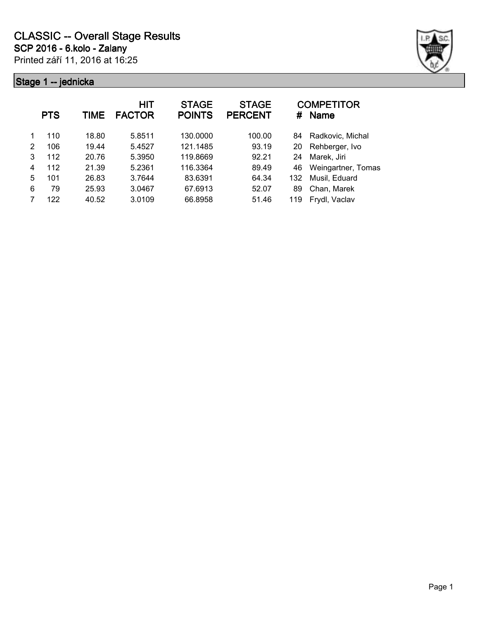

|   | <b>PTS</b> | TIME  | HIT<br><b>FACTOR</b> | <b>STAGE</b><br><b>POINTS</b> | <b>STAGE</b><br><b>PERCENT</b> | #   | <b>COMPETITOR</b><br><b>Name</b> |
|---|------------|-------|----------------------|-------------------------------|--------------------------------|-----|----------------------------------|
| 1 | 110        | 18.80 | 5.8511               | 130.0000                      | 100.00                         | 84  | Radkovic, Michal                 |
| 2 | 106        | 19.44 | 5.4527               | 121.1485                      | 93.19                          | 20  | Rehberger, Ivo                   |
| 3 | 112        | 20.76 | 5.3950               | 119.8669                      | 92.21                          | 24  | Marek, Jiri                      |
| 4 | 112        | 21.39 | 5.2361               | 116.3364                      | 89.49                          | 46  | Weingartner, Tomas               |
| 5 | 101        | 26.83 | 3.7644               | 83.6391                       | 64.34                          | 132 | Musil, Eduard                    |
| 6 | 79         | 25.93 | 3.0467               | 67.6913                       | 52.07                          | 89  | Chan, Marek                      |
|   | 122        | 40.52 | 3.0109               | 66.8958                       | 51.46                          | 119 | Frydl, Vaclav                    |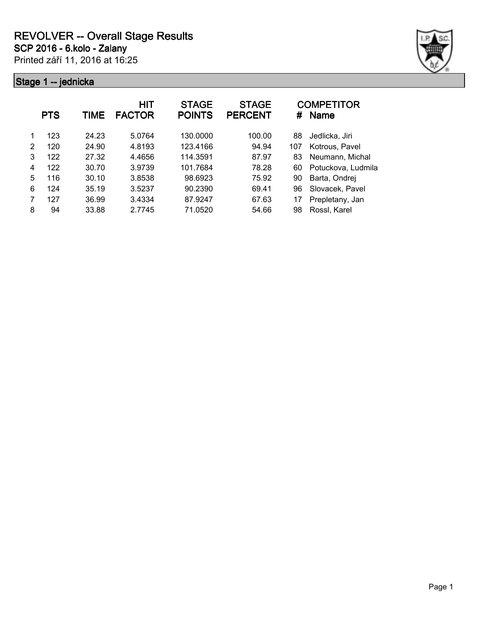

|   | <b>PTS</b> | TIME  | HIT<br><b>FACTOR</b> | <b>STAGE</b><br><b>POINTS</b> | <b>STAGE</b><br><b>PERCENT</b> | #   | <b>COMPETITOR</b><br><b>Name</b> |
|---|------------|-------|----------------------|-------------------------------|--------------------------------|-----|----------------------------------|
|   | 123        | 24.23 | 5.0764               | 130,0000                      | 100.00                         | 88  | Jedlicka, Jiri                   |
| 2 | 120        | 24.90 | 4.8193               | 123.4166                      | 94.94                          | 107 | Kotrous, Pavel                   |
| 3 | 122        | 27.32 | 4.4656               | 114.3591                      | 87.97                          | 83  | Neumann, Michal                  |
| 4 | 122        | 30.70 | 3.9739               | 101.7684                      | 78.28                          | 60  | Potuckova, Ludmila               |
| 5 | 116        | 30.10 | 3.8538               | 98.6923                       | 75.92                          | 90  | Barta, Ondrej                    |
| 6 | 124        | 35.19 | 3.5237               | 90.2390                       | 69.41                          | 96  | Slovacek, Pavel                  |
| 7 | 127        | 36.99 | 3.4334               | 87.9247                       | 67.63                          | 17  | Prepletany, Jan                  |
| 8 | 94         | 33.88 | 2.7745               | 71.0520                       | 54.66                          | 98  | Rossl, Karel                     |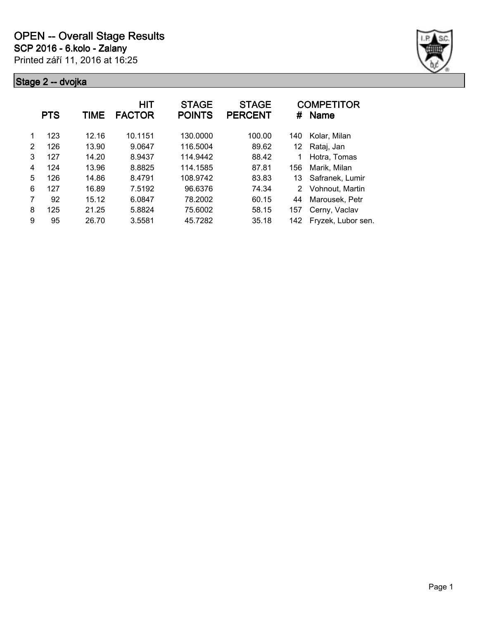

|   | <b>PTS</b> | TIME  | <b>HIT</b><br><b>FACTOR</b> | <b>STAGE</b><br><b>POINTS</b> | <b>STAGE</b><br><b>PERCENT</b> | #             | <b>COMPETITOR</b><br><b>Name</b> |
|---|------------|-------|-----------------------------|-------------------------------|--------------------------------|---------------|----------------------------------|
| 1 | 123        | 12.16 | 10.1151                     | 130.0000                      | 100.00                         | 140           | Kolar, Milan                     |
| 2 | 126        | 13.90 | 9.0647                      | 116.5004                      | 89.62                          | 12            | Rataj, Jan                       |
| 3 | 127        | 14.20 | 8.9437                      | 114.9442                      | 88.42                          | 1             | Hotra, Tomas                     |
| 4 | 124        | 13.96 | 8.8825                      | 114.1585                      | 87.81                          | 156           | Marik, Milan                     |
| 5 | 126        | 14.86 | 8.4791                      | 108.9742                      | 83.83                          | 13            | Safranek, Lumir                  |
| 6 | 127        | 16.89 | 7.5192                      | 96.6376                       | 74.34                          | $\mathcal{P}$ | Vohnout, Martin                  |
| 7 | 92         | 15.12 | 6.0847                      | 78.2002                       | 60.15                          | 44            | Marousek, Petr                   |
| 8 | 125        | 21.25 | 5.8824                      | 75.6002                       | 58.15                          | 157           | Cerny, Vaclav                    |
| 9 | 95         | 26.70 | 3.5581                      | 45.7282                       | 35.18                          | 142           | Fryzek, Lubor sen.               |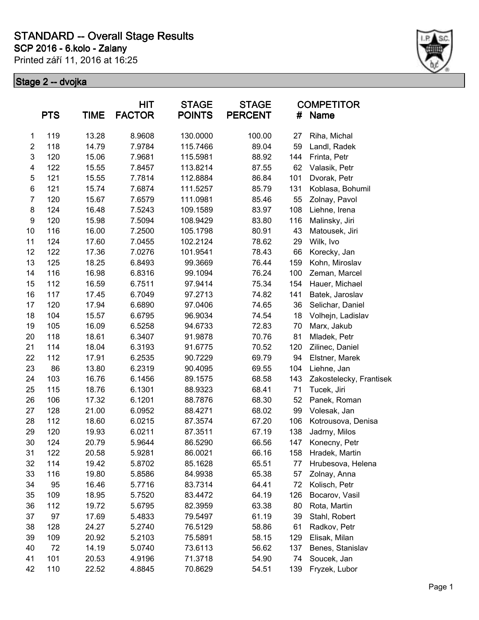### **SCP 2016 - 6.kolo - Zalany STANDARD -- Overall Stage Results**

Printed září 11, 2016 at 16:25



| <b>PTS</b>              |     | <b>TIME</b> | HIT<br><b>FACTOR</b> | <b>STAGE</b><br><b>POINTS</b> | <b>STAGE</b><br><b>PERCENT</b> | #   | <b>COMPETITOR</b><br><b>Name</b> |
|-------------------------|-----|-------------|----------------------|-------------------------------|--------------------------------|-----|----------------------------------|
| 1                       | 119 | 13.28       | 8.9608               | 130.0000                      | 100.00                         | 27  | Riha, Michal                     |
| $\overline{\mathbf{c}}$ | 118 | 14.79       | 7.9784               | 115.7466                      | 89.04                          | 59  | Landl, Radek                     |
| 3                       | 120 | 15.06       | 7.9681               | 115.5981                      | 88.92                          | 144 | Frinta, Petr                     |
| 4                       | 122 | 15.55       | 7.8457               | 113.8214                      | 87.55                          | 62  | Valasik, Petr                    |
| 5                       | 121 | 15.55       | 7.7814               | 112.8884                      | 86.84                          | 101 | Dvorak, Petr                     |
| $\,6$                   | 121 | 15.74       | 7.6874               | 111.5257                      | 85.79                          | 131 | Koblasa, Bohumil                 |
| $\overline{7}$          | 120 | 15.67       | 7.6579               | 111.0981                      | 85.46                          | 55  | Zolnay, Pavol                    |
| 8                       | 124 | 16.48       | 7.5243               | 109.1589                      | 83.97                          | 108 | Liehne, Irena                    |
| $\boldsymbol{9}$        | 120 | 15.98       | 7.5094               | 108.9429                      | 83.80                          | 116 | Malinsky, Jiri                   |
| 10                      | 116 | 16.00       | 7.2500               | 105.1798                      | 80.91                          | 43  | Matousek, Jiri                   |
| 11                      | 124 | 17.60       | 7.0455               | 102.2124                      | 78.62                          | 29  | Wilk, Ivo                        |
| 12                      | 122 | 17.36       | 7.0276               | 101.9541                      | 78.43                          | 66  | Korecky, Jan                     |
| 13                      | 125 | 18.25       | 6.8493               | 99.3669                       | 76.44                          | 159 | Kohn, Miroslav                   |
| 14                      | 116 | 16.98       | 6.8316               | 99.1094                       | 76.24                          | 100 | Zeman, Marcel                    |
| 15                      | 112 | 16.59       | 6.7511               | 97.9414                       | 75.34                          | 154 | Hauer, Michael                   |
| 16                      | 117 | 17.45       | 6.7049               | 97.2713                       | 74.82                          | 141 | Batek, Jaroslav                  |
| 17                      | 120 | 17.94       | 6.6890               | 97.0406                       | 74.65                          | 36  | Selichar, Daniel                 |
| 18                      | 104 | 15.57       | 6.6795               | 96.9034                       | 74.54                          | 18  | Volhejn, Ladislav                |
| 19                      | 105 | 16.09       | 6.5258               | 94.6733                       | 72.83                          | 70  | Marx, Jakub                      |
| 20                      | 118 | 18.61       | 6.3407               | 91.9878                       | 70.76                          | 81  | Mladek, Petr                     |
| 21                      | 114 | 18.04       | 6.3193               | 91.6775                       | 70.52                          | 120 | Zilinec, Daniel                  |
| 22                      | 112 | 17.91       | 6.2535               | 90.7229                       | 69.79                          | 94  | Elstner, Marek                   |
| 23                      | 86  | 13.80       | 6.2319               | 90.4095                       | 69.55                          | 104 | Liehne, Jan                      |
| 24                      | 103 | 16.76       | 6.1456               | 89.1575                       | 68.58                          | 143 | Zakostelecky, Frantisek          |
| 25                      | 115 | 18.76       | 6.1301               | 88.9323                       | 68.41                          | 71  | Tucek, Jiri                      |
| 26                      | 106 | 17.32       | 6.1201               | 88.7876                       | 68.30                          | 52  | Panek, Roman                     |
| 27                      | 128 | 21.00       | 6.0952               | 88.4271                       | 68.02                          | 99  | Volesak, Jan                     |
| 28                      | 112 | 18.60       | 6.0215               | 87.3574                       | 67.20                          | 106 | Kotrousova, Denisa               |
| 29                      | 120 | 19.93       | 6.0211               | 87.3511                       | 67.19                          | 138 | Jadrny, Milos                    |
| 30                      | 124 | 20.79       | 5.9644               | 86.5290                       | 66.56                          | 147 | Konecny, Petr                    |
| 31                      | 122 | 20.58       | 5.9281               | 86.0021                       | 66.16                          | 158 | Hradek, Martin                   |
| 32                      | 114 | 19.42       | 5.8702               | 85.1628                       | 65.51                          | 77  | Hrubesova, Helena                |
| 33                      | 116 | 19.80       | 5.8586               | 84.9938                       | 65.38                          | 57  | Zolnay, Anna                     |
| 34                      | 95  | 16.46       | 5.7716               | 83.7314                       | 64.41                          | 72  | Kolisch, Petr                    |
| 35                      | 109 | 18.95       | 5.7520               | 83.4472                       | 64.19                          | 126 | Bocarov, Vasil                   |
| 36                      | 112 | 19.72       | 5.6795               | 82.3959                       | 63.38                          | 80  | Rota, Martin                     |
| 37                      | 97  | 17.69       | 5.4833               | 79.5497                       | 61.19                          | 39  | Stahl, Robert                    |
| 38                      | 128 | 24.27       | 5.2740               | 76.5129                       | 58.86                          | 61  | Radkov, Petr                     |
| 39                      | 109 | 20.92       | 5.2103               | 75.5891                       | 58.15                          | 129 | Elisak, Milan                    |
| 40                      | 72  | 14.19       | 5.0740               | 73.6113                       | 56.62                          | 137 | Benes, Stanislav                 |
| 41                      | 101 | 20.53       | 4.9196               | 71.3718                       | 54.90                          | 74  | Soucek, Jan                      |
| 42                      | 110 | 22.52       | 4.8845               | 70.8629                       | 54.51                          | 139 | Fryzek, Lubor                    |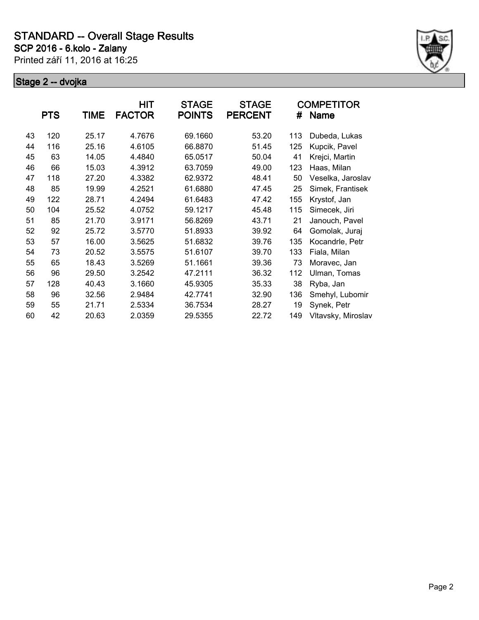

|    | <b>PTS</b> | TIME  | HIT<br><b>FACTOR</b> | <b>STAGE</b><br><b>POINTS</b> | <b>STAGE</b><br><b>PERCENT</b> | #   | <b>COMPETITOR</b><br>Name |
|----|------------|-------|----------------------|-------------------------------|--------------------------------|-----|---------------------------|
| 43 | 120        | 25.17 | 4.7676               | 69.1660                       | 53.20                          | 113 | Dubeda, Lukas             |
| 44 | 116        | 25.16 | 4.6105               | 66.8870                       | 51.45                          | 125 | Kupcik, Pavel             |
| 45 | 63         | 14.05 | 4.4840               | 65.0517                       | 50.04                          | 41  | Krejci, Martin            |
| 46 | 66         | 15.03 | 4.3912               | 63.7059                       | 49.00                          | 123 | Haas, Milan               |
| 47 | 118        | 27.20 | 4.3382               | 62.9372                       | 48.41                          | 50  | Veselka, Jaroslav         |
| 48 | 85         | 19.99 | 4.2521               | 61.6880                       | 47.45                          | 25  | Simek, Frantisek          |
| 49 | 122        | 28.71 | 4.2494               | 61.6483                       | 47.42                          | 155 | Krystof, Jan              |
| 50 | 104        | 25.52 | 4.0752               | 59.1217                       | 45.48                          | 115 | Simecek, Jiri             |
| 51 | 85         | 21.70 | 3.9171               | 56.8269                       | 43.71                          | 21  | Janouch, Pavel            |
| 52 | 92         | 25.72 | 3.5770               | 51.8933                       | 39.92                          | 64  | Gomolak, Juraj            |
| 53 | 57         | 16.00 | 3.5625               | 51.6832                       | 39.76                          | 135 | Kocandrle, Petr           |
| 54 | 73         | 20.52 | 3.5575               | 51.6107                       | 39.70                          | 133 | Fiala, Milan              |
| 55 | 65         | 18.43 | 3.5269               | 51.1661                       | 39.36                          | 73  | Moravec, Jan              |
| 56 | 96         | 29.50 | 3.2542               | 47.2111                       | 36.32                          | 112 | Ulman, Tomas              |
| 57 | 128        | 40.43 | 3.1660               | 45.9305                       | 35.33                          | 38  | Ryba, Jan                 |
| 58 | 96         | 32.56 | 2.9484               | 42.7741                       | 32.90                          | 136 | Smehyl, Lubomir           |
| 59 | 55         | 21.71 | 2.5334               | 36.7534                       | 28.27                          | 19  | Synek, Petr               |
| 60 | 42         | 20.63 | 2.0359               | 29.5355                       | 22.72                          | 149 | Vltavsky, Miroslav        |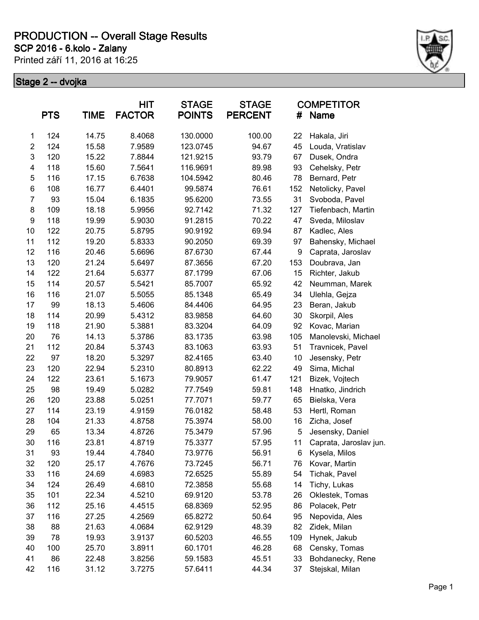**SCP 2016 - 6.kolo - Zalany**

Printed září 11, 2016 at 16:25



|                  | <b>PTS</b> | <b>TIME</b> | <b>HIT</b><br><b>FACTOR</b> | <b>STAGE</b><br><b>POINTS</b> | <b>STAGE</b><br><b>PERCENT</b> | #   | <b>COMPETITOR</b><br><b>Name</b> |
|------------------|------------|-------------|-----------------------------|-------------------------------|--------------------------------|-----|----------------------------------|
| 1                | 124        | 14.75       | 8.4068                      | 130.0000                      | 100.00                         | 22  | Hakala, Jiri                     |
| $\overline{2}$   | 124        | 15.58       | 7.9589                      | 123.0745                      | 94.67                          | 45  | Louda, Vratislav                 |
| 3                | 120        | 15.22       | 7.8844                      | 121.9215                      | 93.79                          | 67  | Dusek, Ondra                     |
| 4                | 118        | 15.60       | 7.5641                      | 116.9691                      | 89.98                          | 93  | Cehelsky, Petr                   |
| 5                | 116        | 17.15       | 6.7638                      | 104.5942                      | 80.46                          | 78  | Bernard, Petr                    |
| 6                | 108        | 16.77       | 6.4401                      | 99.5874                       | 76.61                          | 152 | Netolicky, Pavel                 |
| $\overline{7}$   | 93         | 15.04       | 6.1835                      | 95.6200                       | 73.55                          | 31  | Svoboda, Pavel                   |
| 8                | 109        | 18.18       | 5.9956                      | 92.7142                       | 71.32                          | 127 | Tiefenbach, Martin               |
| $\boldsymbol{9}$ | 118        | 19.99       | 5.9030                      | 91.2815                       | 70.22                          | 47  | Sveda, Miloslav                  |
| 10               | 122        | 20.75       | 5.8795                      | 90.9192                       | 69.94                          | 87  | Kadlec, Ales                     |
| 11               | 112        | 19.20       | 5.8333                      | 90.2050                       | 69.39                          | 97  | Bahensky, Michael                |
| 12               | 116        | 20.46       | 5.6696                      | 87.6730                       | 67.44                          | 9   | Caprata, Jaroslav                |
| 13               | 120        | 21.24       | 5.6497                      | 87.3656                       | 67.20                          | 153 | Doubrava, Jan                    |
| 14               | 122        | 21.64       | 5.6377                      | 87.1799                       | 67.06                          | 15  | Richter, Jakub                   |
| 15               | 114        | 20.57       | 5.5421                      | 85.7007                       | 65.92                          | 42  | Neumman, Marek                   |
| 16               | 116        | 21.07       | 5.5055                      | 85.1348                       | 65.49                          | 34  | Ulehla, Gejza                    |
| 17               | 99         | 18.13       | 5.4606                      | 84.4406                       | 64.95                          | 23  | Beran, Jakub                     |
| 18               | 114        | 20.99       | 5.4312                      | 83.9858                       | 64.60                          | 30  | Skorpil, Ales                    |
| 19               | 118        | 21.90       | 5.3881                      | 83.3204                       | 64.09                          | 92  | Kovac, Marian                    |
| 20               | 76         | 14.13       | 5.3786                      | 83.1735                       | 63.98                          | 105 | Manolevski, Michael              |
| 21               | 112        | 20.84       | 5.3743                      | 83.1063                       | 63.93                          | 51  | Travnicek, Pavel                 |
| 22               | 97         | 18.20       | 5.3297                      | 82.4165                       | 63.40                          | 10  | Jesensky, Petr                   |
| 23               | 120        | 22.94       | 5.2310                      | 80.8913                       | 62.22                          | 49  | Sima, Michal                     |
| 24               | 122        | 23.61       | 5.1673                      | 79.9057                       | 61.47                          | 121 | Bizek, Vojtech                   |
| 25               | 98         | 19.49       | 5.0282                      | 77.7549                       | 59.81                          | 148 | Hnatko, Jindrich                 |
| 26               | 120        | 23.88       | 5.0251                      | 77.7071                       | 59.77                          | 65  | Bielska, Vera                    |
| 27               | 114        | 23.19       | 4.9159                      | 76.0182                       | 58.48                          | 53  | Hertl, Roman                     |
| 28               | 104        | 21.33       | 4.8758                      | 75.3974                       | 58.00                          | 16  | Zicha, Josef                     |
| 29               | 65         | 13.34       | 4.8726                      | 75.3479                       | 57.96                          | 5   | Jesensky, Daniel                 |
| 30               | 116        | 23.81       | 4.8719                      | 75.3377                       | 57.95                          | 11  | Caprata, Jaroslav jun.           |
| 31               | 93         | 19.44       | 4.7840                      | 73.9776                       | 56.91                          | 6   | Kysela, Milos                    |
| 32               | 120        | 25.17       | 4.7676                      | 73.7245                       | 56.71                          | 76  | Kovar, Martin                    |
| 33               | 116        | 24.69       | 4.6983                      | 72.6525                       | 55.89                          | 54  | Tichak, Pavel                    |
| 34               | 124        | 26.49       | 4.6810                      | 72.3858                       | 55.68                          | 14  | Tichy, Lukas                     |
| 35               | 101        | 22.34       | 4.5210                      | 69.9120                       | 53.78                          | 26  | Oklestek, Tomas                  |
| 36               | 112        | 25.16       | 4.4515                      | 68.8369                       | 52.95                          | 86  | Polacek, Petr                    |
| 37               | 116        | 27.25       | 4.2569                      | 65.8272                       | 50.64                          | 95  | Nepovida, Ales                   |
| 38               | 88         | 21.63       | 4.0684                      | 62.9129                       | 48.39                          | 82  | Zidek, Milan                     |
| 39               | 78         | 19.93       | 3.9137                      | 60.5203                       | 46.55                          | 109 | Hynek, Jakub                     |
| 40               | 100        | 25.70       | 3.8911                      | 60.1701                       | 46.28                          | 68  | Censky, Tomas                    |
| 41               | 86         | 22.48       | 3.8256                      | 59.1583                       | 45.51                          | 33  | Bohdanecky, Rene                 |
| 42               | 116        | 31.12       | 3.7275                      | 57.6411                       | 44.34                          | 37  | Stejskal, Milan                  |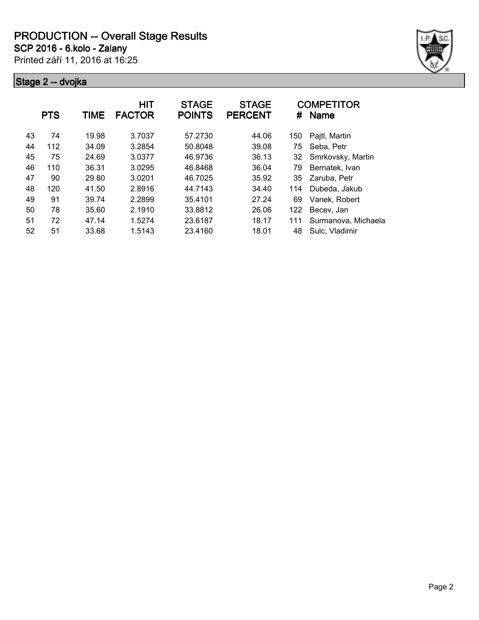**SCP 2016 - 6.kolo - Zalany**

Printed září 11, 2016 at 16:25



|    | <b>PTS</b> | TIME  | <b>HIT</b><br><b>FACTOR</b> | <b>STAGE</b><br><b>POINTS</b> | <b>STAGE</b><br><b>PERCENT</b> | #   | <b>COMPETITOR</b><br><b>Name</b> |
|----|------------|-------|-----------------------------|-------------------------------|--------------------------------|-----|----------------------------------|
| 43 | 74         | 19.98 | 3.7037                      | 57.2730                       | 44.06                          | 150 | Pajtl, Martin                    |
| 44 | 112        | 34.09 | 3.2854                      | 50.8048                       | 39.08                          | 75  | Seba, Petr                       |
| 45 | 75         | 24.69 | 3.0377                      | 46.9736                       | 36.13                          | 32  | Smrkovsky, Martin                |
| 46 | 110        | 36.31 | 3.0295                      | 46.8468                       | 36.04                          | 79  | Bernatek, Ivan                   |
| 47 | 90         | 29.80 | 3.0201                      | 46.7025                       | 35.92                          | 35  | Zaruba, Petr                     |
| 48 | 120        | 41.50 | 2.8916                      | 44.7143                       | 34.40                          | 114 | Dubeda, Jakub                    |
| 49 | 91         | 39.74 | 2.2899                      | 35.4101                       | 27.24                          | 69  | Vanek, Robert                    |
| 50 | 78         | 35.60 | 2.1910                      | 33.8812                       | 26.06                          | 122 | Becev, Jan                       |
| 51 | 72         | 47.14 | 1.5274                      | 23.6187                       | 18.17                          | 111 | Surmanova, Michaela              |
| 52 | 51         | 33.68 | 1.5143                      | 23.4160                       | 18.01                          | 48  | Sulc, Vladimir                   |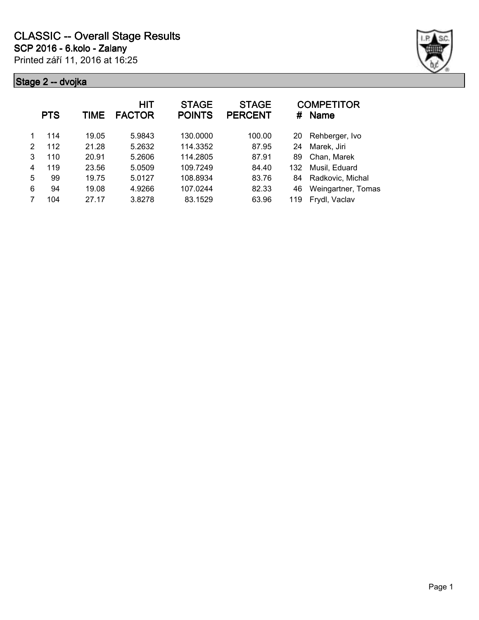

|   | <b>PTS</b> | TIME  | HIT<br><b>FACTOR</b> | <b>STAGE</b><br><b>POINTS</b> | <b>STAGE</b><br><b>PERCENT</b> | #   | <b>COMPETITOR</b><br><b>Name</b> |
|---|------------|-------|----------------------|-------------------------------|--------------------------------|-----|----------------------------------|
| 1 | 114        | 19.05 | 5.9843               | 130.0000                      | 100.00                         | 20  | Rehberger, Ivo                   |
| 2 | 112        | 21.28 | 5.2632               | 114.3352                      | 87.95                          | 24  | Marek, Jiri                      |
| 3 | 110        | 20.91 | 5.2606               | 114.2805                      | 87.91                          | 89  | Chan, Marek                      |
| 4 | 119        | 23.56 | 5.0509               | 109.7249                      | 84.40                          | 132 | Musil, Eduard                    |
| 5 | 99         | 19.75 | 5.0127               | 108.8934                      | 83.76                          | 84  | Radkovic, Michal                 |
| 6 | 94         | 19.08 | 4.9266               | 107.0244                      | 82.33                          | 46  | Weingartner, Tomas               |
|   | 104        | 27.17 | 3.8278               | 83.1529                       | 63.96                          | 119 | Frydl, Vaclav                    |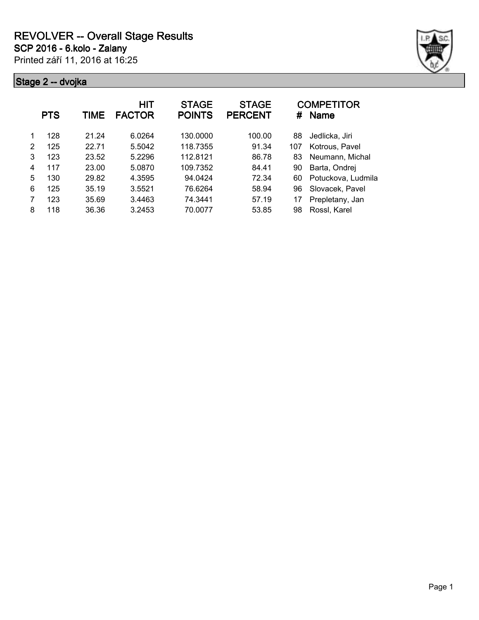

|   | <b>PTS</b> | TIME  | HIT<br><b>FACTOR</b> | <b>STAGE</b><br><b>POINTS</b> | <b>STAGE</b><br><b>PERCENT</b> | #   | <b>COMPETITOR</b><br><b>Name</b> |
|---|------------|-------|----------------------|-------------------------------|--------------------------------|-----|----------------------------------|
|   | 128        | 21.24 | 6.0264               | 130.0000                      | 100.00                         | 88  | Jedlicka, Jiri                   |
| 2 | 125        | 22.71 | 5.5042               | 118.7355                      | 91.34                          | 107 | Kotrous, Pavel                   |
| 3 | 123        | 23.52 | 5.2296               | 112.8121                      | 86.78                          | 83  | Neumann, Michal                  |
| 4 | 117        | 23.00 | 5.0870               | 109.7352                      | 84.41                          | 90  | Barta, Ondrej                    |
| 5 | 130        | 29.82 | 4.3595               | 94.0424                       | 72.34                          | 60  | Potuckova, Ludmila               |
| 6 | 125        | 35.19 | 3.5521               | 76.6264                       | 58.94                          | 96  | Slovacek, Pavel                  |
| 7 | 123        | 35.69 | 3.4463               | 74.3441                       | 57.19                          | 17  | Prepletany, Jan                  |
| 8 | 118        | 36.36 | 3.2453               | 70.0077                       | 53.85                          | 98  | Rossl, Karel                     |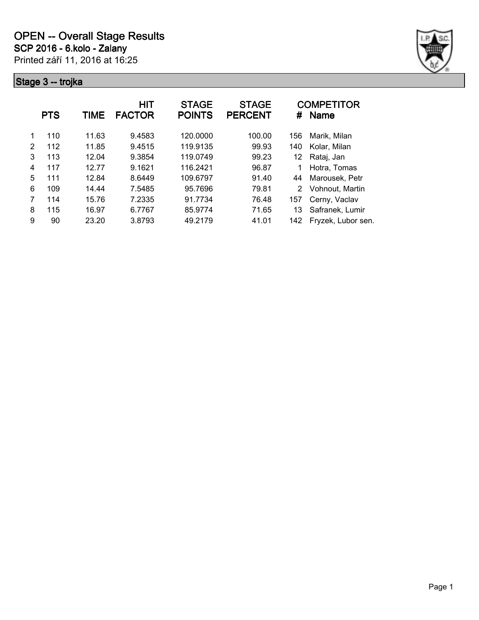

|   | <b>PTS</b> | TIME  | HIT<br><b>FACTOR</b> | <b>STAGE</b><br><b>POINTS</b> | <b>STAGE</b><br><b>PERCENT</b> | #   | <b>COMPETITOR</b><br><b>Name</b> |
|---|------------|-------|----------------------|-------------------------------|--------------------------------|-----|----------------------------------|
| 1 | 110        | 11.63 | 9.4583               | 120.0000                      | 100.00                         | 156 | Marik, Milan                     |
| 2 | 112        | 11.85 | 9.4515               | 119.9135                      | 99.93                          | 140 | Kolar, Milan                     |
| 3 | 113        | 12.04 | 9.3854               | 119.0749                      | 99.23                          | 12  | Rataj, Jan                       |
| 4 | 117        | 12.77 | 9.1621               | 116.2421                      | 96.87                          | 1   | Hotra, Tomas                     |
| 5 | 111        | 12.84 | 8.6449               | 109.6797                      | 91.40                          | 44  | Marousek, Petr                   |
| 6 | 109        | 14.44 | 7.5485               | 95.7696                       | 79.81                          | 2   | Vohnout, Martin                  |
| 7 | 114        | 15.76 | 7.2335               | 91.7734                       | 76.48                          | 157 | Cerny, Vaclav                    |
| 8 | 115        | 16.97 | 6.7767               | 85.9774                       | 71.65                          | 13  | Safranek, Lumir                  |
| 9 | 90         | 23.20 | 3.8793               | 49.2179                       | 41.01                          | 142 | Fryzek, Lubor sen.               |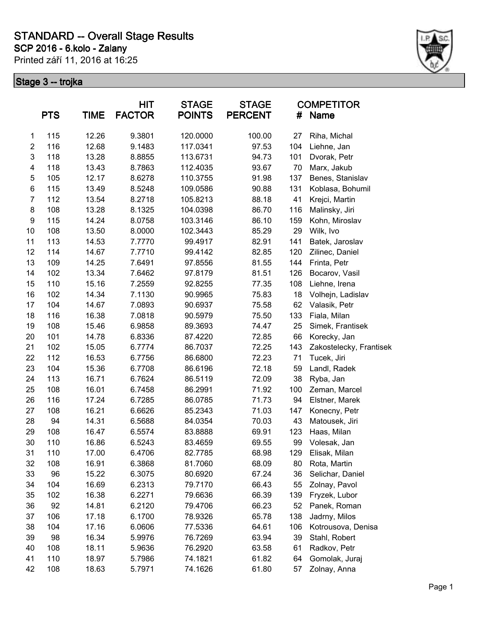### **SCP 2016 - 6.kolo - Zalany STANDARD -- Overall Stage Results**

Printed září 11, 2016 at 16:25



| <b>PTS</b><br><b>TIME</b> |     | HIT<br><b>FACTOR</b> |        | <b>STAGE</b><br><b>POINTS</b> | <b>STAGE</b><br><b>PERCENT</b> | #   | <b>COMPETITOR</b><br><b>Name</b> |
|---------------------------|-----|----------------------|--------|-------------------------------|--------------------------------|-----|----------------------------------|
| 1                         | 115 | 12.26                | 9.3801 | 120.0000                      | 100.00                         | 27  | Riha, Michal                     |
| $\overline{c}$            | 116 | 12.68                | 9.1483 | 117.0341                      | 97.53                          | 104 | Liehne, Jan                      |
| $\mathsf 3$               | 118 | 13.28                | 8.8855 | 113.6731                      | 94.73                          | 101 | Dvorak, Petr                     |
| 4                         | 118 | 13.43                | 8.7863 | 112.4035                      | 93.67                          | 70  | Marx, Jakub                      |
| 5                         | 105 | 12.17                | 8.6278 | 110.3755                      | 91.98                          | 137 | Benes, Stanislav                 |
| $\,6$                     | 115 | 13.49                | 8.5248 | 109.0586                      | 90.88                          | 131 | Koblasa, Bohumil                 |
| $\overline{7}$            | 112 | 13.54                | 8.2718 | 105.8213                      | 88.18                          | 41  | Krejci, Martin                   |
| 8                         | 108 | 13.28                | 8.1325 | 104.0398                      | 86.70                          | 116 | Malinsky, Jiri                   |
| 9                         | 115 | 14.24                | 8.0758 | 103.3146                      | 86.10                          | 159 | Kohn, Miroslav                   |
| 10                        | 108 | 13.50                | 8.0000 | 102.3443                      | 85.29                          | 29  | Wilk, Ivo                        |
| 11                        | 113 | 14.53                | 7.7770 | 99.4917                       | 82.91                          | 141 | Batek, Jaroslav                  |
| 12                        | 114 | 14.67                | 7.7710 | 99.4142                       | 82.85                          | 120 | Zilinec, Daniel                  |
| 13                        | 109 | 14.25                | 7.6491 | 97.8556                       | 81.55                          | 144 | Frinta, Petr                     |
| 14                        | 102 | 13.34                | 7.6462 | 97.8179                       | 81.51                          | 126 | Bocarov, Vasil                   |
| 15                        | 110 | 15.16                | 7.2559 | 92.8255                       | 77.35                          | 108 | Liehne, Irena                    |
| 16                        | 102 | 14.34                | 7.1130 | 90.9965                       | 75.83                          | 18  | Volhejn, Ladislav                |
| 17                        | 104 | 14.67                | 7.0893 | 90.6937                       | 75.58                          | 62  | Valasik, Petr                    |
| 18                        | 116 | 16.38                | 7.0818 | 90.5979                       | 75.50                          | 133 | Fiala, Milan                     |
| 19                        | 108 | 15.46                | 6.9858 | 89.3693                       | 74.47                          | 25  | Simek, Frantisek                 |
| 20                        | 101 | 14.78                | 6.8336 | 87.4220                       | 72.85                          | 66  | Korecky, Jan                     |
| 21                        | 102 | 15.05                | 6.7774 | 86.7037                       | 72.25                          | 143 | Zakostelecky, Frantisek          |
| 22                        | 112 | 16.53                | 6.7756 | 86.6800                       | 72.23                          | 71  | Tucek, Jiri                      |
| 23                        | 104 | 15.36                | 6.7708 | 86.6196                       | 72.18                          | 59  | Landl, Radek                     |
| 24                        | 113 | 16.71                | 6.7624 | 86.5119                       | 72.09                          | 38  | Ryba, Jan                        |
| 25                        | 108 | 16.01                | 6.7458 | 86.2991                       | 71.92                          | 100 | Zeman, Marcel                    |
| 26                        | 116 | 17.24                | 6.7285 | 86.0785                       | 71.73                          | 94  | Elstner, Marek                   |
| 27                        | 108 | 16.21                | 6.6626 | 85.2343                       | 71.03                          | 147 | Konecny, Petr                    |
| 28                        | 94  | 14.31                | 6.5688 | 84.0354                       | 70.03                          | 43  | Matousek, Jiri                   |
| 29                        | 108 | 16.47                | 6.5574 | 83.8888                       | 69.91                          | 123 | Haas, Milan                      |
| 30                        | 110 | 16.86                | 6.5243 | 83.4659                       | 69.55                          | 99  | Volesak, Jan                     |
| 31                        | 110 | 17.00                | 6.4706 | 82.7785                       | 68.98                          | 129 | Elisak, Milan                    |
| 32                        | 108 | 16.91                | 6.3868 | 81.7060                       | 68.09                          | 80  | Rota, Martin                     |
| 33                        | 96  | 15.22                | 6.3075 | 80.6920                       | 67.24                          | 36  | Selichar, Daniel                 |
| 34                        | 104 | 16.69                | 6.2313 | 79.7170                       | 66.43                          | 55  | Zolnay, Pavol                    |
| 35                        | 102 | 16.38                | 6.2271 | 79.6636                       | 66.39                          | 139 | Fryzek, Lubor                    |
| 36                        | 92  | 14.81                | 6.2120 | 79.4706                       | 66.23                          | 52  | Panek, Roman                     |
| 37                        | 106 | 17.18                | 6.1700 | 78.9326                       | 65.78                          | 138 | Jadrny, Milos                    |
| 38                        | 104 | 17.16                | 6.0606 | 77.5336                       | 64.61                          | 106 | Kotrousova, Denisa               |
| 39                        | 98  | 16.34                | 5.9976 | 76.7269                       | 63.94                          | 39  | Stahl, Robert                    |
| 40                        | 108 | 18.11                | 5.9636 | 76.2920                       | 63.58                          | 61  | Radkov, Petr                     |
| 41                        | 110 | 18.97                | 5.7986 | 74.1821                       | 61.82                          | 64  | Gomolak, Juraj                   |
| 42                        | 108 | 18.63                | 5.7971 | 74.1626                       | 61.80                          | 57  | Zolnay, Anna                     |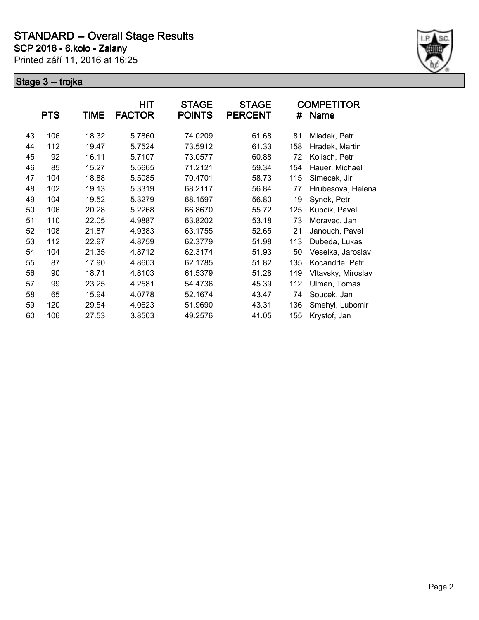

|    | <b>PTS</b> | TIME  | HIT<br><b>FACTOR</b> | <b>STAGE</b><br><b>POINTS</b> | <b>STAGE</b><br><b>PERCENT</b> | #   | <b>COMPETITOR</b><br><b>Name</b> |
|----|------------|-------|----------------------|-------------------------------|--------------------------------|-----|----------------------------------|
| 43 | 106        | 18.32 | 5.7860               | 74.0209                       | 61.68                          | 81  | Mladek, Petr                     |
| 44 | 112        | 19.47 | 5.7524               | 73.5912                       | 61.33                          | 158 | Hradek, Martin                   |
| 45 | 92         | 16.11 | 5.7107               | 73.0577                       | 60.88                          | 72  | Kolisch, Petr                    |
| 46 | 85         | 15.27 | 5.5665               | 71.2121                       | 59.34                          | 154 | Hauer, Michael                   |
| 47 | 104        | 18.88 | 5.5085               | 70.4701                       | 58.73                          | 115 | Simecek, Jiri                    |
| 48 | 102        | 19.13 | 5.3319               | 68.2117                       | 56.84                          | 77  | Hrubesova, Helena                |
| 49 | 104        | 19.52 | 5.3279               | 68.1597                       | 56.80                          | 19  | Synek, Petr                      |
| 50 | 106        | 20.28 | 5.2268               | 66.8670                       | 55.72                          | 125 | Kupcik, Pavel                    |
| 51 | 110        | 22.05 | 4.9887               | 63.8202                       | 53.18                          | 73  | Moravec, Jan                     |
| 52 | 108        | 21.87 | 4.9383               | 63.1755                       | 52.65                          | 21  | Janouch, Pavel                   |
| 53 | 112        | 22.97 | 4.8759               | 62.3779                       | 51.98                          | 113 | Dubeda, Lukas                    |
| 54 | 104        | 21.35 | 4.8712               | 62.3174                       | 51.93                          | 50  | Veselka, Jaroslav                |
| 55 | 87         | 17.90 | 4.8603               | 62.1785                       | 51.82                          | 135 | Kocandrle, Petr                  |
| 56 | 90         | 18.71 | 4.8103               | 61.5379                       | 51.28                          | 149 | Vltavsky, Miroslav               |
| 57 | 99         | 23.25 | 4.2581               | 54.4736                       | 45.39                          | 112 | Ulman, Tomas                     |
| 58 | 65         | 15.94 | 4.0778               | 52.1674                       | 43.47                          | 74  | Soucek, Jan                      |
| 59 | 120        | 29.54 | 4.0623               | 51.9690                       | 43.31                          | 136 | Smehyl, Lubomir                  |
| 60 | 106        | 27.53 | 3.8503               | 49.2576                       | 41.05                          | 155 | Krystof, Jan                     |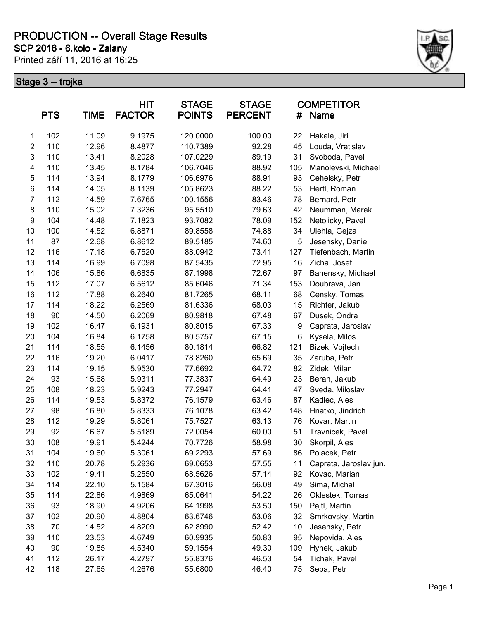**SCP 2016 - 6.kolo - Zalany**

Printed září 11, 2016 at 16:25



|                  | <b>PTS</b><br><b>TIME</b> |       | <b>HIT</b><br><b>FACTOR</b> | <b>STAGE</b><br><b>POINTS</b> | <b>STAGE</b><br><b>PERCENT</b> | #   | <b>COMPETITOR</b><br>Name |
|------------------|---------------------------|-------|-----------------------------|-------------------------------|--------------------------------|-----|---------------------------|
| $\mathbf{1}$     | 102                       | 11.09 | 9.1975                      | 120.0000                      | 100.00                         | 22  | Hakala, Jiri              |
| $\overline{c}$   | 110                       | 12.96 | 8.4877                      | 110.7389                      | 92.28                          | 45  | Louda, Vratislav          |
| $\mathsf 3$      | 110                       | 13.41 | 8.2028                      | 107.0229                      | 89.19                          | 31  | Svoboda, Pavel            |
| 4                | 110                       | 13.45 | 8.1784                      | 106.7046                      | 88.92                          | 105 | Manolevski, Michael       |
| 5                | 114                       | 13.94 | 8.1779                      | 106.6976                      | 88.91                          | 93  | Cehelsky, Petr            |
| 6                | 114                       | 14.05 | 8.1139                      | 105.8623                      | 88.22                          | 53  | Hertl, Roman              |
| $\overline{7}$   | 112                       | 14.59 | 7.6765                      | 100.1556                      | 83.46                          | 78  | Bernard, Petr             |
| 8                | 110                       | 15.02 | 7.3236                      | 95.5510                       | 79.63                          | 42  | Neumman, Marek            |
| $\boldsymbol{9}$ | 104                       | 14.48 | 7.1823                      | 93.7082                       | 78.09                          | 152 | Netolicky, Pavel          |
| 10               | 100                       | 14.52 | 6.8871                      | 89.8558                       | 74.88                          | 34  | Ulehla, Gejza             |
| 11               | 87                        | 12.68 | 6.8612                      | 89.5185                       | 74.60                          | 5   | Jesensky, Daniel          |
| 12               | 116                       | 17.18 | 6.7520                      | 88.0942                       | 73.41                          | 127 | Tiefenbach, Martin        |
| 13               | 114                       | 16.99 | 6.7098                      | 87.5435                       | 72.95                          | 16  | Zicha, Josef              |
| 14               | 106                       | 15.86 | 6.6835                      | 87.1998                       | 72.67                          | 97  | Bahensky, Michael         |
| 15               | 112                       | 17.07 | 6.5612                      | 85.6046                       | 71.34                          | 153 | Doubrava, Jan             |
| 16               | 112                       | 17.88 | 6.2640                      | 81.7265                       | 68.11                          | 68  | Censky, Tomas             |
| 17               | 114                       | 18.22 | 6.2569                      | 81.6336                       | 68.03                          | 15  | Richter, Jakub            |
| 18               | 90                        | 14.50 | 6.2069                      | 80.9818                       | 67.48                          | 67  | Dusek, Ondra              |
| 19               | 102                       | 16.47 | 6.1931                      | 80.8015                       | 67.33                          | 9   | Caprata, Jaroslav         |
| 20               | 104                       | 16.84 | 6.1758                      | 80.5757                       | 67.15                          | 6   | Kysela, Milos             |
| 21               | 114                       | 18.55 | 6.1456                      | 80.1814                       | 66.82                          | 121 | Bizek, Vojtech            |
| 22               | 116                       | 19.20 | 6.0417                      | 78.8260                       | 65.69                          | 35  | Zaruba, Petr              |
| 23               | 114                       | 19.15 | 5.9530                      | 77.6692                       | 64.72                          | 82  | Zidek, Milan              |
| 24               | 93                        | 15.68 | 5.9311                      | 77.3837                       | 64.49                          | 23  | Beran, Jakub              |
| 25               | 108                       | 18.23 | 5.9243                      | 77.2947                       | 64.41                          | 47  | Sveda, Miloslav           |
| 26               | 114                       | 19.53 | 5.8372                      | 76.1579                       | 63.46                          | 87  | Kadlec, Ales              |
| 27               | 98                        | 16.80 | 5.8333                      | 76.1078                       | 63.42                          | 148 | Hnatko, Jindrich          |
| 28               | 112                       | 19.29 | 5.8061                      | 75.7527                       | 63.13                          | 76  | Kovar, Martin             |
| 29               | 92                        | 16.67 | 5.5189                      | 72.0054                       | 60.00                          | 51  | Travnicek, Pavel          |
| 30               | 108                       | 19.91 | 5.4244                      | 70.7726                       | 58.98                          | 30  | Skorpil, Ales             |
| 31               | 104                       | 19.60 | 5.3061                      | 69.2293                       | 57.69                          | 86  | Polacek, Petr             |
| 32               | 110                       | 20.78 | 5.2936                      | 69.0653                       | 57.55                          | 11  | Caprata, Jaroslav jun.    |
| 33               | 102                       | 19.41 | 5.2550                      | 68.5626                       | 57.14                          | 92  | Kovac, Marian             |
| 34               | 114                       | 22.10 | 5.1584                      | 67.3016                       | 56.08                          | 49  | Sima, Michal              |
| 35               | 114                       | 22.86 | 4.9869                      | 65.0641                       | 54.22                          | 26  | Oklestek, Tomas           |
| 36               | 93                        | 18.90 | 4.9206                      | 64.1998                       | 53.50                          | 150 | Pajtl, Martin             |
| 37               | 102                       | 20.90 | 4.8804                      | 63.6746                       | 53.06                          | 32  | Smrkovsky, Martin         |
| 38               | 70                        | 14.52 | 4.8209                      | 62.8990                       | 52.42                          | 10  | Jesensky, Petr            |
| 39               | 110                       | 23.53 | 4.6749                      | 60.9935                       | 50.83                          | 95  | Nepovida, Ales            |
| 40               | 90                        | 19.85 | 4.5340                      | 59.1554                       | 49.30                          | 109 | Hynek, Jakub              |
| 41               | 112                       | 26.17 | 4.2797                      | 55.8376                       | 46.53                          | 54  | Tichak, Pavel             |
| 42               | 118                       | 27.65 | 4.2676                      | 55.6800                       | 46.40                          | 75  | Seba, Petr                |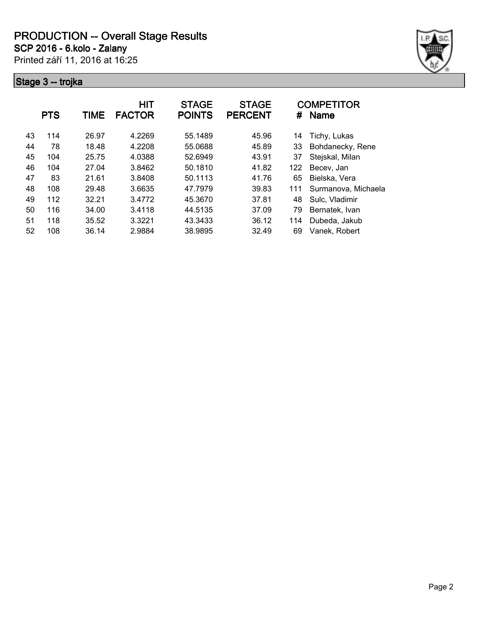**SCP 2016 - 6.kolo - Zalany**

Printed září 11, 2016 at 16:25



|    | <b>PTS</b><br>TIME |       | <b>HIT</b><br><b>FACTOR</b> | <b>STAGE</b><br><b>POINTS</b> | <b>STAGE</b><br><b>PERCENT</b> | #   | <b>COMPETITOR</b><br><b>Name</b> |
|----|--------------------|-------|-----------------------------|-------------------------------|--------------------------------|-----|----------------------------------|
| 43 | 114                | 26.97 | 4.2269                      | 55.1489                       | 45.96                          | 14  | Tichy, Lukas                     |
| 44 | 78                 | 18.48 | 4.2208                      | 55.0688                       | 45.89                          | 33  | Bohdanecky, Rene                 |
| 45 | 104                | 25.75 | 4.0388                      | 52.6949                       | 43.91                          | 37  | Stejskal, Milan                  |
| 46 | 104                | 27.04 | 3.8462                      | 50.1810                       | 41.82                          | 122 | Becev, Jan                       |
| 47 | 83                 | 21.61 | 3.8408                      | 50.1113                       | 41.76                          | 65  | Bielska, Vera                    |
| 48 | 108                | 29.48 | 3.6635                      | 47.7979                       | 39.83                          | 111 | Surmanova, Michaela              |
| 49 | 112                | 32.21 | 3.4772                      | 45.3670                       | 37.81                          | 48  | Sulc, Vladimir                   |
| 50 | 116                | 34.00 | 3.4118                      | 44.5135                       | 37.09                          | 79  | Bernatek, Ivan                   |
| 51 | 118                | 35.52 | 3.3221                      | 43.3433                       | 36.12                          | 114 | Dubeda, Jakub                    |
| 52 | 108                | 36.14 | 2.9884                      | 38.9895                       | 32.49                          | 69  | Vanek, Robert                    |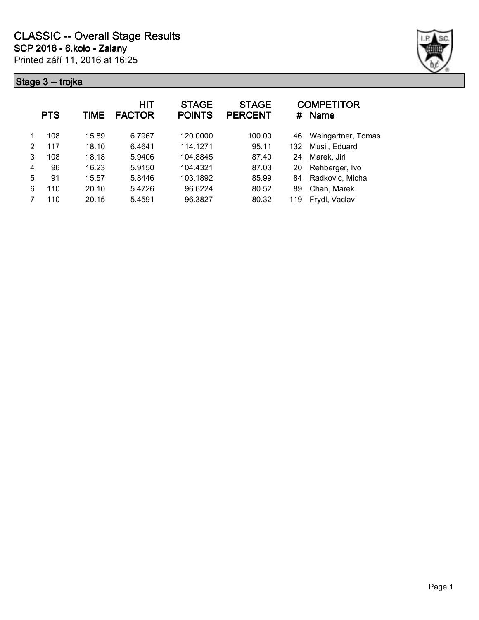

| <b>PTS</b> |     | TIME  | HIT<br><b>FACTOR</b> | <b>STAGE</b><br><b>POINTS</b> | <b>STAGE</b><br><b>PERCENT</b> | #   | <b>COMPETITOR</b><br><b>Name</b> |
|------------|-----|-------|----------------------|-------------------------------|--------------------------------|-----|----------------------------------|
| 1          | 108 | 15.89 | 6.7967               | 120.0000                      | 100.00                         | 46  | Weingartner, Tomas               |
| 2          | 117 | 18.10 | 6.4641               | 114.1271                      | 95.11                          | 132 | Musil, Eduard                    |
| 3          | 108 | 18.18 | 5.9406               | 104.8845                      | 87.40                          | 24  | Marek, Jiri                      |
| 4          | 96  | 16.23 | 5.9150               | 104.4321                      | 87.03                          | 20  | Rehberger, Ivo                   |
| 5          | 91  | 15.57 | 5.8446               | 103.1892                      | 85.99                          | 84  | Radkovic, Michal                 |
| 6          | 110 | 20.10 | 5.4726               | 96.6224                       | 80.52                          | 89  | Chan, Marek                      |
|            | 110 | 20.15 | 5.4591               | 96.3827                       | 80.32                          | 119 | Frydl, Vaclav                    |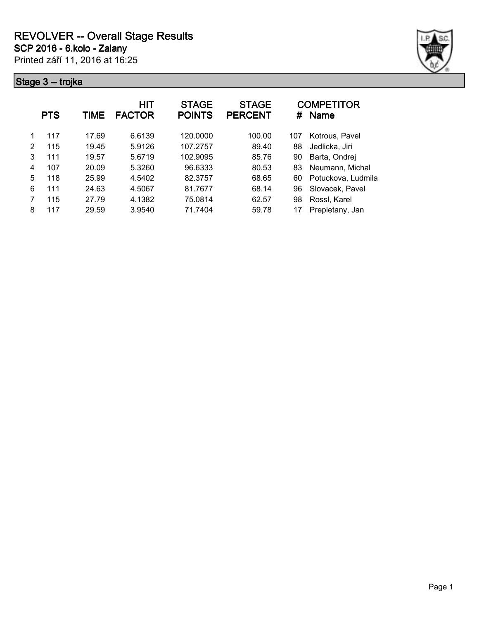

|   | <b>PTS</b> | TIME  | HIT<br><b>FACTOR</b> | <b>STAGE</b><br><b>POINTS</b> | <b>STAGE</b><br><b>PERCENT</b> | #   | <b>COMPETITOR</b><br><b>Name</b> |
|---|------------|-------|----------------------|-------------------------------|--------------------------------|-----|----------------------------------|
|   | 117        | 17.69 | 6.6139               | 120.0000                      | 100.00                         | 107 | Kotrous, Pavel                   |
| 2 | 115        | 19.45 | 5.9126               | 107.2757                      | 89.40                          | 88  | Jedlicka, Jiri                   |
| 3 | 111        | 19.57 | 5.6719               | 102.9095                      | 85.76                          | 90  | Barta, Ondrej                    |
| 4 | 107        | 20.09 | 5.3260               | 96.6333                       | 80.53                          | 83  | Neumann, Michal                  |
| 5 | 118        | 25.99 | 4.5402               | 82.3757                       | 68.65                          | 60  | Potuckova, Ludmila               |
| 6 | 111        | 24.63 | 4.5067               | 81.7677                       | 68.14                          | 96  | Slovacek, Pavel                  |
|   | 115        | 27.79 | 4.1382               | 75.0814                       | 62.57                          | 98  | Rossl, Karel                     |
| 8 | 117        | 29.59 | 3.9540               | 71.7404                       | 59.78                          |     | Prepletany, Jan                  |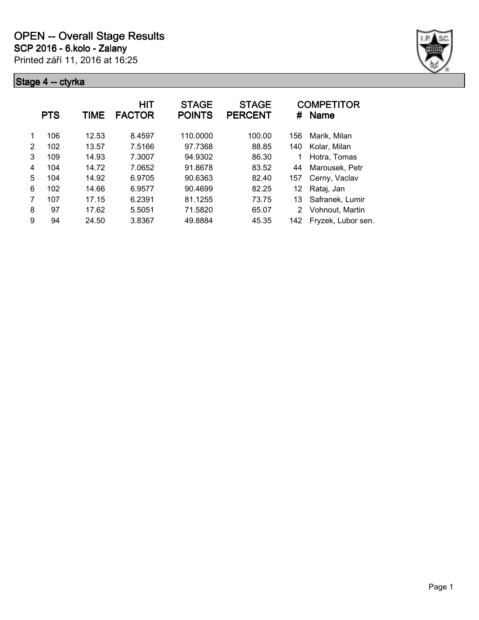

|   | <b>PTS</b> | TIME  | <b>HIT</b><br><b>FACTOR</b> | <b>STAGE</b><br><b>POINTS</b> | <b>STAGE</b><br><b>PERCENT</b> | #   | <b>COMPETITOR</b><br><b>Name</b> |
|---|------------|-------|-----------------------------|-------------------------------|--------------------------------|-----|----------------------------------|
| 1 | 106        | 12.53 | 8.4597                      | 110.0000                      | 100.00                         | 156 | Marik, Milan                     |
| 2 | 102        | 13.57 | 7.5166                      | 97.7368                       | 88.85                          | 140 | Kolar, Milan                     |
| 3 | 109        | 14.93 | 7.3007                      | 94.9302                       | 86.30                          | 1   | Hotra, Tomas                     |
| 4 | 104        | 14.72 | 7.0652                      | 91.8678                       | 83.52                          | 44  | Marousek, Petr                   |
| 5 | 104        | 14.92 | 6.9705                      | 90.6363                       | 82.40                          | 157 | Cerny, Vaclav                    |
| 6 | 102        | 14.66 | 6.9577                      | 90.4699                       | 82.25                          | 12  | Rataj, Jan                       |
| 7 | 107        | 17.15 | 6.2391                      | 81.1255                       | 73.75                          | 13  | Safranek, Lumir                  |
| 8 | 97         | 17.62 | 5.5051                      | 71.5820                       | 65.07                          | 2   | Vohnout, Martin                  |
| 9 | 94         | 24.50 | 3.8367                      | 49.8884                       | 45.35                          | 142 | Fryzek, Lubor sen.               |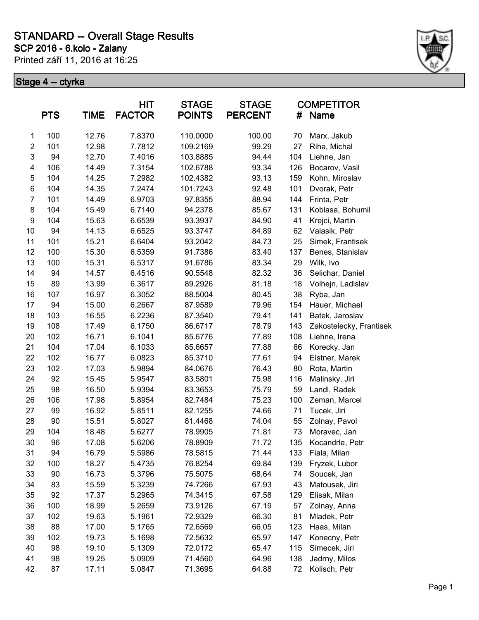**SCP 2016 - 6.kolo - Zalany STANDARD -- Overall Stage Results**

Printed září 11, 2016 at 16:25



|                | <b>PTS</b> | <b>TIME</b> | HIT<br><b>FACTOR</b> | <b>STAGE</b><br><b>POINTS</b> | <b>STAGE</b><br><b>PERCENT</b> | #   | <b>COMPETITOR</b><br><b>Name</b> |
|----------------|------------|-------------|----------------------|-------------------------------|--------------------------------|-----|----------------------------------|
| $\mathbf{1}$   | 100        | 12.76       | 7.8370               | 110.0000                      | 100.00                         | 70  | Marx, Jakub                      |
| $\overline{c}$ | 101        | 12.98       | 7.7812               | 109.2169                      | 99.29                          | 27  | Riha, Michal                     |
| 3              | 94         | 12.70       | 7.4016               | 103.8885                      | 94.44                          | 104 | Liehne, Jan                      |
| 4              | 106        | 14.49       | 7.3154               | 102.6788                      | 93.34                          | 126 | Bocarov, Vasil                   |
| 5              | 104        | 14.25       | 7.2982               | 102.4382                      | 93.13                          | 159 | Kohn, Miroslav                   |
| 6              | 104        | 14.35       | 7.2474               | 101.7243                      | 92.48                          | 101 | Dvorak, Petr                     |
| $\overline{7}$ | 101        | 14.49       | 6.9703               | 97.8355                       | 88.94                          | 144 | Frinta, Petr                     |
| 8              | 104        | 15.49       | 6.7140               | 94.2378                       | 85.67                          | 131 | Koblasa, Bohumil                 |
| 9              | 104        | 15.63       | 6.6539               | 93.3937                       | 84.90                          | 41  | Krejci, Martin                   |
| 10             | 94         | 14.13       | 6.6525               | 93.3747                       | 84.89                          | 62  | Valasik, Petr                    |
| 11             | 101        | 15.21       | 6.6404               | 93.2042                       | 84.73                          | 25  | Simek, Frantisek                 |
| 12             | 100        | 15.30       | 6.5359               | 91.7386                       | 83.40                          | 137 | Benes, Stanislav                 |
| 13             | 100        | 15.31       | 6.5317               | 91.6786                       | 83.34                          | 29  | Wilk, Ivo                        |
| 14             | 94         | 14.57       | 6.4516               | 90.5548                       | 82.32                          | 36  | Selichar, Daniel                 |
| 15             | 89         | 13.99       | 6.3617               | 89.2926                       | 81.18                          | 18  | Volhejn, Ladislav                |
| 16             | 107        | 16.97       | 6.3052               | 88.5004                       | 80.45                          | 38  | Ryba, Jan                        |
| 17             | 94         | 15.00       | 6.2667               | 87.9589                       | 79.96                          | 154 | Hauer, Michael                   |
| 18             | 103        | 16.55       | 6.2236               | 87.3540                       | 79.41                          | 141 | Batek, Jaroslav                  |
| 19             | 108        | 17.49       | 6.1750               | 86.6717                       | 78.79                          | 143 | Zakostelecky, Frantisek          |
| 20             | 102        | 16.71       | 6.1041               | 85.6776                       | 77.89                          | 108 | Liehne, Irena                    |
| 21             | 104        | 17.04       | 6.1033               | 85.6657                       | 77.88                          | 66  | Korecky, Jan                     |
| 22             | 102        | 16.77       | 6.0823               | 85.3710                       | 77.61                          | 94  | Elstner, Marek                   |
| 23             | 102        | 17.03       | 5.9894               | 84.0676                       | 76.43                          | 80  | Rota, Martin                     |
| 24             | 92         | 15.45       | 5.9547               | 83.5801                       | 75.98                          | 116 | Malinsky, Jiri                   |
| 25             | 98         | 16.50       | 5.9394               | 83.3653                       | 75.79                          | 59  | Landl, Radek                     |
| 26             | 106        | 17.98       | 5.8954               | 82.7484                       | 75.23                          | 100 | Zeman, Marcel                    |
| 27             | 99         | 16.92       | 5.8511               | 82.1255                       | 74.66                          | 71  | Tucek, Jiri                      |
| 28             | 90         | 15.51       | 5.8027               | 81.4468                       | 74.04                          | 55  | Zolnay, Pavol                    |
| 29             | 104        | 18.48       | 5.6277               | 78.9905                       | 71.81                          | 73  | Moravec, Jan                     |
| 30             | 96         | 17.08       | 5.6206               | 78.8909                       | 71.72                          | 135 | Kocandrle, Petr                  |
| 31             | 94         | 16.79       | 5.5986               | 78.5815                       | 71.44                          | 133 | Fiala, Milan                     |
| 32             | 100        | 18.27       | 5.4735               | 76.8254                       | 69.84                          | 139 | Fryzek, Lubor                    |
| 33             | 90         | 16.73       | 5.3796               | 75.5075                       | 68.64                          | 74  | Soucek, Jan                      |
| 34             | 83         | 15.59       | 5.3239               | 74.7266                       | 67.93                          | 43  | Matousek, Jiri                   |
| 35             | 92         | 17.37       | 5.2965               | 74.3415                       | 67.58                          | 129 | Elisak, Milan                    |
| 36             | 100        | 18.99       | 5.2659               | 73.9126                       | 67.19                          | 57  | Zolnay, Anna                     |
| 37             | 102        | 19.63       | 5.1961               | 72.9329                       | 66.30                          | 81  | Mladek, Petr                     |
| 38             | 88         | 17.00       | 5.1765               | 72.6569                       | 66.05                          | 123 | Haas, Milan                      |
| 39             | 102        | 19.73       | 5.1698               | 72.5632                       | 65.97                          | 147 | Konecny, Petr                    |
| 40             | 98         | 19.10       | 5.1309               | 72.0172                       | 65.47                          | 115 | Simecek, Jiri                    |
| 41             | 98         | 19.25       | 5.0909               | 71.4560                       | 64.96                          | 138 | Jadrny, Milos                    |
| 42             | 87         | 17.11       | 5.0847               | 71.3695                       | 64.88                          | 72  | Kolisch, Petr                    |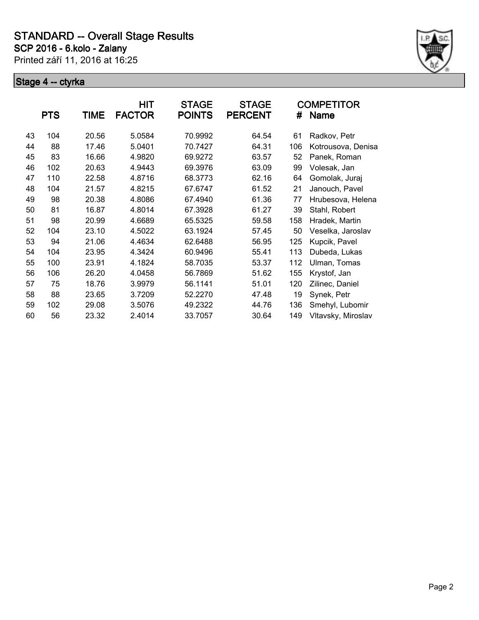

|    | <b>PTS</b> | TIME  | HIT<br><b>FACTOR</b> | <b>STAGE</b><br><b>POINTS</b> | <b>STAGE</b><br><b>PERCENT</b> | #   | <b>COMPETITOR</b><br><b>Name</b> |
|----|------------|-------|----------------------|-------------------------------|--------------------------------|-----|----------------------------------|
| 43 | 104        | 20.56 | 5.0584               | 70.9992                       | 64.54                          | 61  | Radkov, Petr                     |
| 44 | 88         | 17.46 | 5.0401               | 70.7427                       | 64.31                          | 106 | Kotrousova, Denisa               |
| 45 | 83         | 16.66 | 4.9820               | 69.9272                       | 63.57                          | 52  | Panek, Roman                     |
| 46 | 102        | 20.63 | 4.9443               | 69.3976                       | 63.09                          | 99  | Volesak, Jan                     |
| 47 | 110        | 22.58 | 4.8716               | 68.3773                       | 62.16                          | 64  | Gomolak, Juraj                   |
| 48 | 104        | 21.57 | 4.8215               | 67.6747                       | 61.52                          | 21  | Janouch, Pavel                   |
| 49 | 98         | 20.38 | 4.8086               | 67.4940                       | 61.36                          | 77  | Hrubesova, Helena                |
| 50 | 81         | 16.87 | 4.8014               | 67.3928                       | 61.27                          | 39  | Stahl, Robert                    |
| 51 | 98         | 20.99 | 4.6689               | 65.5325                       | 59.58                          | 158 | Hradek, Martin                   |
| 52 | 104        | 23.10 | 4.5022               | 63.1924                       | 57.45                          | 50  | Veselka, Jaroslav                |
| 53 | 94         | 21.06 | 4.4634               | 62.6488                       | 56.95                          | 125 | Kupcik, Pavel                    |
| 54 | 104        | 23.95 | 4.3424               | 60.9496                       | 55.41                          | 113 | Dubeda, Lukas                    |
| 55 | 100        | 23.91 | 4.1824               | 58.7035                       | 53.37                          | 112 | Ulman, Tomas                     |
| 56 | 106        | 26.20 | 4.0458               | 56.7869                       | 51.62                          | 155 | Krystof, Jan                     |
| 57 | 75         | 18.76 | 3.9979               | 56.1141                       | 51.01                          | 120 | Zilinec, Daniel                  |
| 58 | 88         | 23.65 | 3.7209               | 52.2270                       | 47.48                          | 19  | Synek, Petr                      |
| 59 | 102        | 29.08 | 3.5076               | 49.2322                       | 44.76                          | 136 | Smehyl, Lubomir                  |
| 60 | 56         | 23.32 | 2.4014               | 33.7057                       | 30.64                          | 149 | Vltavsky, Miroslav               |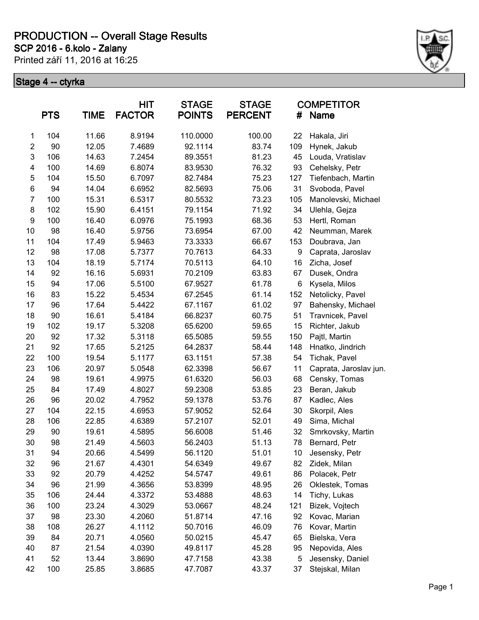**SCP 2016 - 6.kolo - Zalany**

Printed září 11, 2016 at 16:25



|                | <b>PTS</b> | TIME  | <b>HIT</b><br><b>FACTOR</b> | <b>STAGE</b><br><b>POINTS</b> | <b>STAGE</b><br><b>PERCENT</b> | #   | <b>COMPETITOR</b><br><b>Name</b> |
|----------------|------------|-------|-----------------------------|-------------------------------|--------------------------------|-----|----------------------------------|
| $\mathbf{1}$   | 104        | 11.66 | 8.9194                      | 110.0000                      | 100.00                         | 22  | Hakala, Jiri                     |
| $\overline{2}$ | 90         | 12.05 | 7.4689                      | 92.1114                       | 83.74                          | 109 | Hynek, Jakub                     |
| $\mathsf 3$    | 106        | 14.63 | 7.2454                      | 89.3551                       | 81.23                          | 45  | Louda, Vratislav                 |
| 4              | 100        | 14.69 | 6.8074                      | 83.9530                       | 76.32                          | 93  | Cehelsky, Petr                   |
| 5              | 104        | 15.50 | 6.7097                      | 82.7484                       | 75.23                          | 127 | Tiefenbach, Martin               |
| 6              | 94         | 14.04 | 6.6952                      | 82.5693                       | 75.06                          | 31  | Svoboda, Pavel                   |
| 7              | 100        | 15.31 | 6.5317                      | 80.5532                       | 73.23                          | 105 | Manolevski, Michael              |
| 8              | 102        | 15.90 | 6.4151                      | 79.1154                       | 71.92                          | 34  | Ulehla, Gejza                    |
| 9              | 100        | 16.40 | 6.0976                      | 75.1993                       | 68.36                          | 53  | Hertl, Roman                     |
| 10             | 98         | 16.40 | 5.9756                      | 73.6954                       | 67.00                          | 42  | Neumman, Marek                   |
| 11             | 104        | 17.49 | 5.9463                      | 73.3333                       | 66.67                          | 153 | Doubrava, Jan                    |
| 12             | 98         | 17.08 | 5.7377                      | 70.7613                       | 64.33                          | 9   | Caprata, Jaroslav                |
| 13             | 104        | 18.19 | 5.7174                      | 70.5113                       | 64.10                          | 16  | Zicha, Josef                     |
| 14             | 92         | 16.16 | 5.6931                      | 70.2109                       | 63.83                          | 67  | Dusek, Ondra                     |
| 15             | 94         | 17.06 | 5.5100                      | 67.9527                       | 61.78                          | 6   | Kysela, Milos                    |
| 16             | 83         | 15.22 | 5.4534                      | 67.2545                       | 61.14                          | 152 | Netolicky, Pavel                 |
| 17             | 96         | 17.64 | 5.4422                      | 67.1167                       | 61.02                          | 97  | Bahensky, Michael                |
| 18             | 90         | 16.61 | 5.4184                      | 66.8237                       | 60.75                          | 51  | Travnicek, Pavel                 |
| 19             | 102        | 19.17 | 5.3208                      | 65.6200                       | 59.65                          | 15  | Richter, Jakub                   |
| 20             | 92         | 17.32 | 5.3118                      | 65.5085                       | 59.55                          | 150 | Pajtl, Martin                    |
| 21             | 92         | 17.65 | 5.2125                      | 64.2837                       | 58.44                          | 148 | Hnatko, Jindrich                 |
| 22             | 100        | 19.54 | 5.1177                      | 63.1151                       | 57.38                          | 54  | Tichak, Pavel                    |
| 23             | 106        | 20.97 | 5.0548                      | 62.3398                       | 56.67                          | 11  | Caprata, Jaroslav jun.           |
| 24             | 98         | 19.61 | 4.9975                      | 61.6320                       | 56.03                          | 68  | Censky, Tomas                    |
| 25             | 84         | 17.49 | 4.8027                      | 59.2308                       | 53.85                          | 23  | Beran, Jakub                     |
| 26             | 96         | 20.02 | 4.7952                      | 59.1378                       | 53.76                          | 87  | Kadlec, Ales                     |
| 27             | 104        | 22.15 | 4.6953                      | 57.9052                       | 52.64                          | 30  | Skorpil, Ales                    |
| 28             | 106        | 22.85 | 4.6389                      | 57.2107                       | 52.01                          | 49  | Sima, Michal                     |
| 29             | 90         | 19.61 | 4.5895                      | 56.6008                       | 51.46                          | 32  | Smrkovsky, Martin                |
| 30             | 98         | 21.49 | 4.5603                      | 56.2403                       | 51.13                          | 78  | Bernard, Petr                    |
| 31             | 94         | 20.66 | 4.5499                      | 56.1120                       | 51.01                          | 10  | Jesensky, Petr                   |
| 32             | 96         | 21.67 | 4.4301                      | 54.6349                       | 49.67                          | 82  | Zidek, Milan                     |
| 33             | 92         | 20.79 | 4.4252                      | 54.5747                       | 49.61                          | 86  | Polacek, Petr                    |
| 34             | 96         | 21.99 | 4.3656                      | 53.8399                       | 48.95                          | 26  | Oklestek, Tomas                  |
| 35             | 106        | 24.44 | 4.3372                      | 53.4888                       | 48.63                          | 14  | Tichy, Lukas                     |
| 36             | 100        | 23.24 | 4.3029                      | 53.0667                       | 48.24                          | 121 | Bizek, Vojtech                   |
| 37             | 98         | 23.30 | 4.2060                      | 51.8714                       | 47.16                          | 92  | Kovac, Marian                    |
| 38             | 108        | 26.27 | 4.1112                      | 50.7016                       | 46.09                          | 76  | Kovar, Martin                    |
| 39             | 84         | 20.71 | 4.0560                      | 50.0215                       | 45.47                          | 65  | Bielska, Vera                    |
| 40             | 87         | 21.54 | 4.0390                      | 49.8117                       | 45.28                          | 95  | Nepovida, Ales                   |
| 41             | 52         | 13.44 | 3.8690                      | 47.7158                       | 43.38                          | 5   | Jesensky, Daniel                 |
| 42             | 100        | 25.85 | 3.8685                      | 47.7087                       | 43.37                          | 37  | Stejskal, Milan                  |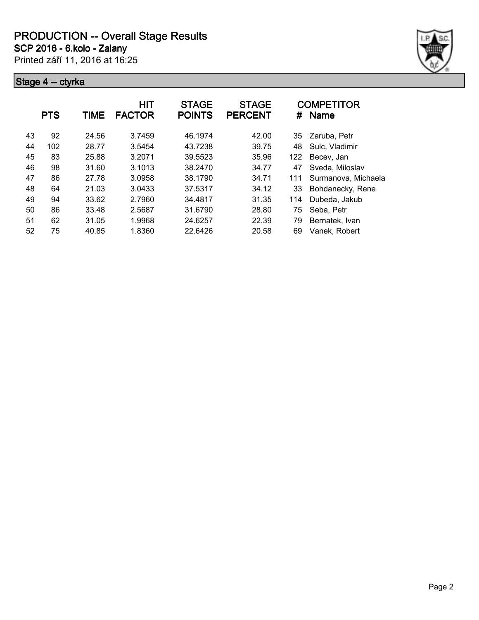**SCP 2016 - 6.kolo - Zalany**

Printed září 11, 2016 at 16:25



|    | <b>PTS</b> | TIME  | <b>HIT</b><br><b>FACTOR</b> | <b>STAGE</b><br><b>POINTS</b> | <b>STAGE</b><br><b>PERCENT</b> | #   | <b>COMPETITOR</b><br><b>Name</b> |
|----|------------|-------|-----------------------------|-------------------------------|--------------------------------|-----|----------------------------------|
| 43 | 92         | 24.56 | 3.7459                      | 46.1974                       | 42.00                          | 35  | Zaruba, Petr                     |
| 44 | 102        | 28.77 | 3.5454                      | 43.7238                       | 39.75                          | 48  | Sulc, Vladimir                   |
| 45 | 83         | 25.88 | 3.2071                      | 39.5523                       | 35.96                          | 122 | Becev, Jan                       |
| 46 | 98         | 31.60 | 3.1013                      | 38.2470                       | 34.77                          | 47  | Sveda, Miloslav                  |
| 47 | 86         | 27.78 | 3.0958                      | 38.1790                       | 34.71                          | 111 | Surmanova, Michaela              |
| 48 | 64         | 21.03 | 3.0433                      | 37.5317                       | 34.12                          | 33  | Bohdanecky, Rene                 |
| 49 | 94         | 33.62 | 2.7960                      | 34.4817                       | 31.35                          | 114 | Dubeda, Jakub                    |
| 50 | 86         | 33.48 | 2.5687                      | 31.6790                       | 28.80                          | 75  | Seba, Petr                       |
| 51 | 62         | 31.05 | 1.9968                      | 24.6257                       | 22.39                          | 79  | Bernatek, Ivan                   |
| 52 | 75         | 40.85 | 1.8360                      | 22.6426                       | 20.58                          | 69  | Vanek, Robert                    |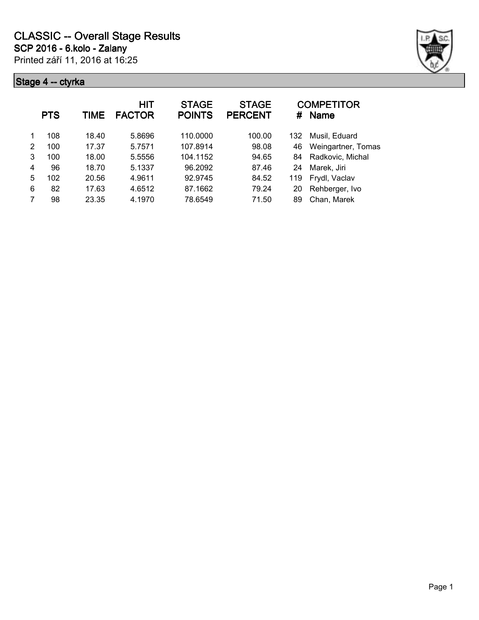

| <b>PTS</b><br>TIME |     | HIT<br><b>FACTOR</b> | <b>STAGE</b><br><b>POINTS</b> | <b>STAGE</b><br><b>PERCENT</b> | #      | <b>COMPETITOR</b><br><b>Name</b> |                    |
|--------------------|-----|----------------------|-------------------------------|--------------------------------|--------|----------------------------------|--------------------|
| 1                  | 108 | 18.40                | 5.8696                        | 110.0000                       | 100.00 | 132                              | Musil, Eduard      |
| 2                  | 100 | 17.37                | 5.7571                        | 107.8914                       | 98.08  | 46                               | Weingartner, Tomas |
| 3                  | 100 | 18.00                | 5.5556                        | 104.1152                       | 94.65  | 84                               | Radkovic, Michal   |
| 4                  | 96  | 18.70                | 5.1337                        | 96.2092                        | 87.46  | 24                               | Marek, Jiri        |
| 5                  | 102 | 20.56                | 4.9611                        | 92.9745                        | 84.52  | 119                              | Frydl, Vaclav      |
| 6                  | 82  | 17.63                | 4.6512                        | 87.1662                        | 79.24  | 20                               | Rehberger, Ivo     |
| 7                  | 98  | 23.35                | 4.1970                        | 78.6549                        | 71.50  | 89                               | Chan, Marek        |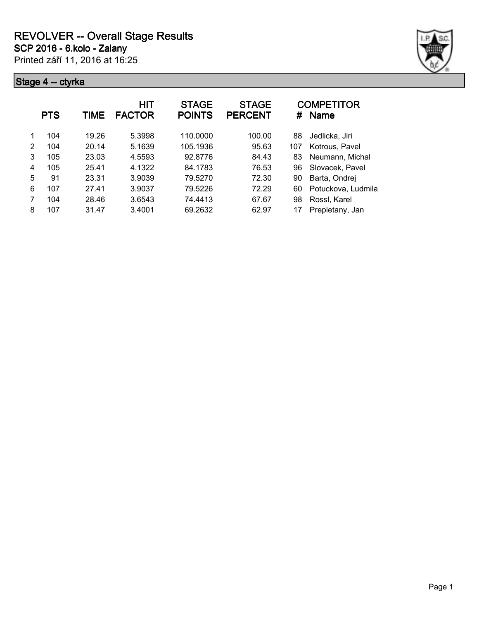

|   | <b>PTS</b> | TIME  | HIT<br><b>FACTOR</b> | <b>STAGE</b><br><b>POINTS</b> | <b>STAGE</b><br><b>PERCENT</b> | #   | <b>COMPETITOR</b><br><b>Name</b> |
|---|------------|-------|----------------------|-------------------------------|--------------------------------|-----|----------------------------------|
|   | 104        | 19.26 | 5.3998               | 110.0000                      | 100.00                         | 88  | Jedlicka, Jiri                   |
| 2 | 104        | 20.14 | 5.1639               | 105.1936                      | 95.63                          | 107 | Kotrous, Pavel                   |
| 3 | 105        | 23.03 | 4.5593               | 92.8776                       | 84.43                          | 83  | Neumann, Michal                  |
| 4 | 105        | 25.41 | 4.1322               | 84.1783                       | 76.53                          | 96  | Slovacek, Pavel                  |
| 5 | 91         | 23.31 | 3.9039               | 79.5270                       | 72.30                          | 90  | Barta, Ondrej                    |
| 6 | 107        | 27.41 | 3.9037               | 79.5226                       | 72.29                          | 60  | Potuckova, Ludmila               |
|   | 104        | 28.46 | 3.6543               | 74.4413                       | 67.67                          | 98  | Rossl, Karel                     |
| 8 | 107        | 31.47 | 3.4001               | 69.2632                       | 62.97                          |     | Prepletany, Jan                  |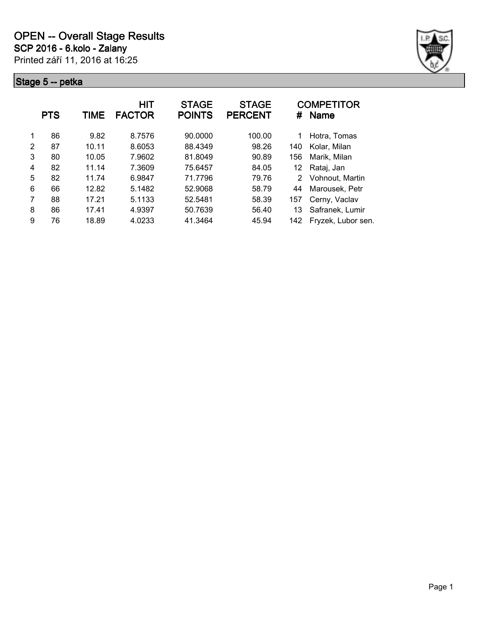

|   | <b>PTS</b> | TIME  | <b>HIT</b><br><b>FACTOR</b> | <b>STAGE</b><br><b>POINTS</b> | <b>STAGE</b><br><b>PERCENT</b> | #   | <b>COMPETITOR</b><br><b>Name</b> |
|---|------------|-------|-----------------------------|-------------------------------|--------------------------------|-----|----------------------------------|
| 1 | 86         | 9.82  | 8.7576                      | 90.0000                       | 100.00                         | 1   | Hotra, Tomas                     |
| 2 | 87         | 10.11 | 8.6053                      | 88.4349                       | 98.26                          | 140 | Kolar, Milan                     |
| 3 | 80         | 10.05 | 7.9602                      | 81.8049                       | 90.89                          | 156 | Marik, Milan                     |
| 4 | 82         | 11.14 | 7.3609                      | 75.6457                       | 84.05                          | 12  | Rataj, Jan                       |
| 5 | 82         | 11.74 | 6.9847                      | 71.7796                       | 79.76                          | 2   | Vohnout, Martin                  |
| 6 | 66         | 12.82 | 5.1482                      | 52.9068                       | 58.79                          | 44  | Marousek, Petr                   |
| 7 | 88         | 17.21 | 5.1133                      | 52.5481                       | 58.39                          | 157 | Cerny, Vaclav                    |
| 8 | 86         | 17.41 | 4.9397                      | 50.7639                       | 56.40                          | 13  | Safranek, Lumir                  |
| 9 | 76         | 18.89 | 4.0233                      | 41.3464                       | 45.94                          | 142 | Fryzek, Lubor sen.               |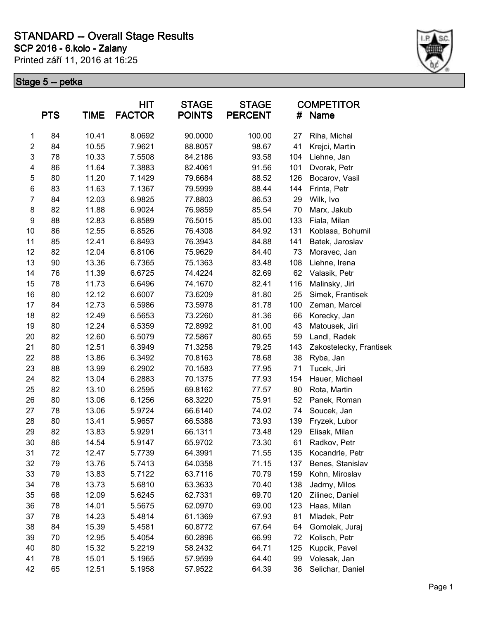### **SCP 2016 - 6.kolo - Zalany STANDARD -- Overall Stage Results**

Printed září 11, 2016 at 16:25



|                  | <b>PTS</b> | <b>TIME</b> | <b>HIT</b><br><b>FACTOR</b> | <b>STAGE</b><br><b>POINTS</b> | <b>STAGE</b><br><b>PERCENT</b> | #   | <b>COMPETITOR</b><br><b>Name</b> |
|------------------|------------|-------------|-----------------------------|-------------------------------|--------------------------------|-----|----------------------------------|
| 1                | 84         | 10.41       | 8.0692                      | 90.0000                       | 100.00                         | 27  | Riha, Michal                     |
| $\overline{2}$   | 84         | 10.55       | 7.9621                      | 88.8057                       | 98.67                          | 41  | Krejci, Martin                   |
| 3                | 78         | 10.33       | 7.5508                      | 84.2186                       | 93.58                          | 104 | Liehne, Jan                      |
| 4                | 86         | 11.64       | 7.3883                      | 82.4061                       | 91.56                          | 101 | Dvorak, Petr                     |
| 5                | 80         | 11.20       | 7.1429                      | 79.6684                       | 88.52                          | 126 | Bocarov, Vasil                   |
| 6                | 83         | 11.63       | 7.1367                      | 79.5999                       | 88.44                          | 144 | Frinta, Petr                     |
| $\overline{7}$   | 84         | 12.03       | 6.9825                      | 77.8803                       | 86.53                          | 29  | Wilk, Ivo                        |
| 8                | 82         | 11.88       | 6.9024                      | 76.9859                       | 85.54                          | 70  | Marx, Jakub                      |
| $\boldsymbol{9}$ | 88         | 12.83       | 6.8589                      | 76.5015                       | 85.00                          | 133 | Fiala, Milan                     |
| 10               | 86         | 12.55       | 6.8526                      | 76.4308                       | 84.92                          | 131 | Koblasa, Bohumil                 |
| 11               | 85         | 12.41       | 6.8493                      | 76.3943                       | 84.88                          | 141 | Batek, Jaroslav                  |
| 12               | 82         | 12.04       | 6.8106                      | 75.9629                       | 84.40                          | 73  | Moravec, Jan                     |
| 13               | 90         | 13.36       | 6.7365                      | 75.1363                       | 83.48                          | 108 | Liehne, Irena                    |
| 14               | 76         | 11.39       | 6.6725                      | 74.4224                       | 82.69                          | 62  | Valasik, Petr                    |
| 15               | 78         | 11.73       | 6.6496                      | 74.1670                       | 82.41                          | 116 | Malinsky, Jiri                   |
| 16               | 80         | 12.12       | 6.6007                      | 73.6209                       | 81.80                          | 25  | Simek, Frantisek                 |
| 17               | 84         | 12.73       | 6.5986                      | 73.5978                       | 81.78                          | 100 | Zeman, Marcel                    |
| 18               | 82         | 12.49       | 6.5653                      | 73.2260                       | 81.36                          | 66  | Korecky, Jan                     |
| 19               | 80         | 12.24       | 6.5359                      | 72.8992                       | 81.00                          | 43  | Matousek, Jiri                   |
| 20               | 82         | 12.60       | 6.5079                      | 72.5867                       | 80.65                          | 59  | Landl, Radek                     |
| 21               | 80         | 12.51       | 6.3949                      | 71.3258                       | 79.25                          | 143 | Zakostelecky, Frantisek          |
| 22               | 88         | 13.86       | 6.3492                      | 70.8163                       | 78.68                          | 38  | Ryba, Jan                        |
| 23               | 88         | 13.99       | 6.2902                      | 70.1583                       | 77.95                          | 71  | Tucek, Jiri                      |
| 24               | 82         | 13.04       | 6.2883                      | 70.1375                       | 77.93                          | 154 | Hauer, Michael                   |
| 25               | 82         | 13.10       | 6.2595                      | 69.8162                       | 77.57                          | 80  | Rota, Martin                     |
| 26               | 80         | 13.06       | 6.1256                      | 68.3220                       | 75.91                          | 52  | Panek, Roman                     |
| 27               | 78         | 13.06       | 5.9724                      | 66.6140                       | 74.02                          | 74  | Soucek, Jan                      |
| 28               | 80         | 13.41       | 5.9657                      | 66.5388                       | 73.93                          | 139 | Fryzek, Lubor                    |
| 29               | 82         | 13.83       | 5.9291                      | 66.1311                       | 73.48                          | 129 | Elisak, Milan                    |
| 30               | 86         | 14.54       | 5.9147                      | 65.9702                       | 73.30                          | 61  | Radkov, Petr                     |
| 31               | 72         | 12.47       | 5.7739                      | 64.3991                       | 71.55                          | 135 | Kocandrle, Petr                  |
| 32               | 79         | 13.76       | 5.7413                      | 64.0358                       | 71.15                          | 137 | Benes, Stanislav                 |
| 33               | 79         | 13.83       | 5.7122                      | 63.7116                       | 70.79                          | 159 | Kohn, Miroslav                   |
| 34               | 78         | 13.73       | 5.6810                      | 63.3633                       | 70.40                          | 138 | Jadrny, Milos                    |
| 35               | 68         | 12.09       | 5.6245                      | 62.7331                       | 69.70                          | 120 | Zilinec, Daniel                  |
| 36               | 78         | 14.01       | 5.5675                      | 62.0970                       | 69.00                          | 123 | Haas, Milan                      |
| 37               | 78         | 14.23       | 5.4814                      | 61.1369                       | 67.93                          | 81  | Mladek, Petr                     |
| 38               | 84         | 15.39       | 5.4581                      | 60.8772                       | 67.64                          | 64  | Gomolak, Juraj                   |
| 39               | 70         | 12.95       | 5.4054                      | 60.2896                       | 66.99                          | 72  | Kolisch, Petr                    |
| 40               | 80         | 15.32       | 5.2219                      | 58.2432                       | 64.71                          | 125 | Kupcik, Pavel                    |
| 41               | 78         | 15.01       | 5.1965                      | 57.9599                       | 64.40                          | 99  | Volesak, Jan                     |
| 42               | 65         | 12.51       | 5.1958                      | 57.9522                       | 64.39                          | 36  | Selichar, Daniel                 |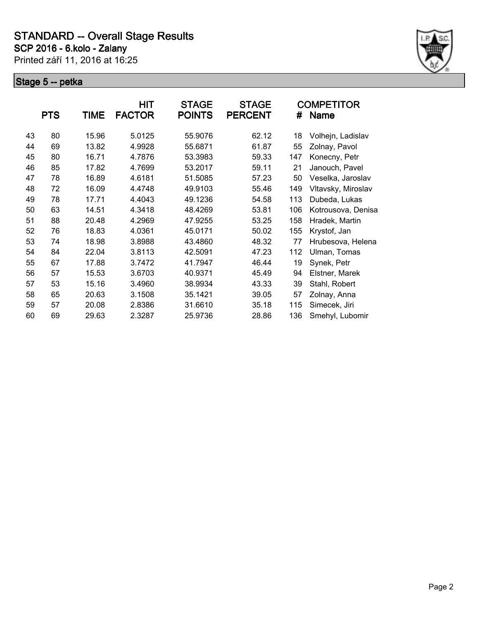

|    | <b>PTS</b> | <b>TIME</b> | HIT<br><b>FACTOR</b> | <b>STAGE</b><br><b>POINTS</b> | <b>STAGE</b><br><b>PERCENT</b> | #   | <b>COMPETITOR</b><br><b>Name</b> |
|----|------------|-------------|----------------------|-------------------------------|--------------------------------|-----|----------------------------------|
| 43 | 80         | 15.96       | 5.0125               | 55.9076                       | 62.12                          | 18  | Volhejn, Ladislav                |
| 44 | 69         | 13.82       | 4.9928               | 55.6871                       | 61.87                          | 55  | Zolnay, Pavol                    |
| 45 | 80         | 16.71       | 4.7876               | 53.3983                       | 59.33                          | 147 | Konecny, Petr                    |
| 46 | 85         | 17.82       | 4.7699               | 53.2017                       | 59.11                          | 21  | Janouch, Pavel                   |
| 47 | 78         | 16.89       | 4.6181               | 51.5085                       | 57.23                          | 50  | Veselka, Jaroslav                |
| 48 | 72         | 16.09       | 4.4748               | 49.9103                       | 55.46                          | 149 | Vltavsky, Miroslav               |
| 49 | 78         | 17.71       | 4.4043               | 49.1236                       | 54.58                          | 113 | Dubeda, Lukas                    |
| 50 | 63         | 14.51       | 4.3418               | 48.4269                       | 53.81                          | 106 | Kotrousova, Denisa               |
| 51 | 88         | 20.48       | 4.2969               | 47.9255                       | 53.25                          | 158 | Hradek, Martin                   |
| 52 | 76         | 18.83       | 4.0361               | 45.0171                       | 50.02                          | 155 | Krystof, Jan                     |
| 53 | 74         | 18.98       | 3.8988               | 43.4860                       | 48.32                          | 77  | Hrubesova, Helena                |
| 54 | 84         | 22.04       | 3.8113               | 42.5091                       | 47.23                          | 112 | Ulman, Tomas                     |
| 55 | 67         | 17.88       | 3.7472               | 41.7947                       | 46.44                          | 19  | Synek, Petr                      |
| 56 | 57         | 15.53       | 3.6703               | 40.9371                       | 45.49                          | 94  | Elstner, Marek                   |
| 57 | 53         | 15.16       | 3.4960               | 38.9934                       | 43.33                          | 39  | Stahl, Robert                    |
| 58 | 65         | 20.63       | 3.1508               | 35.1421                       | 39.05                          | 57  | Zolnay, Anna                     |
| 59 | 57         | 20.08       | 2.8386               | 31.6610                       | 35.18                          | 115 | Simecek, Jiri                    |
| 60 | 69         | 29.63       | 2.3287               | 25.9736                       | 28.86                          | 136 | Smehyl, Lubomir                  |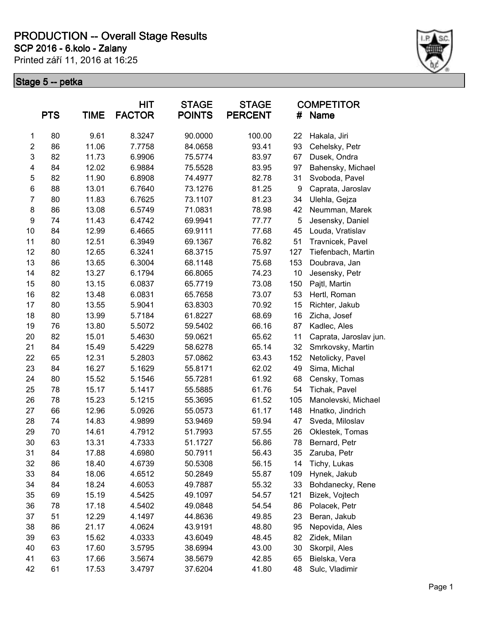Printed září 11, 2016 at 16:25 **SCP 2016 - 6.kolo - Zalany**



| <b>PTS</b><br><b>TIME</b> |    |       | HIT<br><b>FACTOR</b> | <b>STAGE</b><br><b>POINTS</b> | <b>STAGE</b><br><b>PERCENT</b> | #   | <b>COMPETITOR</b><br>Name |
|---------------------------|----|-------|----------------------|-------------------------------|--------------------------------|-----|---------------------------|
| 1                         | 80 | 9.61  | 8.3247               | 90.0000                       | 100.00                         | 22  | Hakala, Jiri              |
| $\boldsymbol{2}$          | 86 | 11.06 | 7.7758               | 84.0658                       | 93.41                          | 93  | Cehelsky, Petr            |
| 3                         | 82 | 11.73 | 6.9906               | 75.5774                       | 83.97                          | 67  | Dusek, Ondra              |
| 4                         | 84 | 12.02 | 6.9884               | 75.5528                       | 83.95                          | 97  | Bahensky, Michael         |
| 5                         | 82 | 11.90 | 6.8908               | 74.4977                       | 82.78                          | 31  | Svoboda, Pavel            |
| $\,6$                     | 88 | 13.01 | 6.7640               | 73.1276                       | 81.25                          | 9   | Caprata, Jaroslav         |
| $\overline{7}$            | 80 | 11.83 | 6.7625               | 73.1107                       | 81.23                          | 34  | Ulehla, Gejza             |
| 8                         | 86 | 13.08 | 6.5749               | 71.0831                       | 78.98                          | 42  | Neumman, Marek            |
| $\boldsymbol{9}$          | 74 | 11.43 | 6.4742               | 69.9941                       | 77.77                          | 5   | Jesensky, Daniel          |
| 10                        | 84 | 12.99 | 6.4665               | 69.9111                       | 77.68                          | 45  | Louda, Vratislav          |
| 11                        | 80 | 12.51 | 6.3949               | 69.1367                       | 76.82                          | 51  | Travnicek, Pavel          |
| 12                        | 80 | 12.65 | 6.3241               | 68.3715                       | 75.97                          | 127 | Tiefenbach, Martin        |
| 13                        | 86 | 13.65 | 6.3004               | 68.1148                       | 75.68                          | 153 | Doubrava, Jan             |
| 14                        | 82 | 13.27 | 6.1794               | 66.8065                       | 74.23                          | 10  | Jesensky, Petr            |
| 15                        | 80 | 13.15 | 6.0837               | 65.7719                       | 73.08                          | 150 | Pajtl, Martin             |
| 16                        | 82 | 13.48 | 6.0831               | 65.7658                       | 73.07                          | 53  | Hertl, Roman              |
| 17                        | 80 | 13.55 | 5.9041               | 63.8303                       | 70.92                          | 15  | Richter, Jakub            |
| 18                        | 80 | 13.99 | 5.7184               | 61.8227                       | 68.69                          | 16  | Zicha, Josef              |
| 19                        | 76 | 13.80 | 5.5072               | 59.5402                       | 66.16                          | 87  | Kadlec, Ales              |
| 20                        | 82 | 15.01 | 5.4630               | 59.0621                       | 65.62                          | 11  | Caprata, Jaroslav jun.    |
| 21                        | 84 | 15.49 | 5.4229               | 58.6278                       | 65.14                          | 32  | Smrkovsky, Martin         |
| 22                        | 65 | 12.31 | 5.2803               | 57.0862                       | 63.43                          | 152 | Netolicky, Pavel          |
| 23                        | 84 | 16.27 | 5.1629               | 55.8171                       | 62.02                          | 49  | Sima, Michal              |
| 24                        | 80 | 15.52 | 5.1546               | 55.7281                       | 61.92                          | 68  | Censky, Tomas             |
| 25                        | 78 | 15.17 | 5.1417               | 55.5885                       | 61.76                          | 54  | Tichak, Pavel             |
| 26                        | 78 | 15.23 | 5.1215               | 55.3695                       | 61.52                          | 105 | Manolevski, Michael       |
| 27                        | 66 | 12.96 | 5.0926               | 55.0573                       | 61.17                          | 148 | Hnatko, Jindrich          |
| 28                        | 74 | 14.83 | 4.9899               | 53.9469                       | 59.94                          | 47  | Sveda, Miloslav           |
| 29                        | 70 | 14.61 | 4.7912               | 51.7993                       | 57.55                          | 26  | Oklestek, Tomas           |
| 30                        | 63 | 13.31 | 4.7333               | 51.1727                       | 56.86                          | 78  | Bernard, Petr             |
| 31                        | 84 | 17.88 | 4.6980               | 50.7911                       | 56.43                          | 35  | Zaruba, Petr              |
| 32                        | 86 | 18.40 | 4.6739               | 50.5308                       | 56.15                          | 14  | Tichy, Lukas              |
| 33                        | 84 | 18.06 | 4.6512               | 50.2849                       | 55.87                          | 109 | Hynek, Jakub              |
| 34                        | 84 | 18.24 | 4.6053               | 49.7887                       | 55.32                          | 33  | Bohdanecky, Rene          |
| 35                        | 69 | 15.19 | 4.5425               | 49.1097                       | 54.57                          | 121 | Bizek, Vojtech            |
| 36                        | 78 | 17.18 | 4.5402               | 49.0848                       | 54.54                          | 86  | Polacek, Petr             |
| 37                        | 51 | 12.29 | 4.1497               | 44.8636                       | 49.85                          | 23  | Beran, Jakub              |
| 38                        | 86 | 21.17 | 4.0624               | 43.9191                       | 48.80                          | 95  | Nepovida, Ales            |
| 39                        | 63 | 15.62 | 4.0333               | 43.6049                       | 48.45                          | 82  | Zidek, Milan              |
| 40                        | 63 | 17.60 | 3.5795               | 38.6994                       | 43.00                          | 30  | Skorpil, Ales             |
| 41                        | 63 | 17.66 | 3.5674               | 38.5679                       | 42.85                          | 65  | Bielska, Vera             |
| 42                        | 61 | 17.53 | 3.4797               | 37.6204                       | 41.80                          | 48  | Sulc, Vladimir            |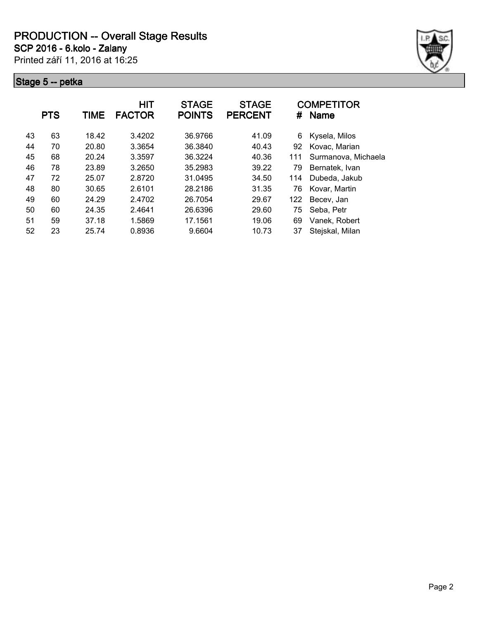**SCP 2016 - 6.kolo - Zalany**

Printed září 11, 2016 at 16:25



|    | <b>PTS</b> | TIME  | <b>HIT</b><br><b>FACTOR</b> | <b>STAGE</b><br><b>POINTS</b> | <b>STAGE</b><br><b>PERCENT</b> | #   | <b>COMPETITOR</b><br><b>Name</b> |
|----|------------|-------|-----------------------------|-------------------------------|--------------------------------|-----|----------------------------------|
| 43 | 63         | 18.42 | 3.4202                      | 36.9766                       | 41.09                          | 6   | Kysela, Milos                    |
| 44 | 70         | 20.80 | 3.3654                      | 36.3840                       | 40.43                          | 92  | Kovac, Marian                    |
| 45 | 68         | 20.24 | 3.3597                      | 36.3224                       | 40.36                          | 111 | Surmanova, Michaela              |
| 46 | 78         | 23.89 | 3.2650                      | 35.2983                       | 39.22                          | 79  | Bernatek, Ivan                   |
| 47 | 72         | 25.07 | 2.8720                      | 31.0495                       | 34.50                          | 114 | Dubeda, Jakub                    |
| 48 | 80         | 30.65 | 2.6101                      | 28.2186                       | 31.35                          | 76  | Kovar, Martin                    |
| 49 | 60         | 24.29 | 2.4702                      | 26.7054                       | 29.67                          | 122 | Becev, Jan                       |
| 50 | 60         | 24.35 | 2.4641                      | 26.6396                       | 29.60                          | 75  | Seba, Petr                       |
| 51 | 59         | 37.18 | 1.5869                      | 17.1561                       | 19.06                          | 69  | Vanek, Robert                    |
| 52 | 23         | 25.74 | 0.8936                      | 9.6604                        | 10.73                          | 37  | Stejskal, Milan                  |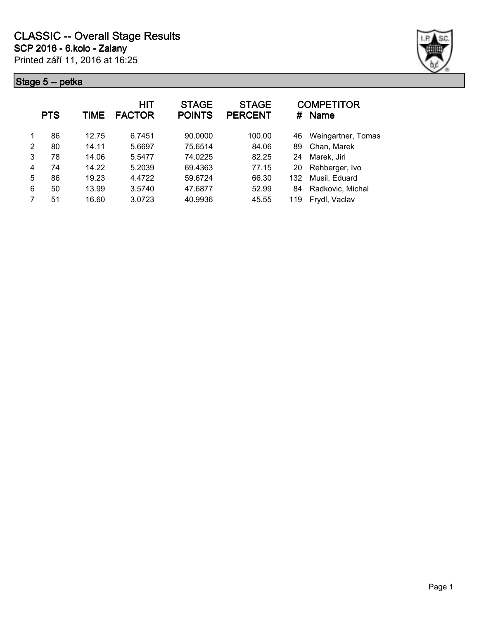

| <b>PTS</b> |    | TIME  | HIT<br><b>FACTOR</b> | <b>STAGE</b><br><b>POINTS</b> | <b>STAGE</b><br><b>PERCENT</b> | #   | <b>COMPETITOR</b><br><b>Name</b> |
|------------|----|-------|----------------------|-------------------------------|--------------------------------|-----|----------------------------------|
| 1          | 86 | 12.75 | 6.7451               | 90.0000                       | 100.00                         | 46  | Weingartner, Tomas               |
| 2          | 80 | 14.11 | 5.6697               | 75.6514                       | 84.06                          | 89  | Chan, Marek                      |
| 3          | 78 | 14.06 | 5.5477               | 74.0225                       | 82.25                          | 24  | Marek, Jiri                      |
| 4          | 74 | 14.22 | 5.2039               | 69.4363                       | 77.15                          | 20  | Rehberger, Ivo                   |
| 5          | 86 | 19.23 | 4.4722               | 59.6724                       | 66.30                          | 132 | Musil, Eduard                    |
| 6          | 50 | 13.99 | 3.5740               | 47.6877                       | 52.99                          | 84  | Radkovic, Michal                 |
| 7          | 51 | 16.60 | 3.0723               | 40.9936                       | 45.55                          | 119 | Frydl, Vaclav                    |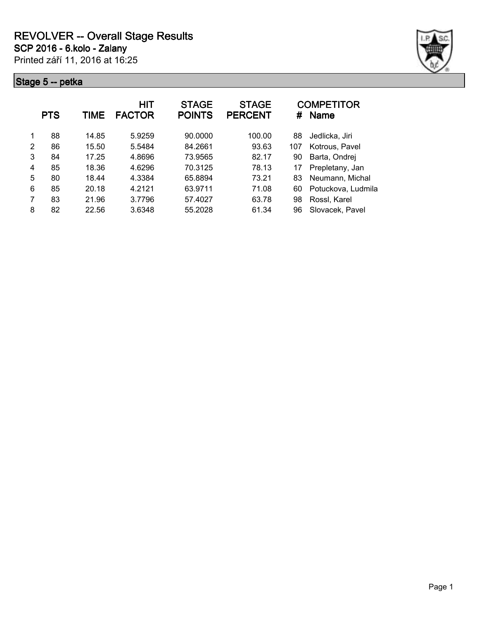

|   | <b>PTS</b> | TIME  | HIT<br><b>FACTOR</b> | <b>STAGE</b><br><b>POINTS</b> | <b>STAGE</b><br><b>PERCENT</b> | #   | <b>COMPETITOR</b><br><b>Name</b> |
|---|------------|-------|----------------------|-------------------------------|--------------------------------|-----|----------------------------------|
| 1 | 88         | 14.85 | 5.9259               | 90.0000                       | 100.00                         | 88  | Jedlicka, Jiri                   |
| 2 | 86         | 15.50 | 5.5484               | 84.2661                       | 93.63                          | 107 | Kotrous, Pavel                   |
| 3 | 84         | 17.25 | 4.8696               | 73.9565                       | 82.17                          | 90  | Barta, Ondrej                    |
| 4 | 85         | 18.36 | 4.6296               | 70.3125                       | 78.13                          | 17  | Prepletany, Jan                  |
| 5 | 80         | 18.44 | 4.3384               | 65.8894                       | 73.21                          | 83  | Neumann, Michal                  |
| 6 | 85         | 20.18 | 4.2121               | 63.9711                       | 71.08                          | 60  | Potuckova, Ludmila               |
| 7 | 83         | 21.96 | 3.7796               | 57.4027                       | 63.78                          | 98  | Rossl, Karel                     |
| 8 | 82         | 22.56 | 3.6348               | 55.2028                       | 61.34                          | 96  | Slovacek, Pavel                  |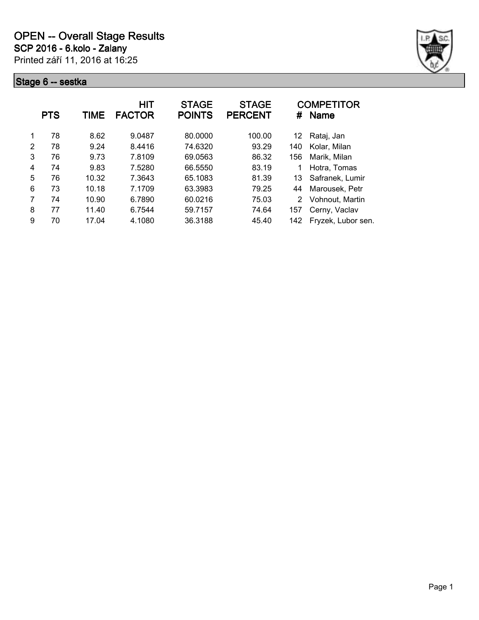

|   | <b>PTS</b> | TIME  | <b>HIT</b><br><b>FACTOR</b> | <b>STAGE</b><br><b>POINTS</b> | <b>STAGE</b><br><b>PERCENT</b> | #   | <b>COMPETITOR</b><br><b>Name</b> |
|---|------------|-------|-----------------------------|-------------------------------|--------------------------------|-----|----------------------------------|
| 1 | 78         | 8.62  | 9.0487                      | 80.0000                       | 100.00                         | 12  | Rataj, Jan                       |
| 2 | 78         | 9.24  | 8.4416                      | 74.6320                       | 93.29                          | 140 | Kolar, Milan                     |
| 3 | 76         | 9.73  | 7.8109                      | 69.0563                       | 86.32                          | 156 | Marik, Milan                     |
| 4 | 74         | 9.83  | 7.5280                      | 66.5550                       | 83.19                          | 1   | Hotra, Tomas                     |
| 5 | 76         | 10.32 | 7.3643                      | 65.1083                       | 81.39                          | 13  | Safranek, Lumir                  |
| 6 | 73         | 10.18 | 7.1709                      | 63.3983                       | 79.25                          | 44  | Marousek, Petr                   |
| 7 | 74         | 10.90 | 6.7890                      | 60.0216                       | 75.03                          | 2   | Vohnout, Martin                  |
| 8 | 77         | 11.40 | 6.7544                      | 59.7157                       | 74.64                          | 157 | Cerny, Vaclav                    |
| 9 | 70         | 17.04 | 4.1080                      | 36.3188                       | 45.40                          | 142 | Fryzek, Lubor sen.               |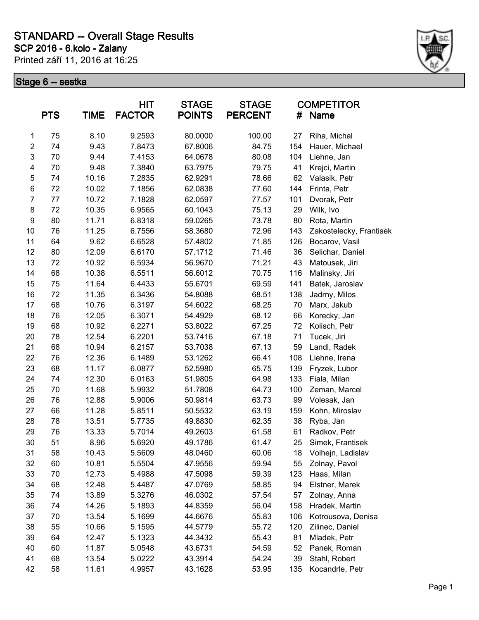### **SCP 2016 - 6.kolo - Zalany STANDARD -- Overall Stage Results**

Printed září 11, 2016 at 16:25



|                         | <b>PTS</b> | <b>TIME</b> | <b>HIT</b><br><b>FACTOR</b> | <b>STAGE</b><br><b>POINTS</b> | <b>STAGE</b><br><b>PERCENT</b> | #   | <b>COMPETITOR</b><br>Name |
|-------------------------|------------|-------------|-----------------------------|-------------------------------|--------------------------------|-----|---------------------------|
| 1                       | 75         | 8.10        | 9.2593                      | 80.0000                       | 100.00                         | 27  | Riha, Michal              |
| $\overline{\mathbf{c}}$ | 74         | 9.43        | 7.8473                      | 67.8006                       | 84.75                          | 154 | Hauer, Michael            |
| 3                       | 70         | 9.44        | 7.4153                      | 64.0678                       | 80.08                          | 104 | Liehne, Jan               |
| $\overline{\mathbf{4}}$ | 70         | 9.48        | 7.3840                      | 63.7975                       | 79.75                          | 41  | Krejci, Martin            |
| 5                       | 74         | 10.16       | 7.2835                      | 62.9291                       | 78.66                          | 62  | Valasik, Petr             |
| $\,6$                   | 72         | 10.02       | 7.1856                      | 62.0838                       | 77.60                          | 144 | Frinta, Petr              |
| $\overline{7}$          | 77         | 10.72       | 7.1828                      | 62.0597                       | 77.57                          | 101 | Dvorak, Petr              |
| 8                       | 72         | 10.35       | 6.9565                      | 60.1043                       | 75.13                          | 29  | Wilk, Ivo                 |
| $\boldsymbol{9}$        | 80         | 11.71       | 6.8318                      | 59.0265                       | 73.78                          | 80  | Rota, Martin              |
| 10                      | 76         | 11.25       | 6.7556                      | 58.3680                       | 72.96                          | 143 | Zakostelecky, Frantisek   |
| 11                      | 64         | 9.62        | 6.6528                      | 57.4802                       | 71.85                          | 126 | Bocarov, Vasil            |
| 12                      | 80         | 12.09       | 6.6170                      | 57.1712                       | 71.46                          | 36  | Selichar, Daniel          |
| 13                      | 72         | 10.92       | 6.5934                      | 56.9670                       | 71.21                          | 43  | Matousek, Jiri            |
| 14                      | 68         | 10.38       | 6.5511                      | 56.6012                       | 70.75                          | 116 | Malinsky, Jiri            |
| 15                      | 75         | 11.64       | 6.4433                      | 55.6701                       | 69.59                          | 141 | Batek, Jaroslav           |
| 16                      | 72         | 11.35       | 6.3436                      | 54.8088                       | 68.51                          | 138 | Jadrny, Milos             |
| 17                      | 68         | 10.76       | 6.3197                      | 54.6022                       | 68.25                          | 70  | Marx, Jakub               |
| 18                      | 76         | 12.05       | 6.3071                      | 54.4929                       | 68.12                          | 66  | Korecky, Jan              |
| 19                      | 68         | 10.92       | 6.2271                      | 53.8022                       | 67.25                          | 72  | Kolisch, Petr             |
| 20                      | 78         | 12.54       | 6.2201                      | 53.7416                       | 67.18                          | 71  | Tucek, Jiri               |
| 21                      | 68         | 10.94       | 6.2157                      | 53.7038                       | 67.13                          | 59  | Landl, Radek              |
| 22                      | 76         | 12.36       | 6.1489                      | 53.1262                       | 66.41                          | 108 | Liehne, Irena             |
| 23                      | 68         | 11.17       | 6.0877                      | 52.5980                       | 65.75                          | 139 | Fryzek, Lubor             |
| 24                      | 74         | 12.30       | 6.0163                      | 51.9805                       | 64.98                          | 133 | Fiala, Milan              |
| 25                      | 70         | 11.68       | 5.9932                      | 51.7808                       | 64.73                          | 100 | Zeman, Marcel             |
| 26                      | 76         | 12.88       | 5.9006                      | 50.9814                       | 63.73                          | 99  | Volesak, Jan              |
| 27                      | 66         | 11.28       | 5.8511                      | 50.5532                       | 63.19                          | 159 | Kohn, Miroslav            |
| 28                      | 78         | 13.51       | 5.7735                      | 49.8830                       | 62.35                          | 38  | Ryba, Jan                 |
| 29                      | 76         | 13.33       | 5.7014                      | 49.2603                       | 61.58                          | 61  | Radkov, Petr              |
| 30                      | 51         | 8.96        | 5.6920                      | 49.1786                       | 61.47                          | 25  | Simek, Frantisek          |
| 31                      | 58         | 10.43       | 5.5609                      | 48.0460                       | 60.06                          | 18  | Volhejn, Ladislav         |
| 32                      | 60         | 10.81       | 5.5504                      | 47.9556                       | 59.94                          | 55  | Zolnay, Pavol             |
| 33                      | 70         | 12.73       | 5.4988                      | 47.5098                       | 59.39                          | 123 | Haas, Milan               |
| 34                      | 68         | 12.48       | 5.4487                      | 47.0769                       | 58.85                          | 94  | Elstner, Marek            |
| 35                      | 74         | 13.89       | 5.3276                      | 46.0302                       | 57.54                          | 57  | Zolnay, Anna              |
| 36                      | 74         | 14.26       | 5.1893                      | 44.8359                       | 56.04                          | 158 | Hradek, Martin            |
| 37                      | 70         | 13.54       | 5.1699                      | 44.6676                       | 55.83                          | 106 | Kotrousova, Denisa        |
| 38                      | 55         | 10.66       | 5.1595                      | 44.5779                       | 55.72                          | 120 | Zilinec, Daniel           |
| 39                      | 64         | 12.47       | 5.1323                      | 44.3432                       | 55.43                          | 81  | Mladek, Petr              |
| 40                      | 60         | 11.87       | 5.0548                      | 43.6731                       | 54.59                          | 52  | Panek, Roman              |
| 41                      | 68         | 13.54       | 5.0222                      | 43.3914                       | 54.24                          | 39  | Stahl, Robert             |
| 42                      | 58         | 11.61       | 4.9957                      | 43.1628                       | 53.95                          | 135 | Kocandrle, Petr           |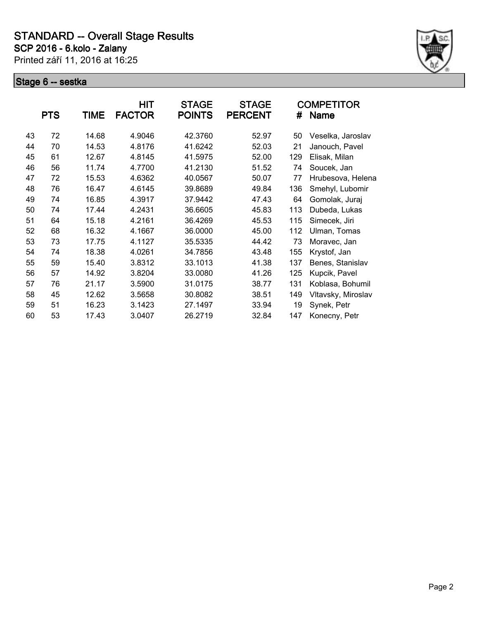

|    | <b>PTS</b> | TIME  | HIT<br><b>FACTOR</b> | <b>STAGE</b><br><b>POINTS</b> | <b>STAGE</b><br><b>PERCENT</b> | #   | <b>COMPETITOR</b><br><b>Name</b> |
|----|------------|-------|----------------------|-------------------------------|--------------------------------|-----|----------------------------------|
| 43 | 72         | 14.68 | 4.9046               | 42.3760                       | 52.97                          | 50  | Veselka, Jaroslav                |
| 44 | 70         | 14.53 | 4.8176               | 41.6242                       | 52.03                          | 21  | Janouch, Pavel                   |
| 45 | 61         | 12.67 | 4.8145               | 41.5975                       | 52.00                          | 129 | Elisak, Milan                    |
| 46 | 56         | 11.74 | 4.7700               | 41.2130                       | 51.52                          | 74  | Soucek, Jan                      |
| 47 | 72         | 15.53 | 4.6362               | 40.0567                       | 50.07                          | 77  | Hrubesova, Helena                |
| 48 | 76         | 16.47 | 4.6145               | 39.8689                       | 49.84                          | 136 | Smehyl, Lubomir                  |
| 49 | 74         | 16.85 | 4.3917               | 37.9442                       | 47.43                          | 64  | Gomolak, Juraj                   |
| 50 | 74         | 17.44 | 4.2431               | 36.6605                       | 45.83                          | 113 | Dubeda, Lukas                    |
| 51 | 64         | 15.18 | 4.2161               | 36.4269                       | 45.53                          | 115 | Simecek, Jiri                    |
| 52 | 68         | 16.32 | 4.1667               | 36.0000                       | 45.00                          | 112 | Ulman, Tomas                     |
| 53 | 73         | 17.75 | 4.1127               | 35.5335                       | 44.42                          | 73  | Moravec, Jan                     |
| 54 | 74         | 18.38 | 4.0261               | 34.7856                       | 43.48                          | 155 | Krystof, Jan                     |
| 55 | 59         | 15.40 | 3.8312               | 33.1013                       | 41.38                          | 137 | Benes, Stanislav                 |
| 56 | 57         | 14.92 | 3.8204               | 33.0080                       | 41.26                          | 125 | Kupcik, Pavel                    |
| 57 | 76         | 21.17 | 3.5900               | 31.0175                       | 38.77                          | 131 | Koblasa, Bohumil                 |
| 58 | 45         | 12.62 | 3.5658               | 30.8082                       | 38.51                          | 149 | Vltavsky, Miroslav               |
| 59 | 51         | 16.23 | 3.1423               | 27.1497                       | 33.94                          | 19  | Synek, Petr                      |
| 60 | 53         | 17.43 | 3.0407               | 26.2719                       | 32.84                          | 147 | Konecny, Petr                    |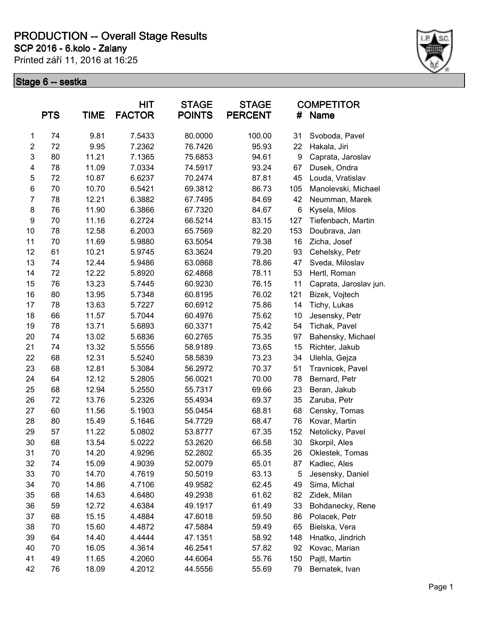Printed září 11, 2016 at 16:25 **SCP 2016 - 6.kolo - Zalany**



|                         | <b>PTS</b> | <b>TIME</b> | HIT<br><b>FACTOR</b> | <b>STAGE</b><br><b>POINTS</b> | <b>STAGE</b><br><b>PERCENT</b> | #   | <b>COMPETITOR</b><br><b>Name</b> |
|-------------------------|------------|-------------|----------------------|-------------------------------|--------------------------------|-----|----------------------------------|
| 1                       | 74         | 9.81        | 7.5433               | 80.0000                       | 100.00                         | 31  | Svoboda, Pavel                   |
| $\overline{\mathbf{c}}$ | 72         | 9.95        | 7.2362               | 76.7426                       | 95.93                          | 22  | Hakala, Jiri                     |
| 3                       | 80         | 11.21       | 7.1365               | 75.6853                       | 94.61                          | 9   | Caprata, Jaroslav                |
| $\overline{\mathbf{4}}$ | 78         | 11.09       | 7.0334               | 74.5917                       | 93.24                          | 67  | Dusek, Ondra                     |
| 5                       | 72         | 10.87       | 6.6237               | 70.2474                       | 87.81                          | 45  | Louda, Vratislav                 |
| $\,6$                   | 70         | 10.70       | 6.5421               | 69.3812                       | 86.73                          | 105 | Manolevski, Michael              |
| $\overline{7}$          | 78         | 12.21       | 6.3882               | 67.7495                       | 84.69                          | 42  | Neumman, Marek                   |
| 8                       | 76         | 11.90       | 6.3866               | 67.7320                       | 84.67                          | 6   | Kysela, Milos                    |
| 9                       | 70         | 11.16       | 6.2724               | 66.5214                       | 83.15                          | 127 | Tiefenbach, Martin               |
| 10                      | 78         | 12.58       | 6.2003               | 65.7569                       | 82.20                          | 153 | Doubrava, Jan                    |
| 11                      | 70         | 11.69       | 5.9880               | 63.5054                       | 79.38                          | 16  | Zicha, Josef                     |
| 12                      | 61         | 10.21       | 5.9745               | 63.3624                       | 79.20                          | 93  | Cehelsky, Petr                   |
| 13                      | 74         | 12.44       | 5.9486               | 63.0868                       | 78.86                          | 47  | Sveda, Miloslav                  |
| 14                      | 72         | 12.22       | 5.8920               | 62.4868                       | 78.11                          | 53  | Hertl, Roman                     |
| 15                      | 76         | 13.23       | 5.7445               | 60.9230                       | 76.15                          | 11  | Caprata, Jaroslav jun.           |
| 16                      | 80         | 13.95       | 5.7348               | 60.8195                       | 76.02                          | 121 | Bizek, Vojtech                   |
| 17                      | 78         | 13.63       | 5.7227               | 60.6912                       | 75.86                          | 14  | Tichy, Lukas                     |
| 18                      | 66         | 11.57       | 5.7044               | 60.4976                       | 75.62                          | 10  | Jesensky, Petr                   |
| 19                      | 78         | 13.71       | 5.6893               | 60.3371                       | 75.42                          | 54  | Tichak, Pavel                    |
| 20                      | 74         | 13.02       | 5.6836               | 60.2765                       | 75.35                          | 97  | Bahensky, Michael                |
| 21                      | 74         | 13.32       | 5.5556               | 58.9189                       | 73.65                          | 15  | Richter, Jakub                   |
| 22                      | 68         | 12.31       | 5.5240               | 58.5839                       | 73.23                          | 34  | Ulehla, Gejza                    |
| 23                      | 68         | 12.81       | 5.3084               | 56.2972                       | 70.37                          | 51  | Travnicek, Pavel                 |
| 24                      | 64         | 12.12       | 5.2805               | 56.0021                       | 70.00                          | 78  | Bernard, Petr                    |
| 25                      | 68         | 12.94       | 5.2550               | 55.7317                       | 69.66                          | 23  | Beran, Jakub                     |
| 26                      | 72         | 13.76       | 5.2326               | 55.4934                       | 69.37                          | 35  | Zaruba, Petr                     |
| 27                      | 60         | 11.56       | 5.1903               | 55.0454                       | 68.81                          | 68  | Censky, Tomas                    |
| 28                      | 80         | 15.49       | 5.1646               | 54.7729                       | 68.47                          | 76  | Kovar, Martin                    |
| 29                      | 57         | 11.22       | 5.0802               | 53.8777                       | 67.35                          | 152 | Netolicky, Pavel                 |
| 30                      | 68         | 13.54       | 5.0222               | 53.2620                       | 66.58                          | 30  | Skorpil, Ales                    |
| 31                      | 70         | 14.20       | 4.9296               | 52.2802                       | 65.35                          | 26  | Oklestek, Tomas                  |
| 32                      | 74         | 15.09       | 4.9039               | 52.0079                       | 65.01                          | 87  | Kadlec, Ales                     |
| 33                      | 70         | 14.70       | 4.7619               | 50.5019                       | 63.13                          | 5   | Jesensky, Daniel                 |
| 34                      | 70         | 14.86       | 4.7106               | 49.9582                       | 62.45                          | 49  | Sima, Michal                     |
| 35                      | 68         | 14.63       | 4.6480               | 49.2938                       | 61.62                          | 82  | Zidek, Milan                     |
| 36                      | 59         | 12.72       | 4.6384               | 49.1917                       | 61.49                          | 33  | Bohdanecky, Rene                 |
| 37                      | 68         | 15.15       | 4.4884               | 47.6018                       | 59.50                          | 86  | Polacek, Petr                    |
| 38                      | 70         | 15.60       | 4.4872               | 47.5884                       | 59.49                          | 65  | Bielska, Vera                    |
| 39                      | 64         | 14.40       | 4.4444               | 47.1351                       | 58.92                          | 148 | Hnatko, Jindrich                 |
| 40                      | 70         | 16.05       | 4.3614               | 46.2541                       | 57.82                          | 92  | Kovac, Marian                    |
| 41                      | 49         | 11.65       | 4.2060               | 44.6064                       | 55.76                          | 150 | Pajtl, Martin                    |
| 42                      | 76         | 18.09       | 4.2012               | 44.5556                       | 55.69                          | 79  | Bernatek, Ivan                   |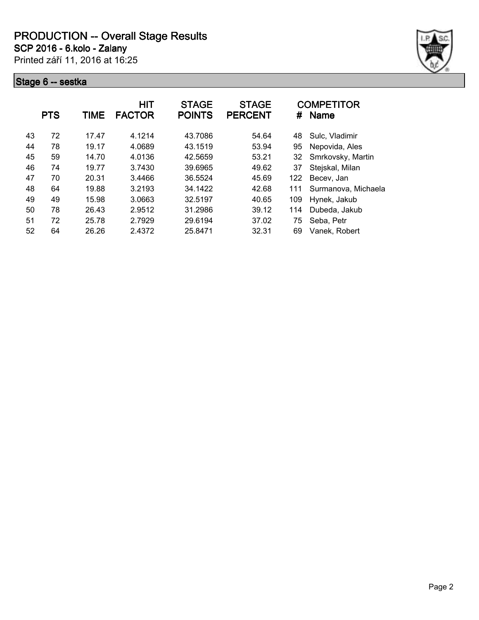**SCP 2016 - 6.kolo - Zalany**

Printed září 11, 2016 at 16:25



|    | <b>PTS</b> | TIME  | <b>HIT</b><br><b>FACTOR</b> | <b>STAGE</b><br><b>POINTS</b> | <b>STAGE</b><br><b>PERCENT</b> | #   | <b>COMPETITOR</b><br><b>Name</b> |
|----|------------|-------|-----------------------------|-------------------------------|--------------------------------|-----|----------------------------------|
| 43 | 72         | 17.47 | 4.1214                      | 43.7086                       | 54.64                          | 48  | Sulc, Vladimir                   |
| 44 | 78         | 19.17 | 4.0689                      | 43.1519                       | 53.94                          | 95  | Nepovida, Ales                   |
| 45 | 59         | 14.70 | 4.0136                      | 42.5659                       | 53.21                          | 32  | Smrkovsky, Martin                |
| 46 | 74         | 19.77 | 3.7430                      | 39.6965                       | 49.62                          | 37  | Stejskal, Milan                  |
| 47 | 70         | 20.31 | 3.4466                      | 36.5524                       | 45.69                          | 122 | Becev, Jan                       |
| 48 | 64         | 19.88 | 3.2193                      | 34.1422                       | 42.68                          | 111 | Surmanova, Michaela              |
| 49 | 49         | 15.98 | 3.0663                      | 32.5197                       | 40.65                          | 109 | Hynek, Jakub                     |
| 50 | 78         | 26.43 | 2.9512                      | 31.2986                       | 39.12                          | 114 | Dubeda, Jakub                    |
| 51 | 72         | 25.78 | 2.7929                      | 29.6194                       | 37.02                          | 75  | Seba, Petr                       |
| 52 | 64         | 26.26 | 2.4372                      | 25.8471                       | 32.31                          | 69  | Vanek. Robert                    |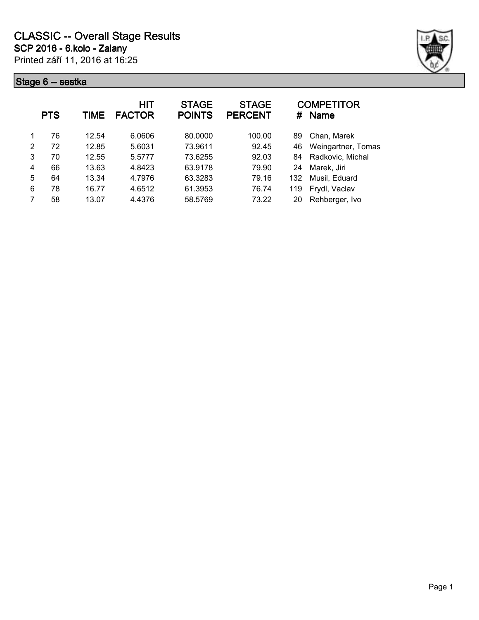

|   | <b>PTS</b> | TIME  | HIT<br><b>FACTOR</b> | <b>STAGE</b><br><b>POINTS</b> | <b>STAGE</b><br><b>PERCENT</b> | #   | <b>COMPETITOR</b><br><b>Name</b> |
|---|------------|-------|----------------------|-------------------------------|--------------------------------|-----|----------------------------------|
| 1 | 76         | 12.54 | 6.0606               | 80.0000                       | 100.00                         | 89  | Chan, Marek                      |
| 2 | 72         | 12.85 | 5.6031               | 73.9611                       | 92.45                          | 46  | Weingartner, Tomas               |
| 3 | 70         | 12.55 | 5.5777               | 73.6255                       | 92.03                          | 84  | Radkovic, Michal                 |
| 4 | 66         | 13.63 | 4.8423               | 63.9178                       | 79.90                          | 24  | Marek, Jiri                      |
| 5 | 64         | 13.34 | 4.7976               | 63.3283                       | 79.16                          | 132 | Musil, Eduard                    |
| 6 | 78         | 16.77 | 4.6512               | 61.3953                       | 76.74                          | 119 | Frydl, Vaclav                    |
| 7 | 58         | 13.07 | 4.4376               | 58.5769                       | 73.22                          | 20  | Rehberger, Ivo                   |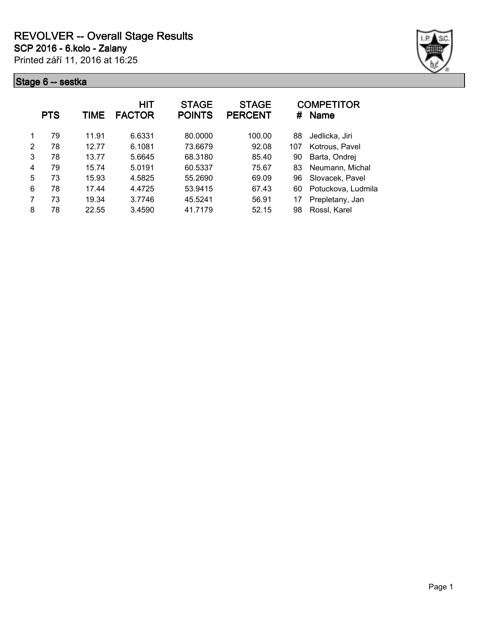

|   | <b>PTS</b> | TIME  | HIT<br><b>FACTOR</b> | <b>STAGE</b><br><b>POINTS</b> | <b>STAGE</b><br><b>PERCENT</b> | #   | <b>COMPETITOR</b><br>Name |
|---|------------|-------|----------------------|-------------------------------|--------------------------------|-----|---------------------------|
|   | 79         | 11.91 | 6.6331               | 80.0000                       | 100.00                         | 88  | Jedlicka, Jiri            |
| 2 | 78         | 12.77 | 6.1081               | 73.6679                       | 92.08                          | 107 | Kotrous, Pavel            |
| 3 | 78         | 13.77 | 5.6645               | 68.3180                       | 85.40                          | 90  | Barta, Ondrej             |
| 4 | 79         | 15.74 | 5.0191               | 60.5337                       | 75.67                          | 83  | Neumann, Michal           |
| 5 | 73         | 15.93 | 4.5825               | 55.2690                       | 69.09                          | 96  | Slovacek, Pavel           |
| 6 | 78         | 17.44 | 4.4725               | 53.9415                       | 67.43                          | 60  | Potuckova, Ludmila        |
| 7 | 73         | 19.34 | 3.7746               | 45.5241                       | 56.91                          | 17  | Prepletany, Jan           |
| 8 | 78         | 22.55 | 3.4590               | 41.7179                       | 52.15                          | 98  | Rossl, Karel              |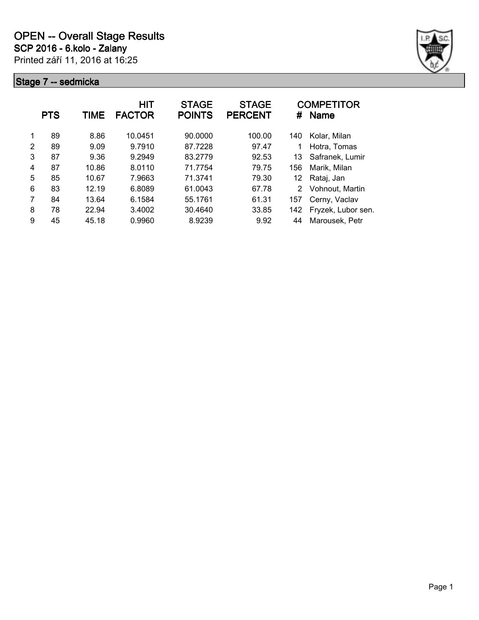

|   | <b>PTS</b> | TIME  | HIT<br><b>FACTOR</b> | <b>STAGE</b><br><b>POINTS</b> | <b>STAGE</b><br><b>PERCENT</b> | #   | <b>COMPETITOR</b><br><b>Name</b> |
|---|------------|-------|----------------------|-------------------------------|--------------------------------|-----|----------------------------------|
| 1 | 89         | 8.86  | 10.0451              | 90.0000                       | 100.00                         | 140 | Kolar, Milan                     |
| 2 | 89         | 9.09  | 9.7910               | 87.7228                       | 97.47                          | 1   | Hotra, Tomas                     |
| 3 | 87         | 9.36  | 9.2949               | 83.2779                       | 92.53                          | 13  | Safranek, Lumir                  |
| 4 | 87         | 10.86 | 8.0110               | 71.7754                       | 79.75                          | 156 | Marik, Milan                     |
| 5 | 85         | 10.67 | 7.9663               | 71.3741                       | 79.30                          | 12  | Rataj, Jan                       |
| 6 | 83         | 12.19 | 6.8089               | 61.0043                       | 67.78                          | 2   | Vohnout, Martin                  |
| 7 | 84         | 13.64 | 6.1584               | 55.1761                       | 61.31                          | 157 | Cerny, Vaclav                    |
| 8 | 78         | 22.94 | 3.4002               | 30.4640                       | 33.85                          | 142 | Fryzek, Lubor sen.               |
| 9 | 45         | 45.18 | 0.9960               | 8.9239                        | 9.92                           | 44  | Marousek, Petr                   |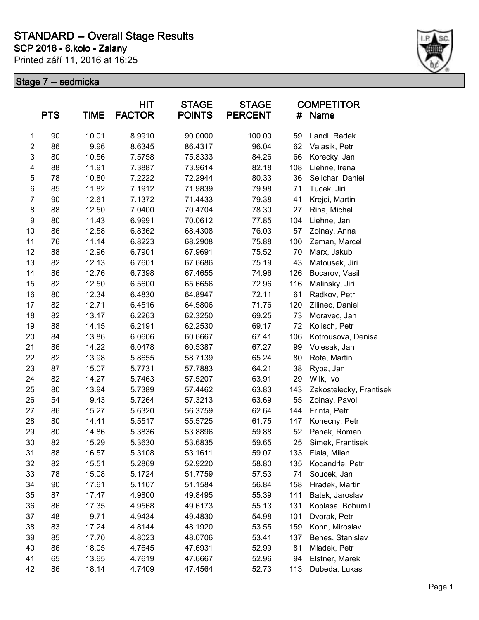### **SCP 2016 - 6.kolo - Zalany STANDARD -- Overall Stage Results**

Printed září 11, 2016 at 16:25



|                | <b>PTS</b> | <b>TIME</b> | HIT<br><b>FACTOR</b> | <b>STAGE</b><br><b>POINTS</b> | <b>STAGE</b><br><b>PERCENT</b> | #   | <b>COMPETITOR</b><br><b>Name</b> |
|----------------|------------|-------------|----------------------|-------------------------------|--------------------------------|-----|----------------------------------|
| 1              | 90         | 10.01       | 8.9910               | 90.0000                       | 100.00                         | 59  | Landl, Radek                     |
| $\overline{c}$ | 86         | 9.96        | 8.6345               | 86.4317                       | 96.04                          | 62  | Valasik, Petr                    |
| 3              | 80         | 10.56       | 7.5758               | 75.8333                       | 84.26                          | 66  | Korecky, Jan                     |
| 4              | 88         | 11.91       | 7.3887               | 73.9614                       | 82.18                          | 108 | Liehne, Irena                    |
| 5              | 78         | 10.80       | 7.2222               | 72.2944                       | 80.33                          | 36  | Selichar, Daniel                 |
| 6              | 85         | 11.82       | 7.1912               | 71.9839                       | 79.98                          | 71  | Tucek, Jiri                      |
| $\overline{7}$ | 90         | 12.61       | 7.1372               | 71.4433                       | 79.38                          | 41  | Krejci, Martin                   |
| $\bf 8$        | 88         | 12.50       | 7.0400               | 70.4704                       | 78.30                          | 27  | Riha, Michal                     |
| 9              | 80         | 11.43       | 6.9991               | 70.0612                       | 77.85                          | 104 | Liehne, Jan                      |
| 10             | 86         | 12.58       | 6.8362               | 68.4308                       | 76.03                          | 57  | Zolnay, Anna                     |
| 11             | 76         | 11.14       | 6.8223               | 68.2908                       | 75.88                          | 100 | Zeman, Marcel                    |
| 12             | 88         | 12.96       | 6.7901               | 67.9691                       | 75.52                          | 70  | Marx, Jakub                      |
| 13             | 82         | 12.13       | 6.7601               | 67.6686                       | 75.19                          | 43  | Matousek, Jiri                   |
| 14             | 86         | 12.76       | 6.7398               | 67.4655                       | 74.96                          | 126 | Bocarov, Vasil                   |
| 15             | 82         | 12.50       | 6.5600               | 65.6656                       | 72.96                          | 116 | Malinsky, Jiri                   |
| 16             | 80         | 12.34       | 6.4830               | 64.8947                       | 72.11                          | 61  | Radkov, Petr                     |
| 17             | 82         | 12.71       | 6.4516               | 64.5806                       | 71.76                          | 120 | Zilinec, Daniel                  |
| 18             | 82         | 13.17       | 6.2263               | 62.3250                       | 69.25                          | 73  | Moravec, Jan                     |
| 19             | 88         | 14.15       | 6.2191               | 62.2530                       | 69.17                          | 72  | Kolisch, Petr                    |
| 20             | 84         | 13.86       | 6.0606               | 60.6667                       | 67.41                          | 106 | Kotrousova, Denisa               |
| 21             | 86         | 14.22       | 6.0478               | 60.5387                       | 67.27                          | 99  | Volesak, Jan                     |
| 22             | 82         | 13.98       | 5.8655               | 58.7139                       | 65.24                          | 80  | Rota, Martin                     |
| 23             | 87         | 15.07       | 5.7731               | 57.7883                       | 64.21                          | 38  | Ryba, Jan                        |
| 24             | 82         | 14.27       | 5.7463               | 57.5207                       | 63.91                          | 29  | Wilk, Ivo                        |
| 25             | 80         | 13.94       | 5.7389               | 57.4462                       | 63.83                          | 143 | Zakostelecky, Frantisek          |
| 26             | 54         | 9.43        | 5.7264               | 57.3213                       | 63.69                          | 55  | Zolnay, Pavol                    |
| 27             | 86         | 15.27       | 5.6320               | 56.3759                       | 62.64                          | 144 | Frinta, Petr                     |
| 28             | 80         | 14.41       | 5.5517               | 55.5725                       | 61.75                          | 147 | Konecny, Petr                    |
| 29             | 80         | 14.86       | 5.3836               | 53.8896                       | 59.88                          | 52  | Panek, Roman                     |
| 30             | 82         | 15.29       | 5.3630               | 53.6835                       | 59.65                          | 25  | Simek, Frantisek                 |
| 31             | 88         | 16.57       | 5.3108               | 53.1611                       | 59.07                          | 133 | Fiala, Milan                     |
| 32             | 82         | 15.51       | 5.2869               | 52.9220                       | 58.80                          | 135 | Kocandrle, Petr                  |
| 33             | 78         | 15.08       | 5.1724               | 51.7759                       | 57.53                          | 74  | Soucek, Jan                      |
| 34             | 90         | 17.61       | 5.1107               | 51.1584                       | 56.84                          | 158 | Hradek, Martin                   |
| 35             | 87         | 17.47       | 4.9800               | 49.8495                       | 55.39                          | 141 | Batek, Jaroslav                  |
| 36             | 86         | 17.35       | 4.9568               | 49.6173                       | 55.13                          | 131 | Koblasa, Bohumil                 |
| 37             | 48         | 9.71        | 4.9434               | 49.4830                       | 54.98                          | 101 | Dvorak, Petr                     |
| 38             | 83         | 17.24       | 4.8144               | 48.1920                       | 53.55                          | 159 | Kohn, Miroslav                   |
| 39             | 85         | 17.70       | 4.8023               | 48.0706                       | 53.41                          | 137 | Benes, Stanislav                 |
| 40             | 86         | 18.05       | 4.7645               | 47.6931                       | 52.99                          | 81  | Mladek, Petr                     |
| 41             | 65         | 13.65       | 4.7619               | 47.6667                       | 52.96                          | 94  | Elstner, Marek                   |
| 42             | 86         | 18.14       | 4.7409               | 47.4564                       | 52.73                          | 113 | Dubeda, Lukas                    |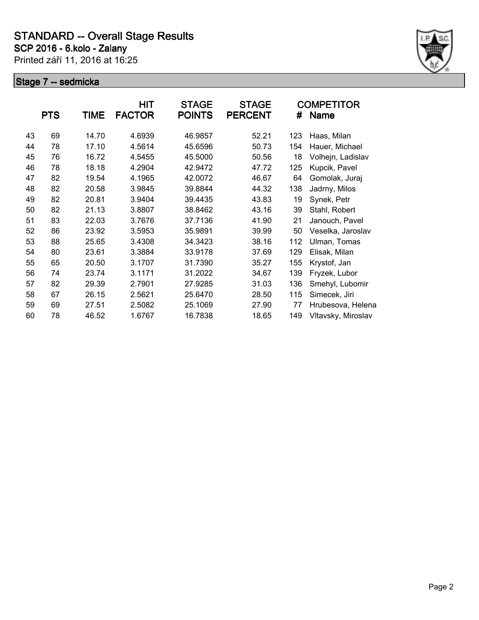

|    | <b>PTS</b> | <b>TIME</b> | <b>HIT</b><br><b>FACTOR</b> | <b>STAGE</b><br><b>POINTS</b> | <b>STAGE</b><br><b>PERCENT</b> | #   | <b>COMPETITOR</b><br><b>Name</b> |
|----|------------|-------------|-----------------------------|-------------------------------|--------------------------------|-----|----------------------------------|
| 43 | 69         | 14.70       | 4.6939                      | 46.9857                       | 52.21                          | 123 | Haas, Milan                      |
| 44 | 78         | 17.10       | 4.5614                      | 45.6596                       | 50.73                          | 154 | Hauer, Michael                   |
| 45 | 76         | 16.72       | 4.5455                      | 45.5000                       | 50.56                          | 18  | Volhejn, Ladislav                |
| 46 | 78         | 18.18       | 4.2904                      | 42.9472                       | 47.72                          | 125 | Kupcik, Pavel                    |
| 47 | 82         | 19.54       | 4.1965                      | 42.0072                       | 46.67                          | 64  | Gomolak, Juraj                   |
| 48 | 82         | 20.58       | 3.9845                      | 39.8844                       | 44.32                          | 138 | Jadrny, Milos                    |
| 49 | 82         | 20.81       | 3.9404                      | 39.4435                       | 43.83                          | 19  | Synek, Petr                      |
| 50 | 82         | 21.13       | 3.8807                      | 38.8462                       | 43.16                          | 39  | Stahl, Robert                    |
| 51 | 83         | 22.03       | 3.7676                      | 37.7136                       | 41.90                          | 21  | Janouch, Pavel                   |
| 52 | 86         | 23.92       | 3.5953                      | 35.9891                       | 39.99                          | 50  | Veselka, Jaroslav                |
| 53 | 88         | 25.65       | 3.4308                      | 34.3423                       | 38.16                          | 112 | Ulman, Tomas                     |
| 54 | 80         | 23.61       | 3.3884                      | 33.9178                       | 37.69                          | 129 | Elisak, Milan                    |
| 55 | 65         | 20.50       | 3.1707                      | 31.7390                       | 35.27                          | 155 | Krystof, Jan                     |
| 56 | 74         | 23.74       | 3.1171                      | 31.2022                       | 34.67                          | 139 | Fryzek, Lubor                    |
| 57 | 82         | 29.39       | 2.7901                      | 27.9285                       | 31.03                          | 136 | Smehyl, Lubomir                  |
| 58 | 67         | 26.15       | 2.5621                      | 25.6470                       | 28.50                          | 115 | Simecek, Jiri                    |
| 59 | 69         | 27.51       | 2.5082                      | 25.1069                       | 27.90                          | 77  | Hrubesova, Helena                |
| 60 | 78         | 46.52       | 1.6767                      | 16.7838                       | 18.65                          | 149 | Vltavsky, Miroslav               |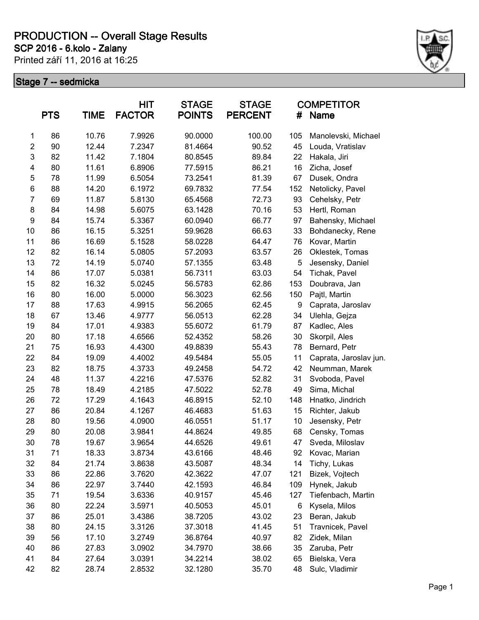**SCP 2016 - 6.kolo - Zalany**

Printed září 11, 2016 at 16:25



|                  | <b>PTS</b> | <b>TIME</b> | <b>HIT</b><br><b>FACTOR</b> | <b>STAGE</b><br><b>POINTS</b> | <b>STAGE</b><br><b>PERCENT</b> | #   | <b>COMPETITOR</b><br><b>Name</b> |
|------------------|------------|-------------|-----------------------------|-------------------------------|--------------------------------|-----|----------------------------------|
| 1                | 86         | 10.76       | 7.9926                      | 90.0000                       | 100.00                         | 105 | Manolevski, Michael              |
| $\overline{2}$   | 90         | 12.44       | 7.2347                      | 81.4664                       | 90.52                          | 45  | Louda, Vratislav                 |
| $\mathbf{3}$     | 82         | 11.42       | 7.1804                      | 80.8545                       | 89.84                          | 22  | Hakala, Jiri                     |
| 4                | 80         | 11.61       | 6.8906                      | 77.5915                       | 86.21                          | 16  | Zicha, Josef                     |
| 5                | 78         | 11.99       | 6.5054                      | 73.2541                       | 81.39                          | 67  | Dusek, Ondra                     |
| 6                | 88         | 14.20       | 6.1972                      | 69.7832                       | 77.54                          | 152 | Netolicky, Pavel                 |
| $\overline{7}$   | 69         | 11.87       | 5.8130                      | 65.4568                       | 72.73                          | 93  | Cehelsky, Petr                   |
| 8                | 84         | 14.98       | 5.6075                      | 63.1428                       | 70.16                          | 53  | Hertl, Roman                     |
| $\boldsymbol{9}$ | 84         | 15.74       | 5.3367                      | 60.0940                       | 66.77                          | 97  | Bahensky, Michael                |
| 10               | 86         | 16.15       | 5.3251                      | 59.9628                       | 66.63                          | 33  | Bohdanecky, Rene                 |
| 11               | 86         | 16.69       | 5.1528                      | 58.0228                       | 64.47                          | 76  | Kovar, Martin                    |
| 12               | 82         | 16.14       | 5.0805                      | 57.2093                       | 63.57                          | 26  | Oklestek, Tomas                  |
| 13               | 72         | 14.19       | 5.0740                      | 57.1355                       | 63.48                          | 5   | Jesensky, Daniel                 |
| 14               | 86         | 17.07       | 5.0381                      | 56.7311                       | 63.03                          | 54  | Tichak, Pavel                    |
| 15               | 82         | 16.32       | 5.0245                      | 56.5783                       | 62.86                          | 153 | Doubrava, Jan                    |
| 16               | 80         | 16.00       | 5.0000                      | 56.3023                       | 62.56                          | 150 | Pajtl, Martin                    |
| 17               | 88         | 17.63       | 4.9915                      | 56.2065                       | 62.45                          | 9   | Caprata, Jaroslav                |
| 18               | 67         | 13.46       | 4.9777                      | 56.0513                       | 62.28                          | 34  | Ulehla, Gejza                    |
| 19               | 84         | 17.01       | 4.9383                      | 55.6072                       | 61.79                          | 87  | Kadlec, Ales                     |
| 20               | 80         | 17.18       | 4.6566                      | 52.4352                       | 58.26                          | 30  | Skorpil, Ales                    |
| 21               | 75         | 16.93       | 4.4300                      | 49.8839                       | 55.43                          | 78  | Bernard, Petr                    |
| 22               | 84         | 19.09       | 4.4002                      | 49.5484                       | 55.05                          | 11  | Caprata, Jaroslav jun.           |
| 23               | 82         | 18.75       | 4.3733                      | 49.2458                       | 54.72                          | 42  | Neumman, Marek                   |
| 24               | 48         | 11.37       | 4.2216                      | 47.5376                       | 52.82                          | 31  | Svoboda, Pavel                   |
| 25               | 78         | 18.49       | 4.2185                      | 47.5022                       | 52.78                          | 49  | Sima, Michal                     |
| 26               | 72         | 17.29       | 4.1643                      | 46.8915                       | 52.10                          | 148 | Hnatko, Jindrich                 |
| 27               | 86         | 20.84       | 4.1267                      | 46.4683                       | 51.63                          | 15  | Richter, Jakub                   |
| 28               | 80         | 19.56       | 4.0900                      | 46.0551                       | 51.17                          | 10  | Jesensky, Petr                   |
| 29               | 80         | 20.08       | 3.9841                      | 44.8624                       | 49.85                          | 68  | Censky, Tomas                    |
| 30               | 78         | 19.67       | 3.9654                      | 44.6526                       | 49.61                          | 47  | Sveda, Miloslav                  |
| 31               | 71         | 18.33       | 3.8734                      | 43.6166                       | 48.46                          | 92  | Kovac, Marian                    |
| 32               | 84         | 21.74       | 3.8638                      | 43.5087                       | 48.34                          | 14  | Tichy, Lukas                     |
| 33               | 86         | 22.86       | 3.7620                      | 42.3622                       | 47.07                          | 121 | Bizek, Vojtech                   |
| 34               | 86         | 22.97       | 3.7440                      | 42.1593                       | 46.84                          | 109 | Hynek, Jakub                     |
| 35               | 71         | 19.54       | 3.6336                      | 40.9157                       | 45.46                          | 127 | Tiefenbach, Martin               |
| 36               | 80         | 22.24       | 3.5971                      | 40.5053                       | 45.01                          | 6   | Kysela, Milos                    |
| 37               | 86         | 25.01       | 3.4386                      | 38.7205                       | 43.02                          | 23  | Beran, Jakub                     |
| 38               | 80         | 24.15       | 3.3126                      | 37.3018                       | 41.45                          | 51  | Travnicek, Pavel                 |
| 39               | 56         | 17.10       | 3.2749                      | 36.8764                       | 40.97                          | 82  | Zidek, Milan                     |
| 40               | 86         | 27.83       | 3.0902                      | 34.7970                       | 38.66                          | 35  | Zaruba, Petr                     |
| 41               | 84         | 27.64       | 3.0391                      | 34.2214                       | 38.02                          | 65  | Bielska, Vera                    |
| 42               | 82         | 28.74       | 2.8532                      | 32.1280                       | 35.70                          | 48  | Sulc, Vladimir                   |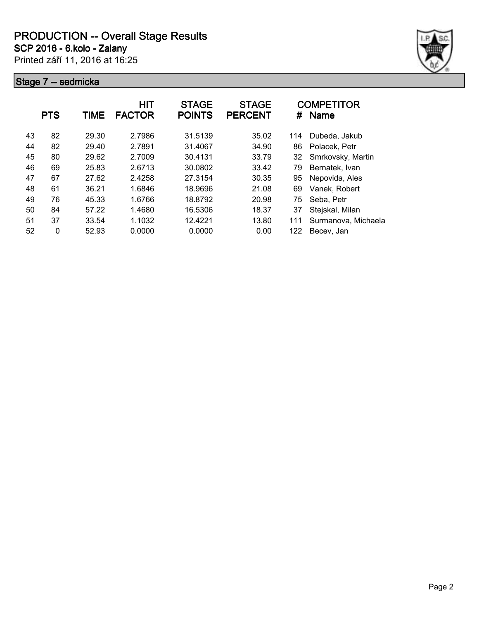**SCP 2016 - 6.kolo - Zalany**

Printed září 11, 2016 at 16:25



|    | <b>PTS</b>   | TIME  | <b>HIT</b><br><b>FACTOR</b> | <b>STAGE</b><br><b>POINTS</b> | <b>STAGE</b><br><b>PERCENT</b> | #   | <b>COMPETITOR</b><br><b>Name</b> |
|----|--------------|-------|-----------------------------|-------------------------------|--------------------------------|-----|----------------------------------|
| 43 | 82           | 29.30 | 2.7986                      | 31.5139                       | 35.02                          | 114 | Dubeda, Jakub                    |
| 44 | 82           | 29.40 | 2.7891                      | 31.4067                       | 34.90                          | 86  | Polacek, Petr                    |
| 45 | 80           | 29.62 | 2.7009                      | 30.4131                       | 33.79                          | 32  | Smrkovsky, Martin                |
| 46 | 69           | 25.83 | 2.6713                      | 30.0802                       | 33.42                          | 79  | Bernatek, Ivan                   |
| 47 | 67           | 27.62 | 2.4258                      | 27.3154                       | 30.35                          | 95  | Nepovida, Ales                   |
| 48 | 61           | 36.21 | 1.6846                      | 18.9696                       | 21.08                          | 69  | Vanek, Robert                    |
| 49 | 76           | 45.33 | 1.6766                      | 18.8792                       | 20.98                          | 75  | Seba, Petr                       |
| 50 | 84           | 57.22 | 1.4680                      | 16.5306                       | 18.37                          | 37  | Stejskal, Milan                  |
| 51 | 37           | 33.54 | 1.1032                      | 12.4221                       | 13.80                          | 111 | Surmanova, Michaela              |
| 52 | $\mathbf{0}$ | 52.93 | 0.0000                      | 0.0000                        | 0.00                           | 122 | Becev, Jan                       |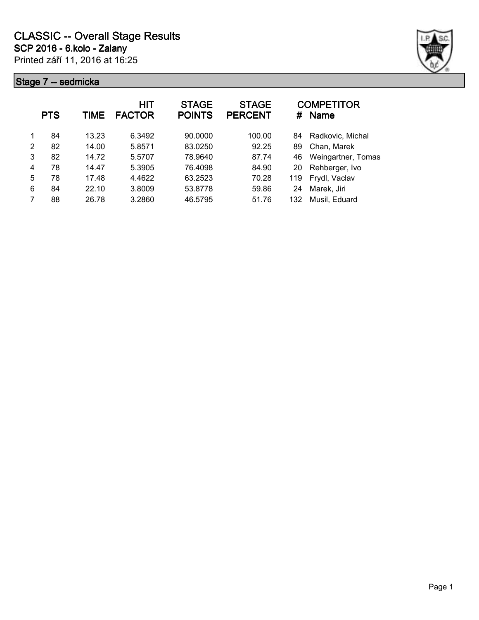

|   | <b>PTS</b> | TIME  | HIT<br><b>FACTOR</b> | <b>STAGE</b><br><b>POINTS</b> | <b>STAGE</b><br><b>PERCENT</b> | #   | <b>COMPETITOR</b><br><b>Name</b> |
|---|------------|-------|----------------------|-------------------------------|--------------------------------|-----|----------------------------------|
| 1 | 84         | 13.23 | 6.3492               | 90.0000                       | 100.00                         | 84  | Radkovic, Michal                 |
| 2 | 82         | 14.00 | 5.8571               | 83.0250                       | 92.25                          | 89  | Chan, Marek                      |
| 3 | 82         | 14.72 | 5.5707               | 78.9640                       | 87.74                          | 46  | Weingartner, Tomas               |
| 4 | 78         | 14.47 | 5.3905               | 76.4098                       | 84.90                          | 20  | Rehberger, Ivo                   |
| 5 | 78         | 17.48 | 4.4622               | 63.2523                       | 70.28                          | 119 | Frydl, Vaclav                    |
| 6 | 84         | 22.10 | 3.8009               | 53.8778                       | 59.86                          | 24  | Marek, Jiri                      |
| 7 | 88         | 26.78 | 3.2860               | 46.5795                       | 51.76                          | 132 | Musil, Eduard                    |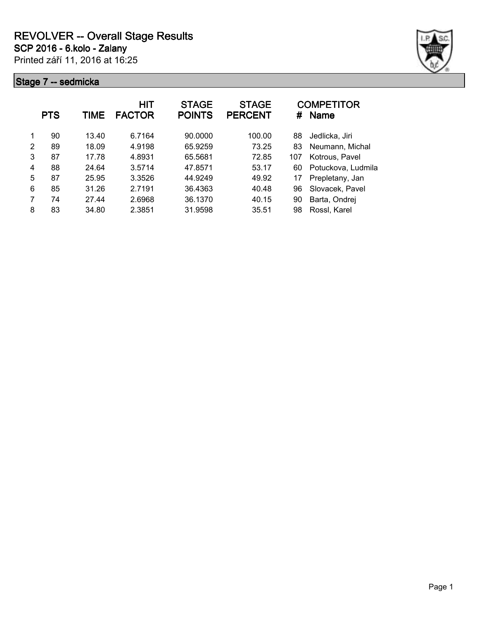

|   | <b>PTS</b> | TIME  | HIT<br><b>FACTOR</b> | <b>STAGE</b><br><b>POINTS</b> | <b>STAGE</b><br><b>PERCENT</b> | #   | <b>COMPETITOR</b><br><b>Name</b> |
|---|------------|-------|----------------------|-------------------------------|--------------------------------|-----|----------------------------------|
|   | 90         | 13.40 | 6.7164               | 90.0000                       | 100.00                         | 88  | Jedlicka, Jiri                   |
| 2 | 89         | 18.09 | 4.9198               | 65.9259                       | 73.25                          | 83  | Neumann, Michal                  |
| 3 | 87         | 17.78 | 4.8931               | 65.5681                       | 72.85                          | 107 | Kotrous, Pavel                   |
| 4 | 88         | 24.64 | 3.5714               | 47.8571                       | 53.17                          | 60  | Potuckova, Ludmila               |
| 5 | 87         | 25.95 | 3.3526               | 44.9249                       | 49.92                          | 17  | Prepletany, Jan                  |
| 6 | 85         | 31.26 | 2.7191               | 36.4363                       | 40.48                          | 96  | Slovacek, Pavel                  |
| 7 | 74         | 27.44 | 2.6968               | 36.1370                       | 40.15                          | 90  | Barta, Ondrej                    |
| 8 | 83         | 34.80 | 2.3851               | 31.9598                       | 35.51                          | 98  | Rossl, Karel                     |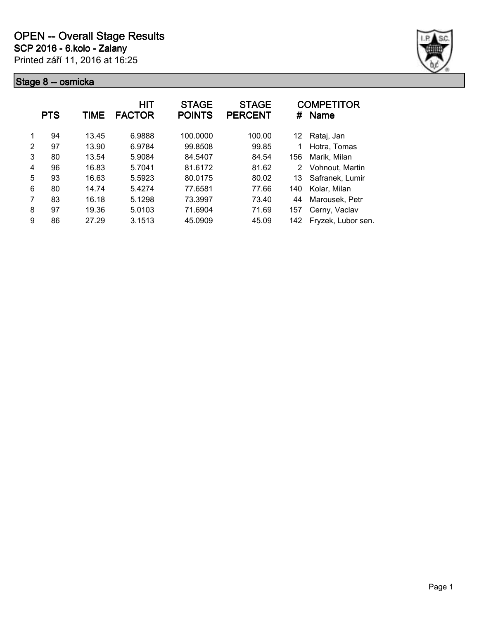

|                | <b>PTS</b> | TIME  | HIT<br><b>FACTOR</b> | <b>STAGE</b><br><b>POINTS</b> | <b>STAGE</b><br><b>PERCENT</b> | #   | <b>COMPETITOR</b><br><b>Name</b> |
|----------------|------------|-------|----------------------|-------------------------------|--------------------------------|-----|----------------------------------|
| 1              | 94         | 13.45 | 6.9888               | 100.0000                      | 100.00                         | 12  | Rataj, Jan                       |
| $\mathfrak{p}$ | 97         | 13.90 | 6.9784               | 99.8508                       | 99.85                          | 1   | Hotra, Tomas                     |
| 3              | 80         | 13.54 | 5.9084               | 84.5407                       | 84.54                          | 156 | Marik, Milan                     |
| 4              | 96         | 16.83 | 5.7041               | 81.6172                       | 81.62                          | 2   | Vohnout, Martin                  |
| 5              | 93         | 16.63 | 5.5923               | 80.0175                       | 80.02                          | 13  | Safranek, Lumir                  |
| 6              | 80         | 14.74 | 5.4274               | 77.6581                       | 77.66                          | 140 | Kolar, Milan                     |
| 7              | 83         | 16.18 | 5.1298               | 73.3997                       | 73.40                          | 44  | Marousek, Petr                   |
| 8              | 97         | 19.36 | 5.0103               | 71.6904                       | 71.69                          | 157 | Cerny, Vaclav                    |
| 9              | 86         | 27.29 | 3.1513               | 45.0909                       | 45.09                          | 142 | Fryzek, Lubor sen.               |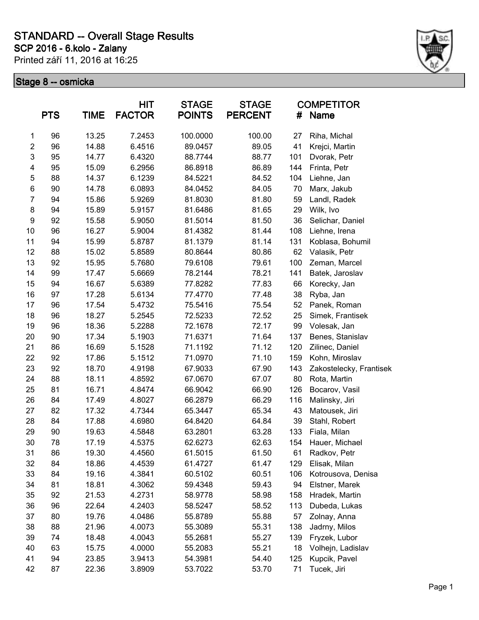### **SCP 2016 - 6.kolo - Zalany STANDARD -- Overall Stage Results**

Printed září 11, 2016 at 16:25



|                | <b>PTS</b> | <b>TIME</b> | HIT<br><b>FACTOR</b> | <b>STAGE</b><br><b>POINTS</b> | <b>STAGE</b><br><b>PERCENT</b> | #   | <b>COMPETITOR</b><br><b>Name</b> |
|----------------|------------|-------------|----------------------|-------------------------------|--------------------------------|-----|----------------------------------|
| $\mathbf{1}$   | 96         | 13.25       | 7.2453               | 100.0000                      | 100.00                         | 27  | Riha, Michal                     |
| $\overline{2}$ | 96         | 14.88       | 6.4516               | 89.0457                       | 89.05                          | 41  | Krejci, Martin                   |
| 3              | 95         | 14.77       | 6.4320               | 88.7744                       | 88.77                          | 101 | Dvorak, Petr                     |
| 4              | 95         | 15.09       | 6.2956               | 86.8918                       | 86.89                          | 144 | Frinta, Petr                     |
| 5              | 88         | 14.37       | 6.1239               | 84.5221                       | 84.52                          | 104 | Liehne, Jan                      |
| $\,6$          | 90         | 14.78       | 6.0893               | 84.0452                       | 84.05                          | 70  | Marx, Jakub                      |
| $\overline{7}$ | 94         | 15.86       | 5.9269               | 81.8030                       | 81.80                          | 59  | Landl, Radek                     |
| 8              | 94         | 15.89       | 5.9157               | 81.6486                       | 81.65                          | 29  | Wilk, Ivo                        |
| 9              | 92         | 15.58       | 5.9050               | 81.5014                       | 81.50                          | 36  | Selichar, Daniel                 |
| 10             | 96         | 16.27       | 5.9004               | 81.4382                       | 81.44                          | 108 | Liehne, Irena                    |
| 11             | 94         | 15.99       | 5.8787               | 81.1379                       | 81.14                          | 131 | Koblasa, Bohumil                 |
| 12             | 88         | 15.02       | 5.8589               | 80.8644                       | 80.86                          | 62  | Valasik, Petr                    |
| 13             | 92         | 15.95       | 5.7680               | 79.6108                       | 79.61                          | 100 | Zeman, Marcel                    |
| 14             | 99         | 17.47       | 5.6669               | 78.2144                       | 78.21                          | 141 | Batek, Jaroslav                  |
| 15             | 94         | 16.67       | 5.6389               | 77.8282                       | 77.83                          | 66  | Korecky, Jan                     |
| 16             | 97         | 17.28       | 5.6134               | 77.4770                       | 77.48                          | 38  | Ryba, Jan                        |
| 17             | 96         | 17.54       | 5.4732               | 75.5416                       | 75.54                          | 52  | Panek, Roman                     |
| 18             | 96         | 18.27       | 5.2545               | 72.5233                       | 72.52                          | 25  | Simek, Frantisek                 |
| 19             | 96         | 18.36       | 5.2288               | 72.1678                       | 72.17                          | 99  | Volesak, Jan                     |
| 20             | 90         | 17.34       | 5.1903               | 71.6371                       | 71.64                          | 137 | Benes, Stanislav                 |
| 21             | 86         | 16.69       | 5.1528               | 71.1192                       | 71.12                          | 120 | Zilinec, Daniel                  |
| 22             | 92         | 17.86       | 5.1512               | 71.0970                       | 71.10                          | 159 | Kohn, Miroslav                   |
| 23             | 92         | 18.70       | 4.9198               | 67.9033                       | 67.90                          | 143 | Zakostelecky, Frantisek          |
| 24             | 88         | 18.11       | 4.8592               | 67.0670                       | 67.07                          | 80  | Rota, Martin                     |
| 25             | 81         | 16.71       | 4.8474               | 66.9042                       | 66.90                          | 126 | Bocarov, Vasil                   |
| 26             | 84         | 17.49       | 4.8027               | 66.2879                       | 66.29                          | 116 | Malinsky, Jiri                   |
| 27             | 82         | 17.32       | 4.7344               | 65.3447                       | 65.34                          | 43  | Matousek, Jiri                   |
| 28             | 84         | 17.88       | 4.6980               | 64.8420                       | 64.84                          | 39  | Stahl, Robert                    |
| 29             | 90         | 19.63       | 4.5848               | 63.2801                       | 63.28                          | 133 | Fiala, Milan                     |
| 30             | 78         | 17.19       | 4.5375               | 62.6273                       | 62.63                          | 154 | Hauer, Michael                   |
| 31             | 86         | 19.30       | 4.4560               | 61.5015                       | 61.50                          | 61  | Radkov, Petr                     |
| 32             | 84         | 18.86       | 4.4539               | 61.4727                       | 61.47                          | 129 | Elisak, Milan                    |
| 33             | 84         | 19.16       | 4.3841               | 60.5102                       | 60.51                          | 106 | Kotrousova, Denisa               |
| 34             | 81         | 18.81       | 4.3062               | 59.4348                       | 59.43                          | 94  | Elstner, Marek                   |
| 35             | 92         | 21.53       | 4.2731               | 58.9778                       | 58.98                          | 158 | Hradek, Martin                   |
| 36             | 96         | 22.64       | 4.2403               | 58.5247                       | 58.52                          | 113 | Dubeda, Lukas                    |
| 37             | 80         | 19.76       | 4.0486               | 55.8789                       | 55.88                          | 57  | Zolnay, Anna                     |
| 38             | 88         | 21.96       | 4.0073               | 55.3089                       | 55.31                          | 138 | Jadrny, Milos                    |
| 39             | 74         | 18.48       | 4.0043               | 55.2681                       | 55.27                          | 139 | Fryzek, Lubor                    |
| 40             | 63         | 15.75       | 4.0000               | 55.2083                       | 55.21                          | 18  | Volhejn, Ladislav                |
| 41             | 94         | 23.85       | 3.9413               | 54.3981                       | 54.40                          | 125 | Kupcik, Pavel                    |
| 42             | 87         | 22.36       | 3.8909               | 53.7022                       | 53.70                          | 71  | Tucek, Jiri                      |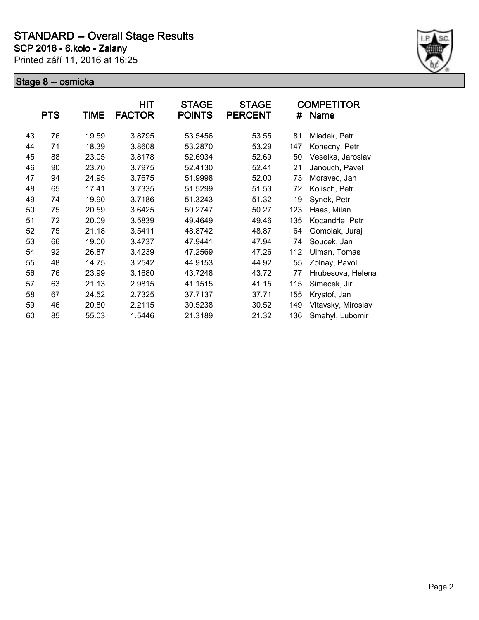

|    | <b>PTS</b> | TIME  | HIT<br><b>FACTOR</b> | <b>STAGE</b><br><b>POINTS</b> | <b>STAGE</b><br><b>PERCENT</b> | #   | <b>COMPETITOR</b><br><b>Name</b> |
|----|------------|-------|----------------------|-------------------------------|--------------------------------|-----|----------------------------------|
| 43 | 76         | 19.59 | 3.8795               | 53.5456                       | 53.55                          | 81  | Mladek, Petr                     |
| 44 | 71         | 18.39 | 3.8608               | 53.2870                       | 53.29                          | 147 | Konecny, Petr                    |
| 45 | 88         | 23.05 | 3.8178               | 52.6934                       | 52.69                          | 50  | Veselka, Jaroslav                |
| 46 | 90         | 23.70 | 3.7975               | 52.4130                       | 52.41                          | 21  | Janouch, Pavel                   |
| 47 | 94         | 24.95 | 3.7675               | 51.9998                       | 52.00                          | 73  | Moravec, Jan                     |
| 48 | 65         | 17.41 | 3.7335               | 51.5299                       | 51.53                          | 72  | Kolisch, Petr                    |
| 49 | 74         | 19.90 | 3.7186               | 51.3243                       | 51.32                          | 19  | Synek, Petr                      |
| 50 | 75         | 20.59 | 3.6425               | 50.2747                       | 50.27                          | 123 | Haas, Milan                      |
| 51 | 72         | 20.09 | 3.5839               | 49.4649                       | 49.46                          | 135 | Kocandrle, Petr                  |
| 52 | 75         | 21.18 | 3.5411               | 48.8742                       | 48.87                          | 64  | Gomolak, Juraj                   |
| 53 | 66         | 19.00 | 3.4737               | 47.9441                       | 47.94                          | 74  | Soucek, Jan                      |
| 54 | 92         | 26.87 | 3.4239               | 47.2569                       | 47.26                          | 112 | Ulman, Tomas                     |
| 55 | 48         | 14.75 | 3.2542               | 44.9153                       | 44.92                          | 55  | Zolnay, Pavol                    |
| 56 | 76         | 23.99 | 3.1680               | 43.7248                       | 43.72                          | 77  | Hrubesova, Helena                |
| 57 | 63         | 21.13 | 2.9815               | 41.1515                       | 41.15                          | 115 | Simecek, Jiri                    |
| 58 | 67         | 24.52 | 2.7325               | 37.7137                       | 37.71                          | 155 | Krystof, Jan                     |
| 59 | 46         | 20.80 | 2.2115               | 30.5238                       | 30.52                          | 149 | Vltavsky, Miroslav               |
| 60 | 85         | 55.03 | 1.5446               | 21.3189                       | 21.32                          | 136 | Smehyl, Lubomir                  |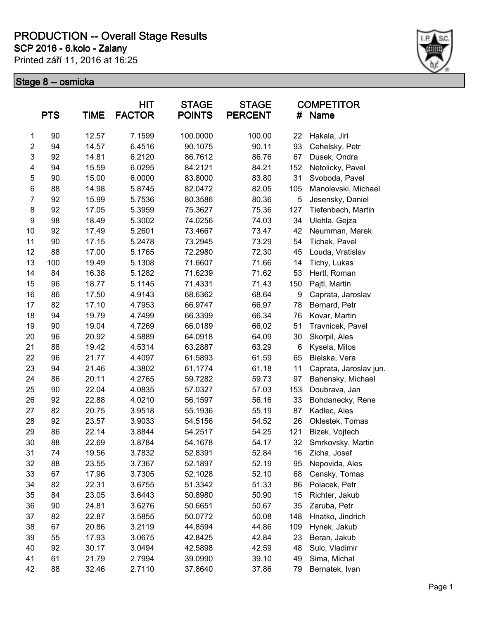**SCP 2016 - 6.kolo - Zalany**

Printed září 11, 2016 at 16:25



|                  | <b>PTS</b> | <b>TIME</b> | <b>HIT</b><br><b>FACTOR</b> | <b>STAGE</b><br><b>POINTS</b> | <b>STAGE</b><br><b>PERCENT</b> | #   | <b>COMPETITOR</b><br><b>Name</b> |
|------------------|------------|-------------|-----------------------------|-------------------------------|--------------------------------|-----|----------------------------------|
| 1                | 90         | 12.57       | 7.1599                      | 100.0000                      | 100.00                         | 22  | Hakala, Jiri                     |
| $\overline{c}$   | 94         | 14.57       | 6.4516                      | 90.1075                       | 90.11                          | 93  | Cehelsky, Petr                   |
| $\mathsf 3$      | 92         | 14.81       | 6.2120                      | 86.7612                       | 86.76                          | 67  | Dusek, Ondra                     |
| 4                | 94         | 15.59       | 6.0295                      | 84.2121                       | 84.21                          | 152 | Netolicky, Pavel                 |
| 5                | 90         | 15.00       | 6.0000                      | 83.8000                       | 83.80                          | 31  | Svoboda, Pavel                   |
| 6                | 88         | 14.98       | 5.8745                      | 82.0472                       | 82.05                          | 105 | Manolevski, Michael              |
| $\overline{7}$   | 92         | 15.99       | 5.7536                      | 80.3586                       | 80.36                          | 5   | Jesensky, Daniel                 |
| 8                | 92         | 17.05       | 5.3959                      | 75.3627                       | 75.36                          | 127 | Tiefenbach, Martin               |
| $\boldsymbol{9}$ | 98         | 18.49       | 5.3002                      | 74.0256                       | 74.03                          | 34  | Ulehla, Gejza                    |
| 10               | 92         | 17.49       | 5.2601                      | 73.4667                       | 73.47                          | 42  | Neumman, Marek                   |
| 11               | 90         | 17.15       | 5.2478                      | 73.2945                       | 73.29                          | 54  | Tichak, Pavel                    |
| 12               | 88         | 17.00       | 5.1765                      | 72.2980                       | 72.30                          | 45  | Louda, Vratislav                 |
| 13               | 100        | 19.49       | 5.1308                      | 71.6607                       | 71.66                          | 14  | Tichy, Lukas                     |
| 14               | 84         | 16.38       | 5.1282                      | 71.6239                       | 71.62                          | 53  | Hertl, Roman                     |
| 15               | 96         | 18.77       | 5.1145                      | 71.4331                       | 71.43                          | 150 | Pajtl, Martin                    |
| 16               | 86         | 17.50       | 4.9143                      | 68.6362                       | 68.64                          | 9   | Caprata, Jaroslav                |
| 17               | 82         | 17.10       | 4.7953                      | 66.9747                       | 66.97                          | 78  | Bernard, Petr                    |
| 18               | 94         | 19.79       | 4.7499                      | 66.3399                       | 66.34                          | 76  | Kovar, Martin                    |
| 19               | 90         | 19.04       | 4.7269                      | 66.0189                       | 66.02                          | 51  | Travnicek, Pavel                 |
| 20               | 96         | 20.92       | 4.5889                      | 64.0918                       | 64.09                          | 30  | Skorpil, Ales                    |
| 21               | 88         | 19.42       | 4.5314                      | 63.2887                       | 63.29                          | 6   | Kysela, Milos                    |
| 22               | 96         | 21.77       | 4.4097                      | 61.5893                       | 61.59                          | 65  | Bielska, Vera                    |
| 23               | 94         | 21.46       | 4.3802                      | 61.1774                       | 61.18                          | 11  | Caprata, Jaroslav jun.           |
| 24               | 86         | 20.11       | 4.2765                      | 59.7282                       | 59.73                          | 97  | Bahensky, Michael                |
| 25               | 90         | 22.04       | 4.0835                      | 57.0327                       | 57.03                          | 153 | Doubrava, Jan                    |
| 26               | 92         | 22.88       | 4.0210                      | 56.1597                       | 56.16                          | 33  | Bohdanecky, Rene                 |
| 27               | 82         | 20.75       | 3.9518                      | 55.1936                       | 55.19                          | 87  | Kadlec, Ales                     |
| 28               | 92         | 23.57       | 3.9033                      | 54.5156                       | 54.52                          | 26  | Oklestek, Tomas                  |
| 29               | 86         | 22.14       | 3.8844                      | 54.2517                       | 54.25                          | 121 | Bizek, Vojtech                   |
| 30               | 88         | 22.69       | 3.8784                      | 54.1678                       | 54.17                          | 32  | Smrkovsky, Martin                |
| 31               | 74         | 19.56       | 3.7832                      | 52.8391                       | 52.84                          | 16  | Zicha, Josef                     |
| 32               | 88         | 23.55       | 3.7367                      | 52.1897                       | 52.19                          | 95  | Nepovida, Ales                   |
| 33               | 67         | 17.96       | 3.7305                      | 52.1028                       | 52.10                          | 68  | Censky, Tomas                    |
| 34               | 82         | 22.31       | 3.6755                      | 51.3342                       | 51.33                          | 86  | Polacek, Petr                    |
| 35               | 84         | 23.05       | 3.6443                      | 50.8980                       | 50.90                          | 15  | Richter, Jakub                   |
| 36               | 90         | 24.81       | 3.6276                      | 50.6651                       | 50.67                          | 35  | Zaruba, Petr                     |
| 37               | 82         | 22.87       | 3.5855                      | 50.0772                       | 50.08                          | 148 | Hnatko, Jindrich                 |
| 38               | 67         | 20.86       | 3.2119                      | 44.8594                       | 44.86                          | 109 | Hynek, Jakub                     |
| 39               | 55         | 17.93       | 3.0675                      | 42.8425                       | 42.84                          | 23  | Beran, Jakub                     |
| 40               | 92         | 30.17       | 3.0494                      | 42.5898                       | 42.59                          | 48  | Sulc, Vladimir                   |
| 41               | 61         | 21.79       | 2.7994                      | 39.0990                       | 39.10                          | 49  | Sima, Michal                     |
| 42               | 88         | 32.46       | 2.7110                      | 37.8640                       | 37.86                          | 79  | Bernatek, Ivan                   |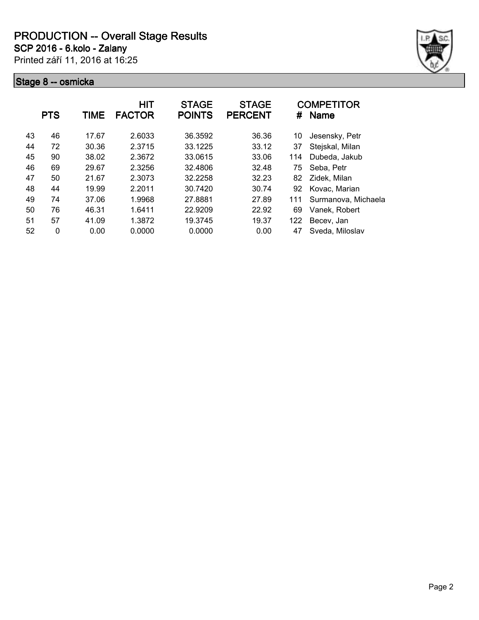**SCP 2016 - 6.kolo - Zalany**

Printed září 11, 2016 at 16:25



|    | <b>PTS</b> | TIME  | <b>HIT</b><br><b>FACTOR</b> | <b>STAGE</b><br><b>POINTS</b> | <b>STAGE</b><br><b>PERCENT</b> | #   | <b>COMPETITOR</b><br><b>Name</b> |
|----|------------|-------|-----------------------------|-------------------------------|--------------------------------|-----|----------------------------------|
| 43 | 46         | 17.67 | 2.6033                      | 36.3592                       | 36.36                          | 10  | Jesensky, Petr                   |
| 44 | 72         | 30.36 | 2.3715                      | 33.1225                       | 33.12                          | 37  | Stejskal, Milan                  |
| 45 | 90         | 38.02 | 2.3672                      | 33.0615                       | 33.06                          | 114 | Dubeda, Jakub                    |
| 46 | 69         | 29.67 | 2.3256                      | 32.4806                       | 32.48                          | 75  | Seba, Petr                       |
| 47 | 50         | 21.67 | 2.3073                      | 32.2258                       | 32.23                          | 82  | Zidek, Milan                     |
| 48 | 44         | 19.99 | 2.2011                      | 30.7420                       | 30.74                          | 92  | Kovac, Marian                    |
| 49 | 74         | 37.06 | 1.9968                      | 27.8881                       | 27.89                          | 111 | Surmanova, Michaela              |
| 50 | 76         | 46.31 | 1.6411                      | 22.9209                       | 22.92                          | 69  | Vanek, Robert                    |
| 51 | 57         | 41.09 | 1.3872                      | 19.3745                       | 19.37                          | 122 | Becev, Jan                       |
| 52 | 0          | 0.00  | 0.0000                      | 0.0000                        | 0.00                           | 47  | Sveda, Miloslav                  |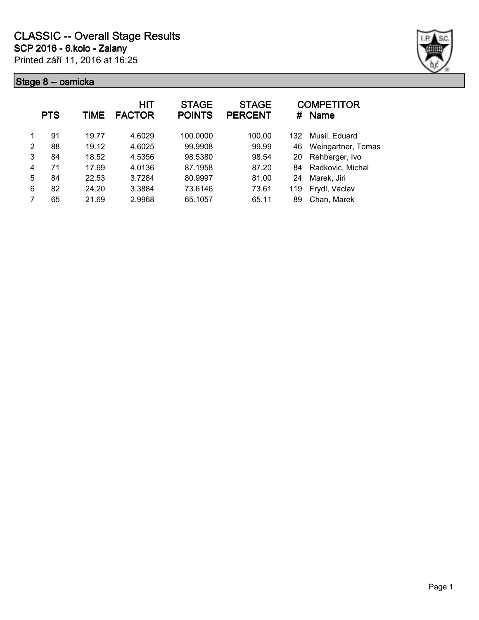

|   | <b>PTS</b> | TIME  | HIT<br><b>FACTOR</b> | <b>STAGE</b><br><b>POINTS</b> | <b>STAGE</b><br><b>PERCENT</b> | #   | <b>COMPETITOR</b><br><b>Name</b> |
|---|------------|-------|----------------------|-------------------------------|--------------------------------|-----|----------------------------------|
|   | 91         | 19.77 | 4.6029               | 100.0000                      | 100.00                         | 132 | Musil, Eduard                    |
| 2 | 88         | 19.12 | 4.6025               | 99.9908                       | 99.99                          | 46  | Weingartner, Tomas               |
| 3 | 84         | 18.52 | 4.5356               | 98.5380                       | 98.54                          | 20  | Rehberger, Ivo                   |
| 4 | 71         | 17.69 | 4.0136               | 87.1958                       | 87.20                          | 84  | Radkovic, Michal                 |
| 5 | 84         | 22.53 | 3.7284               | 80.9997                       | 81.00                          | 24  | Marek, Jiri                      |
| 6 | 82         | 24.20 | 3.3884               | 73.6146                       | 73.61                          | 119 | Frydl, Vaclav                    |
| 7 | 65         | 21.69 | 2.9968               | 65.1057                       | 65.11                          | 89  | Chan, Marek                      |
|   |            |       |                      |                               |                                |     |                                  |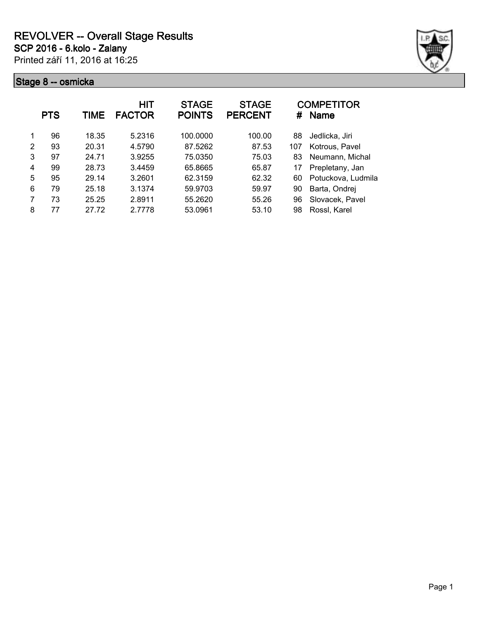

|   | <b>PTS</b> | TIME  | <b>HIT</b><br><b>FACTOR</b> | <b>STAGE</b><br><b>POINTS</b> | <b>STAGE</b><br><b>PERCENT</b> | #   | <b>COMPETITOR</b><br><b>Name</b> |
|---|------------|-------|-----------------------------|-------------------------------|--------------------------------|-----|----------------------------------|
| 1 | 96         | 18.35 | 5.2316                      | 100.0000                      | 100.00                         | 88  | Jedlicka, Jiri                   |
| 2 | 93         | 20.31 | 4.5790                      | 87.5262                       | 87.53                          | 107 | Kotrous, Pavel                   |
| 3 | 97         | 24.71 | 3.9255                      | 75.0350                       | 75.03                          | 83  | Neumann, Michal                  |
| 4 | 99         | 28.73 | 3.4459                      | 65.8665                       | 65.87                          | 17  | Prepletany, Jan                  |
| 5 | 95         | 29.14 | 3.2601                      | 62.3159                       | 62.32                          | 60  | Potuckova, Ludmila               |
| 6 | 79         | 25.18 | 3.1374                      | 59.9703                       | 59.97                          | 90  | Barta, Ondrej                    |
| 7 | 73         | 25.25 | 2.8911                      | 55.2620                       | 55.26                          | 96  | Slovacek, Pavel                  |
| 8 | 77         | 27.72 | 2.7778                      | 53.0961                       | 53.10                          | 98  | Rossl, Karel                     |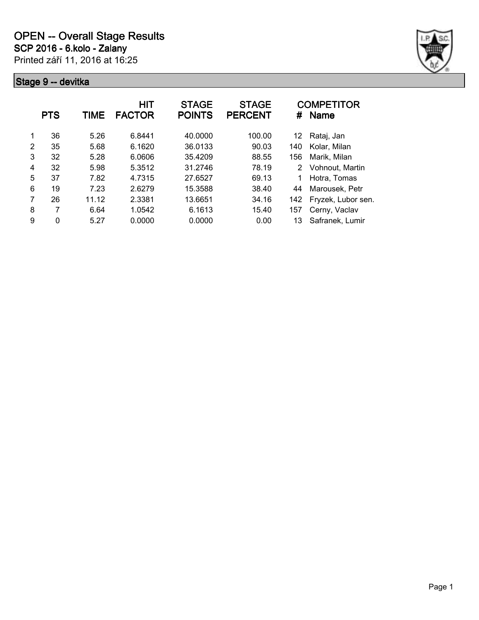

| 36<br>6.8441<br>40.0000<br>100.00<br>5.26<br>Rataj, Jan<br>1<br>12<br>35<br>6.1620<br>36.0133<br>90.03<br>2<br>5.68<br>Kolar, Milan<br>140<br>3<br>32<br>6.0606<br>5.28<br>35.4209<br>88.55<br>Marik, Milan<br>156<br>32<br>78.19<br>5.98<br>5.3512<br>31.2746<br>4<br>Vohnout, Martin<br>2 |  |
|---------------------------------------------------------------------------------------------------------------------------------------------------------------------------------------------------------------------------------------------------------------------------------------------|--|
|                                                                                                                                                                                                                                                                                             |  |
|                                                                                                                                                                                                                                                                                             |  |
|                                                                                                                                                                                                                                                                                             |  |
|                                                                                                                                                                                                                                                                                             |  |
| 5<br>37<br>7.82<br>4.7315<br>27.6527<br>69.13<br>1<br>Hotra, Tomas                                                                                                                                                                                                                          |  |
| 6<br>19<br>7.23<br>2.6279<br>15.3588<br>38.40<br>Marousek, Petr<br>44                                                                                                                                                                                                                       |  |
| 7<br>26<br>2.3381<br>Fryzek, Lubor sen.<br>11.12<br>13.6651<br>34.16<br>142                                                                                                                                                                                                                 |  |
| 7<br>8<br>6.64<br>1.0542<br>6.1613<br>15.40<br>Cerny, Vaclav<br>157                                                                                                                                                                                                                         |  |
| Safranek, Lumir<br>9<br>0<br>0.0000<br>0.0000<br>5.27<br>0.00<br>13                                                                                                                                                                                                                         |  |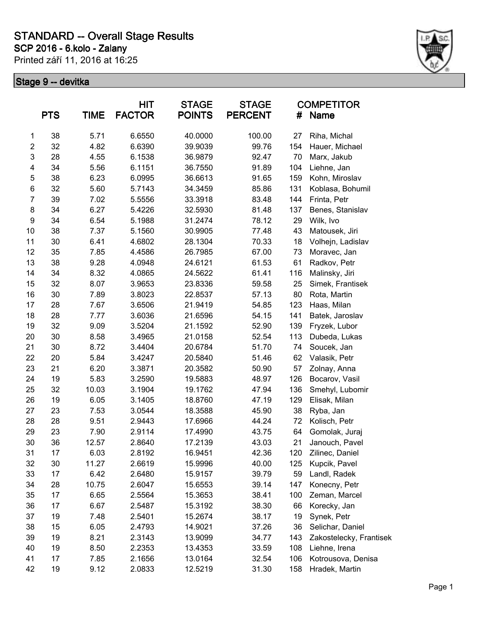### **SCP 2016 - 6.kolo - Zalany STANDARD -- Overall Stage Results**

Printed září 11, 2016 at 16:25



|                | <b>PTS</b> | <b>TIME</b> | HIT<br><b>FACTOR</b> | <b>STAGE</b><br><b>POINTS</b> | <b>STAGE</b><br><b>PERCENT</b> | #   | <b>COMPETITOR</b><br><b>Name</b> |
|----------------|------------|-------------|----------------------|-------------------------------|--------------------------------|-----|----------------------------------|
| 1              | 38         | 5.71        | 6.6550               | 40.0000                       | 100.00                         | 27  | Riha, Michal                     |
| $\overline{c}$ | 32         | 4.82        | 6.6390               | 39.9039                       | 99.76                          | 154 | Hauer, Michael                   |
| 3              | 28         | 4.55        | 6.1538               | 36.9879                       | 92.47                          | 70  | Marx, Jakub                      |
| 4              | 34         | 5.56        | 6.1151               | 36.7550                       | 91.89                          | 104 | Liehne, Jan                      |
| 5              | 38         | 6.23        | 6.0995               | 36.6613                       | 91.65                          | 159 | Kohn, Miroslav                   |
| 6              | 32         | 5.60        | 5.7143               | 34.3459                       | 85.86                          | 131 | Koblasa, Bohumil                 |
| $\overline{7}$ | 39         | 7.02        | 5.5556               | 33.3918                       | 83.48                          | 144 | Frinta, Petr                     |
| 8              | 34         | 6.27        | 5.4226               | 32.5930                       | 81.48                          | 137 | Benes, Stanislav                 |
| 9              | 34         | 6.54        | 5.1988               | 31.2474                       | 78.12                          | 29  | Wilk, Ivo                        |
| 10             | 38         | 7.37        | 5.1560               | 30.9905                       | 77.48                          | 43  | Matousek, Jiri                   |
| 11             | 30         | 6.41        | 4.6802               | 28.1304                       | 70.33                          | 18  | Volhejn, Ladislav                |
| 12             | 35         | 7.85        | 4.4586               | 26.7985                       | 67.00                          | 73  | Moravec, Jan                     |
| 13             | 38         | 9.28        | 4.0948               | 24.6121                       | 61.53                          | 61  | Radkov, Petr                     |
| 14             | 34         | 8.32        | 4.0865               | 24.5622                       | 61.41                          | 116 | Malinsky, Jiri                   |
| 15             | 32         | 8.07        | 3.9653               | 23.8336                       | 59.58                          | 25  | Simek, Frantisek                 |
| 16             | 30         | 7.89        | 3.8023               | 22.8537                       | 57.13                          | 80  | Rota, Martin                     |
| 17             | 28         | 7.67        | 3.6506               | 21.9419                       | 54.85                          | 123 | Haas, Milan                      |
| 18             | 28         | 7.77        | 3.6036               | 21.6596                       | 54.15                          | 141 | Batek, Jaroslav                  |
| 19             | 32         | 9.09        | 3.5204               | 21.1592                       | 52.90                          | 139 | Fryzek, Lubor                    |
| 20             | 30         | 8.58        | 3.4965               | 21.0158                       | 52.54                          | 113 | Dubeda, Lukas                    |
| 21             | 30         | 8.72        | 3.4404               | 20.6784                       | 51.70                          | 74  | Soucek, Jan                      |
| 22             | 20         | 5.84        | 3.4247               | 20.5840                       | 51.46                          | 62  | Valasik, Petr                    |
| 23             | 21         | 6.20        | 3.3871               | 20.3582                       | 50.90                          | 57  | Zolnay, Anna                     |
| 24             | 19         | 5.83        | 3.2590               | 19.5883                       | 48.97                          | 126 | Bocarov, Vasil                   |
| 25             | 32         | 10.03       | 3.1904               | 19.1762                       | 47.94                          | 136 | Smehyl, Lubomir                  |
| 26             | 19         | 6.05        | 3.1405               | 18.8760                       | 47.19                          | 129 | Elisak, Milan                    |
| 27             | 23         | 7.53        | 3.0544               | 18.3588                       | 45.90                          | 38  | Ryba, Jan                        |
| 28             | 28         | 9.51        | 2.9443               | 17.6966                       | 44.24                          | 72  | Kolisch, Petr                    |
| 29             | 23         | 7.90        | 2.9114               | 17.4990                       | 43.75                          | 64  | Gomolak, Juraj                   |
| 30             | 36         | 12.57       | 2.8640               | 17.2139                       | 43.03                          | 21  | Janouch, Pavel                   |
| 31             | 17         | 6.03        | 2.8192               | 16.9451                       | 42.36                          | 120 | Zilinec, Daniel                  |
| 32             | 30         | 11.27       | 2.6619               | 15.9996                       | 40.00                          | 125 | Kupcik, Pavel                    |
| 33             | 17         | 6.42        | 2.6480               | 15.9157                       | 39.79                          | 59  | Landl, Radek                     |
| 34             | 28         | 10.75       | 2.6047               | 15.6553                       | 39.14                          | 147 | Konecny, Petr                    |
| 35             | 17         | 6.65        | 2.5564               | 15.3653                       | 38.41                          | 100 | Zeman, Marcel                    |
| 36             | 17         | 6.67        | 2.5487               | 15.3192                       | 38.30                          | 66  | Korecky, Jan                     |
| 37             | 19         | 7.48        | 2.5401               | 15.2674                       | 38.17                          | 19  | Synek, Petr                      |
| 38             | 15         | 6.05        | 2.4793               | 14.9021                       | 37.26                          | 36  | Selichar, Daniel                 |
| 39             | 19         | 8.21        | 2.3143               | 13.9099                       | 34.77                          | 143 | Zakostelecky, Frantisek          |
| 40             | 19         | 8.50        | 2.2353               | 13.4353                       | 33.59                          | 108 | Liehne, Irena                    |
| 41             | 17         | 7.85        | 2.1656               | 13.0164                       | 32.54                          | 106 | Kotrousova, Denisa               |
| 42             | 19         | 9.12        | 2.0833               | 12.5219                       | 31.30                          | 158 | Hradek, Martin                   |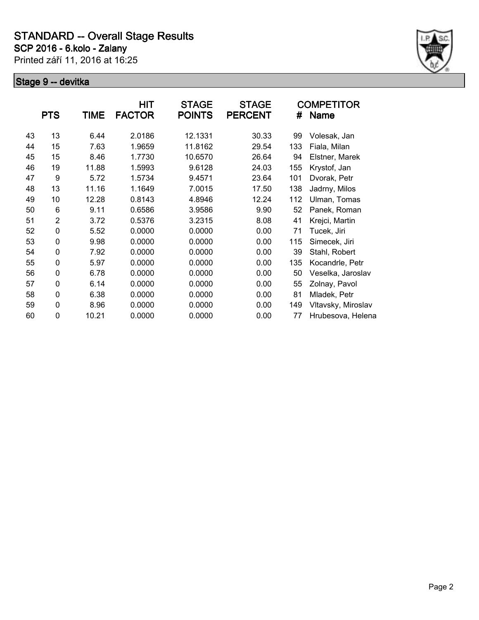

|    | <b>PTS</b>     | TIME  | HIT<br><b>FACTOR</b> | <b>STAGE</b><br><b>POINTS</b> | <b>STAGE</b><br><b>PERCENT</b> | #   | COMPETITOR<br>Name |
|----|----------------|-------|----------------------|-------------------------------|--------------------------------|-----|--------------------|
| 43 | 13             | 6.44  | 2.0186               | 12.1331                       | 30.33                          | 99  | Volesak, Jan       |
| 44 | 15             | 7.63  | 1.9659               | 11.8162                       | 29.54                          | 133 | Fiala, Milan       |
| 45 | 15             | 8.46  | 1.7730               | 10.6570                       | 26.64                          | 94  | Elstner, Marek     |
| 46 | 19             | 11.88 | 1.5993               | 9.6128                        | 24.03                          | 155 | Krystof, Jan       |
| 47 | 9              | 5.72  | 1.5734               | 9.4571                        | 23.64                          | 101 | Dvorak, Petr       |
| 48 | 13             | 11.16 | 1.1649               | 7.0015                        | 17.50                          | 138 | Jadrny, Milos      |
| 49 | 10             | 12.28 | 0.8143               | 4.8946                        | 12.24                          | 112 | Ulman, Tomas       |
| 50 | 6              | 9.11  | 0.6586               | 3.9586                        | 9.90                           | 52  | Panek, Roman       |
| 51 | $\overline{2}$ | 3.72  | 0.5376               | 3.2315                        | 8.08                           | 41  | Krejci, Martin     |
| 52 | 0              | 5.52  | 0.0000               | 0.0000                        | 0.00                           | 71  | Tucek, Jiri        |
| 53 | 0              | 9.98  | 0.0000               | 0.0000                        | 0.00                           | 115 | Simecek, Jiri      |
| 54 | 0              | 7.92  | 0.0000               | 0.0000                        | 0.00                           | 39  | Stahl, Robert      |
| 55 | 0              | 5.97  | 0.0000               | 0.0000                        | 0.00                           | 135 | Kocandrle, Petr    |
| 56 | 0              | 6.78  | 0.0000               | 0.0000                        | 0.00                           | 50  | Veselka, Jaroslav  |
| 57 | 0              | 6.14  | 0.0000               | 0.0000                        | 0.00                           | 55  | Zolnay, Pavol      |
| 58 | 0              | 6.38  | 0.0000               | 0.0000                        | 0.00                           | 81  | Mladek, Petr       |
| 59 | 0              | 8.96  | 0.0000               | 0.0000                        | 0.00                           | 149 | Vltavsky, Miroslav |
| 60 | 0              | 10.21 | 0.0000               | 0.0000                        | 0.00                           | 77  | Hrubesova, Helena  |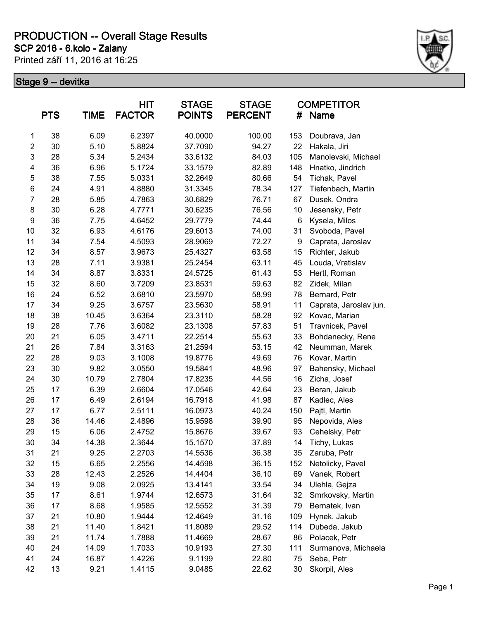**SCP 2016 - 6.kolo - Zalany**

Printed září 11, 2016 at 16:25



|                  | <b>PTS</b> | <b>TIME</b> | <b>HIT</b><br><b>FACTOR</b> | <b>STAGE</b><br><b>POINTS</b> | <b>STAGE</b><br><b>PERCENT</b> | #   | <b>COMPETITOR</b><br><b>Name</b> |
|------------------|------------|-------------|-----------------------------|-------------------------------|--------------------------------|-----|----------------------------------|
| 1                | 38         | 6.09        | 6.2397                      | 40.0000                       | 100.00                         | 153 | Doubrava, Jan                    |
| $\overline{c}$   | 30         | 5.10        | 5.8824                      | 37.7090                       | 94.27                          | 22  | Hakala, Jiri                     |
| 3                | 28         | 5.34        | 5.2434                      | 33.6132                       | 84.03                          | 105 | Manolevski, Michael              |
| 4                | 36         | 6.96        | 5.1724                      | 33.1579                       | 82.89                          | 148 | Hnatko, Jindrich                 |
| 5                | 38         | 7.55        | 5.0331                      | 32.2649                       | 80.66                          | 54  | Tichak, Pavel                    |
| 6                | 24         | 4.91        | 4.8880                      | 31.3345                       | 78.34                          | 127 | Tiefenbach, Martin               |
| $\overline{7}$   | 28         | 5.85        | 4.7863                      | 30.6829                       | 76.71                          | 67  | Dusek, Ondra                     |
| 8                | 30         | 6.28        | 4.7771                      | 30.6235                       | 76.56                          | 10  | Jesensky, Petr                   |
| $\boldsymbol{9}$ | 36         | 7.75        | 4.6452                      | 29.7779                       | 74.44                          | 6   | Kysela, Milos                    |
| 10               | 32         | 6.93        | 4.6176                      | 29.6013                       | 74.00                          | 31  | Svoboda, Pavel                   |
| 11               | 34         | 7.54        | 4.5093                      | 28.9069                       | 72.27                          | 9   | Caprata, Jaroslav                |
| 12               | 34         | 8.57        | 3.9673                      | 25.4327                       | 63.58                          | 15  | Richter, Jakub                   |
| 13               | 28         | 7.11        | 3.9381                      | 25.2454                       | 63.11                          | 45  | Louda, Vratislav                 |
| 14               | 34         | 8.87        | 3.8331                      | 24.5725                       | 61.43                          | 53  | Hertl, Roman                     |
| 15               | 32         | 8.60        | 3.7209                      | 23.8531                       | 59.63                          | 82  | Zidek, Milan                     |
| 16               | 24         | 6.52        | 3.6810                      | 23.5970                       | 58.99                          | 78  | Bernard, Petr                    |
| 17               | 34         | 9.25        | 3.6757                      | 23.5630                       | 58.91                          | 11  | Caprata, Jaroslav jun.           |
| 18               | 38         | 10.45       | 3.6364                      | 23.3110                       | 58.28                          | 92  | Kovac, Marian                    |
| 19               | 28         | 7.76        | 3.6082                      | 23.1308                       | 57.83                          | 51  | Travnicek, Pavel                 |
| 20               | 21         | 6.05        | 3.4711                      | 22.2514                       | 55.63                          | 33  | Bohdanecky, Rene                 |
| 21               | 26         | 7.84        | 3.3163                      | 21.2594                       | 53.15                          | 42  | Neumman, Marek                   |
| 22               | 28         | 9.03        | 3.1008                      | 19.8776                       | 49.69                          | 76  | Kovar, Martin                    |
| 23               | 30         | 9.82        | 3.0550                      | 19.5841                       | 48.96                          | 97  | Bahensky, Michael                |
| 24               | 30         | 10.79       | 2.7804                      | 17.8235                       | 44.56                          | 16  | Zicha, Josef                     |
| 25               | 17         | 6.39        | 2.6604                      | 17.0546                       | 42.64                          | 23  | Beran, Jakub                     |
| 26               | 17         | 6.49        | 2.6194                      | 16.7918                       | 41.98                          | 87  | Kadlec, Ales                     |
| 27               | 17         | 6.77        | 2.5111                      | 16.0973                       | 40.24                          | 150 | Pajtl, Martin                    |
| 28               | 36         | 14.46       | 2.4896                      | 15.9598                       | 39.90                          | 95  | Nepovida, Ales                   |
| 29               | 15         | 6.06        | 2.4752                      | 15.8676                       | 39.67                          | 93  | Cehelsky, Petr                   |
| 30               | 34         | 14.38       | 2.3644                      | 15.1570                       | 37.89                          | 14  | Tichy, Lukas                     |
| 31               | 21         | 9.25        | 2.2703                      | 14.5536                       | 36.38                          | 35  | Zaruba, Petr                     |
| 32               | 15         | 6.65        | 2.2556                      | 14.4598                       | 36.15                          | 152 | Netolicky, Pavel                 |
| 33               | 28         | 12.43       | 2.2526                      | 14.4404                       | 36.10                          | 69  | Vanek, Robert                    |
| 34               | 19         | 9.08        | 2.0925                      | 13.4141                       | 33.54                          | 34  | Ulehla, Gejza                    |
| 35               | 17         | 8.61        | 1.9744                      | 12.6573                       | 31.64                          | 32  | Smrkovsky, Martin                |
| 36               | 17         | 8.68        | 1.9585                      | 12.5552                       | 31.39                          | 79  | Bernatek, Ivan                   |
| 37               | 21         | 10.80       | 1.9444                      | 12.4649                       | 31.16                          | 109 | Hynek, Jakub                     |
| 38               | 21         | 11.40       | 1.8421                      | 11.8089                       | 29.52                          | 114 | Dubeda, Jakub                    |
| 39               | 21         | 11.74       | 1.7888                      | 11.4669                       | 28.67                          | 86  | Polacek, Petr                    |
| 40               | 24         | 14.09       | 1.7033                      | 10.9193                       | 27.30                          | 111 | Surmanova, Michaela              |
| 41               | 24         | 16.87       | 1.4226                      | 9.1199                        | 22.80                          | 75  | Seba, Petr                       |
| 42               | 13         | 9.21        | 1.4115                      | 9.0485                        | 22.62                          | 30  | Skorpil, Ales                    |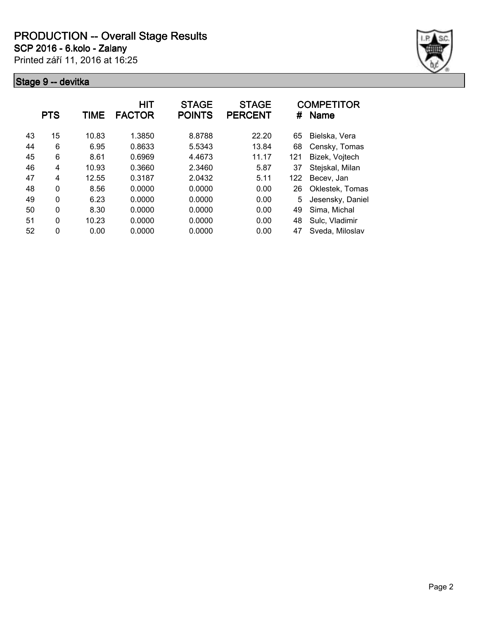**SCP 2016 - 6.kolo - Zalany**

Printed září 11, 2016 at 16:25



|    | <b>PTS</b>     | TIME  | <b>HIT</b><br><b>FACTOR</b> | <b>STAGE</b><br><b>POINTS</b> | <b>STAGE</b><br><b>PERCENT</b> | #   | <b>COMPETITOR</b><br><b>Name</b> |
|----|----------------|-------|-----------------------------|-------------------------------|--------------------------------|-----|----------------------------------|
| 43 | 15             | 10.83 | 1.3850                      | 8.8788                        | 22.20                          | 65  | Bielska, Vera                    |
| 44 | 6              | 6.95  | 0.8633                      | 5.5343                        | 13.84                          | 68  | Censky, Tomas                    |
| 45 | 6              | 8.61  | 0.6969                      | 4.4673                        | 11.17                          | 121 | Bizek, Vojtech                   |
| 46 | 4              | 10.93 | 0.3660                      | 2.3460                        | 5.87                           | 37  | Stejskal, Milan                  |
| 47 | $\overline{4}$ | 12.55 | 0.3187                      | 2.0432                        | 5.11                           | 122 | Becev, Jan                       |
| 48 | $\Omega$       | 8.56  | 0.0000                      | 0.0000                        | 0.00                           | 26  | Oklestek, Tomas                  |
| 49 | $\Omega$       | 6.23  | 0.0000                      | 0.0000                        | 0.00                           | 5   | Jesensky, Daniel                 |
| 50 | $\mathbf{0}$   | 8.30  | 0.0000                      | 0.0000                        | 0.00                           | 49  | Sima, Michal                     |
| 51 | $\Omega$       | 10.23 | 0.0000                      | 0.0000                        | 0.00                           | 48  | Sulc, Vladimir                   |
| 52 | 0              | 0.00  | 0.0000                      | 0.0000                        | 0.00                           | 47  | Sveda, Miloslav                  |
|    |                |       |                             |                               |                                |     |                                  |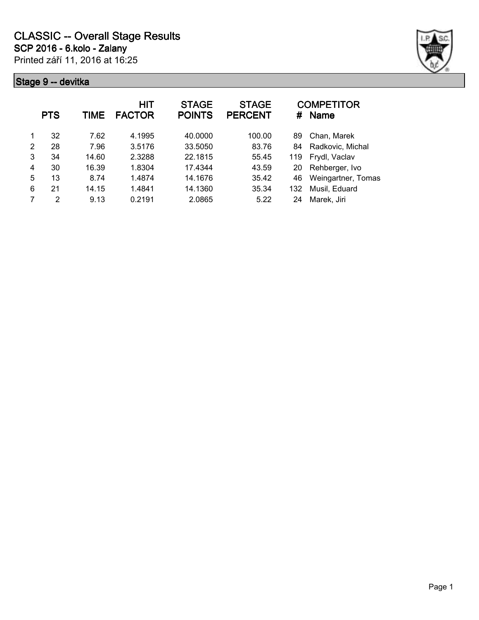

|   | <b>PTS</b>     | TIME  | HIT<br><b>FACTOR</b> | <b>STAGE</b><br><b>POINTS</b> | <b>STAGE</b><br><b>PERCENT</b> | #   | <b>COMPETITOR</b><br><b>Name</b> |
|---|----------------|-------|----------------------|-------------------------------|--------------------------------|-----|----------------------------------|
|   | 32             | 7.62  | 4.1995               | 40.0000                       | 100.00                         | 89  | Chan, Marek                      |
| 2 | 28             | 7.96  | 3.5176               | 33.5050                       | 83.76                          | 84  | Radkovic, Michal                 |
| 3 | 34             | 14.60 | 2.3288               | 22.1815                       | 55.45                          | 119 | Frydl, Vaclav                    |
| 4 | 30             | 16.39 | 1.8304               | 17.4344                       | 43.59                          | 20  | Rehberger, Ivo                   |
| 5 | 13             | 8.74  | 1.4874               | 14.1676                       | 35.42                          | 46  | Weingartner, Tomas               |
| 6 | 21             | 14.15 | 1.4841               | 14.1360                       | 35.34                          | 132 | Musil, Eduard                    |
|   | $\mathfrak{p}$ | 9.13  | 0.2191               | 2.0865                        | 5.22                           | 24  | Marek, Jiri                      |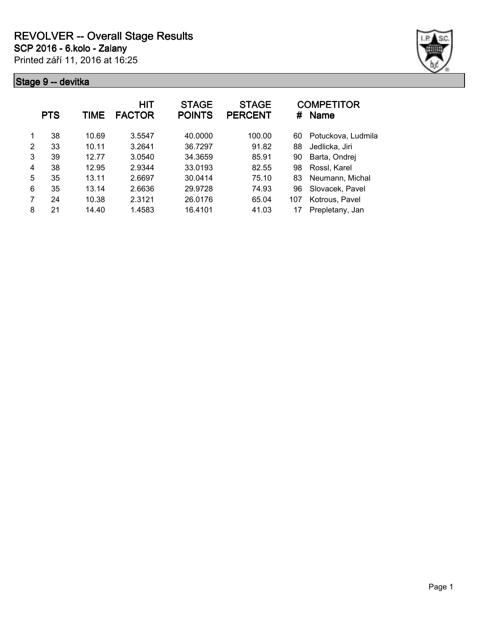

|   | <b>PTS</b> | TIME  | <b>HIT</b><br><b>FACTOR</b> | <b>STAGE</b><br><b>POINTS</b> | <b>STAGE</b><br><b>PERCENT</b> | #   | <b>COMPETITOR</b><br><b>Name</b> |
|---|------------|-------|-----------------------------|-------------------------------|--------------------------------|-----|----------------------------------|
| 1 | 38         | 10.69 | 3.5547                      | 40.0000                       | 100.00                         | 60  | Potuckova, Ludmila               |
| 2 | 33         | 10.11 | 3.2641                      | 36.7297                       | 91.82                          | 88  | Jedlicka, Jiri                   |
| 3 | 39         | 12.77 | 3.0540                      | 34.3659                       | 85.91                          | 90  | Barta, Ondrej                    |
| 4 | 38         | 12.95 | 2.9344                      | 33.0193                       | 82.55                          | 98  | Rossl, Karel                     |
| 5 | 35         | 13.11 | 2.6697                      | 30.0414                       | 75.10                          | 83  | Neumann, Michal                  |
| 6 | 35         | 13.14 | 2.6636                      | 29.9728                       | 74.93                          | 96  | Slovacek, Pavel                  |
| 7 | 24         | 10.38 | 2.3121                      | 26.0176                       | 65.04                          | 107 | Kotrous, Pavel                   |
| 8 | 21         | 14.40 | 1.4583                      | 16.4101                       | 41.03                          |     | Prepletany, Jan                  |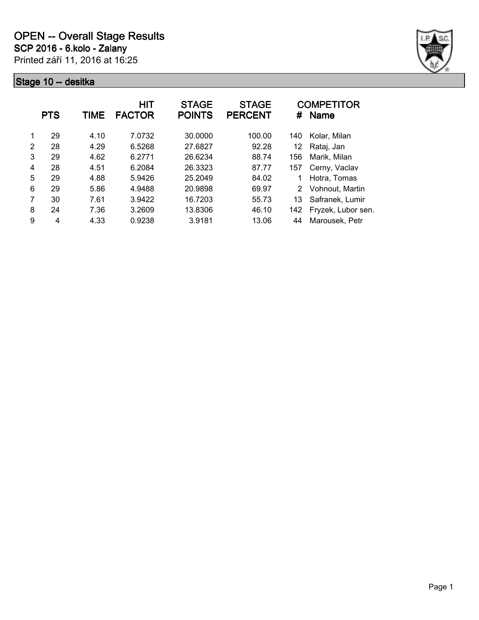

|   | <b>PTS</b> | TIME | <b>HIT</b><br><b>FACTOR</b> | <b>STAGE</b><br><b>POINTS</b> | <b>STAGE</b><br><b>PERCENT</b> | #   | <b>COMPETITOR</b><br><b>Name</b> |
|---|------------|------|-----------------------------|-------------------------------|--------------------------------|-----|----------------------------------|
| 1 | 29         | 4.10 | 7.0732                      | 30.0000                       | 100.00                         | 140 | Kolar, Milan                     |
| 2 | 28         | 4.29 | 6.5268                      | 27.6827                       | 92.28                          | 12  | Rataj, Jan                       |
| 3 | 29         | 4.62 | 6.2771                      | 26.6234                       | 88.74                          | 156 | Marik, Milan                     |
| 4 | 28         | 4.51 | 6.2084                      | 26.3323                       | 87.77                          | 157 | Cerny, Vaclav                    |
| 5 | 29         | 4.88 | 5.9426                      | 25.2049                       | 84.02                          | 1   | Hotra, Tomas                     |
| 6 | 29         | 5.86 | 4.9488                      | 20.9898                       | 69.97                          | 2   | Vohnout, Martin                  |
| 7 | 30         | 7.61 | 3.9422                      | 16.7203                       | 55.73                          | 13  | Safranek, Lumir                  |
| 8 | 24         | 7.36 | 3.2609                      | 13.8306                       | 46.10                          | 142 | Fryzek, Lubor sen.               |
| 9 | 4          | 4.33 | 0.9238                      | 3.9181                        | 13.06                          | 44  | Marousek, Petr                   |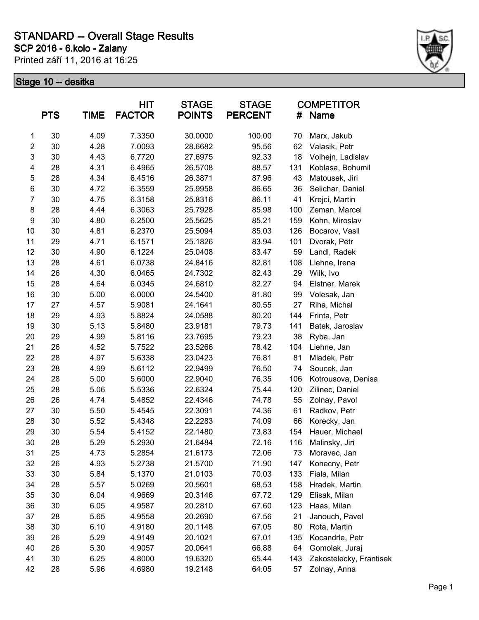### **SCP 2016 - 6.kolo - Zalany STANDARD -- Overall Stage Results**

Printed září 11, 2016 at 16:25



|                  | <b>PTS</b> | <b>TIME</b> | HIT<br><b>FACTOR</b> | <b>STAGE</b><br><b>POINTS</b> | <b>STAGE</b><br><b>PERCENT</b> | #   | <b>COMPETITOR</b><br>Name |
|------------------|------------|-------------|----------------------|-------------------------------|--------------------------------|-----|---------------------------|
| $\mathbf{1}$     | 30         | 4.09        | 7.3350               | 30.0000                       | 100.00                         | 70  | Marx, Jakub               |
| $\overline{c}$   | 30         | 4.28        | 7.0093               | 28.6682                       | 95.56                          | 62  | Valasik, Petr             |
| 3                | 30         | 4.43        | 6.7720               | 27.6975                       | 92.33                          | 18  | Volhejn, Ladislav         |
| 4                | 28         | 4.31        | 6.4965               | 26.5708                       | 88.57                          | 131 | Koblasa, Bohumil          |
| 5                | 28         | 4.34        | 6.4516               | 26.3871                       | 87.96                          | 43  | Matousek, Jiri            |
| $\,6$            | 30         | 4.72        | 6.3559               | 25.9958                       | 86.65                          | 36  | Selichar, Daniel          |
| $\overline{7}$   | 30         | 4.75        | 6.3158               | 25.8316                       | 86.11                          | 41  | Krejci, Martin            |
| 8                | 28         | 4.44        | 6.3063               | 25.7928                       | 85.98                          | 100 | Zeman, Marcel             |
| $\boldsymbol{9}$ | 30         | 4.80        | 6.2500               | 25.5625                       | 85.21                          | 159 | Kohn, Miroslav            |
| 10               | 30         | 4.81        | 6.2370               | 25.5094                       | 85.03                          | 126 | Bocarov, Vasil            |
| 11               | 29         | 4.71        | 6.1571               | 25.1826                       | 83.94                          | 101 | Dvorak, Petr              |
| 12               | 30         | 4.90        | 6.1224               | 25.0408                       | 83.47                          | 59  | Landl, Radek              |
| 13               | 28         | 4.61        | 6.0738               | 24.8416                       | 82.81                          | 108 | Liehne, Irena             |
| 14               | 26         | 4.30        | 6.0465               | 24.7302                       | 82.43                          | 29  | Wilk, Ivo                 |
| 15               | 28         | 4.64        | 6.0345               | 24.6810                       | 82.27                          | 94  | Elstner, Marek            |
| 16               | 30         | 5.00        | 6.0000               | 24.5400                       | 81.80                          | 99  | Volesak, Jan              |
| 17               | 27         | 4.57        | 5.9081               | 24.1641                       | 80.55                          | 27  | Riha, Michal              |
| 18               | 29         | 4.93        | 5.8824               | 24.0588                       | 80.20                          | 144 | Frinta, Petr              |
| 19               | 30         | 5.13        | 5.8480               | 23.9181                       | 79.73                          | 141 | Batek, Jaroslav           |
| 20               | 29         | 4.99        | 5.8116               | 23.7695                       | 79.23                          | 38  | Ryba, Jan                 |
| 21               | 26         | 4.52        | 5.7522               | 23.5266                       | 78.42                          | 104 | Liehne, Jan               |
| 22               | 28         | 4.97        | 5.6338               | 23.0423                       | 76.81                          | 81  | Mladek, Petr              |
| 23               | 28         | 4.99        | 5.6112               | 22.9499                       | 76.50                          | 74  | Soucek, Jan               |
| 24               | 28         | 5.00        | 5.6000               | 22.9040                       | 76.35                          | 106 | Kotrousova, Denisa        |
| 25               | 28         | 5.06        | 5.5336               | 22.6324                       | 75.44                          | 120 | Zilinec, Daniel           |
| 26               | 26         | 4.74        | 5.4852               | 22.4346                       | 74.78                          | 55  | Zolnay, Pavol             |
| 27               | 30         | 5.50        | 5.4545               | 22.3091                       | 74.36                          | 61  | Radkov, Petr              |
| 28               | 30         | 5.52        | 5.4348               | 22.2283                       | 74.09                          | 66  | Korecky, Jan              |
| 29               | 30         | 5.54        | 5.4152               | 22.1480                       | 73.83                          | 154 | Hauer, Michael            |
| 30               | 28         | 5.29        | 5.2930               | 21.6484                       | 72.16                          | 116 | Malinsky, Jiri            |
| 31               | 25         | 4.73        | 5.2854               | 21.6173                       | 72.06                          | 73  | Moravec, Jan              |
| 32               | 26         | 4.93        | 5.2738               | 21.5700                       | 71.90                          | 147 | Konecny, Petr             |
| 33               | 30         | 5.84        | 5.1370               | 21.0103                       | 70.03                          | 133 | Fiala, Milan              |
| 34               | 28         | 5.57        | 5.0269               | 20.5601                       | 68.53                          | 158 | Hradek, Martin            |
| 35               | 30         | 6.04        | 4.9669               | 20.3146                       | 67.72                          | 129 | Elisak, Milan             |
| 36               | 30         | 6.05        | 4.9587               | 20.2810                       | 67.60                          | 123 | Haas, Milan               |
| 37               | 28         | 5.65        | 4.9558               | 20.2690                       | 67.56                          | 21  | Janouch, Pavel            |
| 38               | 30         | 6.10        | 4.9180               | 20.1148                       | 67.05                          | 80  | Rota, Martin              |
| 39               | 26         | 5.29        | 4.9149               | 20.1021                       | 67.01                          | 135 | Kocandrle, Petr           |
| 40               | 26         | 5.30        | 4.9057               | 20.0641                       | 66.88                          | 64  | Gomolak, Juraj            |
| 41               | 30         | 6.25        | 4.8000               | 19.6320                       | 65.44                          | 143 | Zakostelecky, Frantisek   |
| 42               | 28         | 5.96        | 4.6980               | 19.2148                       | 64.05                          | 57  | Zolnay, Anna              |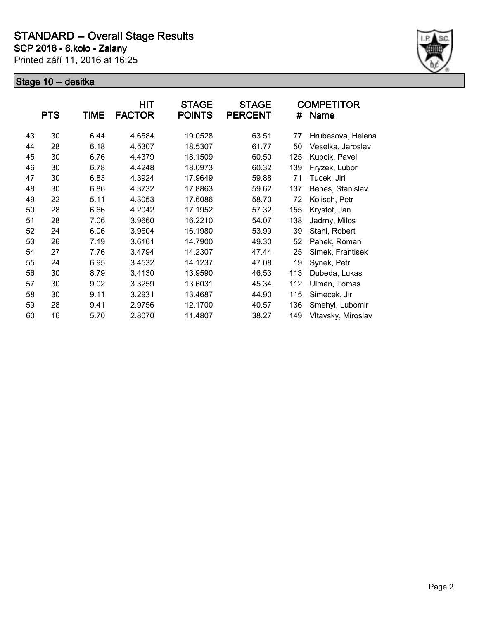

|    | <b>PTS</b> | TIME | HIT<br><b>FACTOR</b> | <b>STAGE</b><br><b>POINTS</b> | <b>STAGE</b><br><b>PERCENT</b> | #   | COMPETITOR<br><b>Name</b> |
|----|------------|------|----------------------|-------------------------------|--------------------------------|-----|---------------------------|
| 43 | 30         | 6.44 | 4.6584               | 19.0528                       | 63.51                          | 77  | Hrubesova, Helena         |
| 44 | 28         | 6.18 | 4.5307               | 18.5307                       | 61.77                          | 50  | Veselka, Jaroslav         |
| 45 | 30         | 6.76 | 4.4379               | 18.1509                       | 60.50                          | 125 | Kupcik, Pavel             |
| 46 | 30         | 6.78 | 4.4248               | 18.0973                       | 60.32                          | 139 | Fryzek, Lubor             |
| 47 | 30         | 6.83 | 4.3924               | 17.9649                       | 59.88                          | 71  | Tucek, Jiri               |
| 48 | 30         | 6.86 | 4.3732               | 17.8863                       | 59.62                          | 137 | Benes, Stanislav          |
| 49 | 22         | 5.11 | 4.3053               | 17.6086                       | 58.70                          | 72  | Kolisch, Petr             |
| 50 | 28         | 6.66 | 4.2042               | 17.1952                       | 57.32                          | 155 | Krystof, Jan              |
| 51 | 28         | 7.06 | 3.9660               | 16.2210                       | 54.07                          | 138 | Jadrny, Milos             |
| 52 | 24         | 6.06 | 3.9604               | 16.1980                       | 53.99                          | 39  | Stahl, Robert             |
| 53 | 26         | 7.19 | 3.6161               | 14.7900                       | 49.30                          | 52  | Panek, Roman              |
| 54 | 27         | 7.76 | 3.4794               | 14.2307                       | 47.44                          | 25  | Simek, Frantisek          |
| 55 | 24         | 6.95 | 3.4532               | 14.1237                       | 47.08                          | 19  | Synek, Petr               |
| 56 | 30         | 8.79 | 3.4130               | 13.9590                       | 46.53                          | 113 | Dubeda, Lukas             |
| 57 | 30         | 9.02 | 3.3259               | 13.6031                       | 45.34                          | 112 | Ulman, Tomas              |
| 58 | 30         | 9.11 | 3.2931               | 13.4687                       | 44.90                          | 115 | Simecek, Jiri             |
| 59 | 28         | 9.41 | 2.9756               | 12.1700                       | 40.57                          | 136 | Smehyl, Lubomir           |
| 60 | 16         | 5.70 | 2.8070               | 11.4807                       | 38.27                          | 149 | Vltavsky, Miroslav        |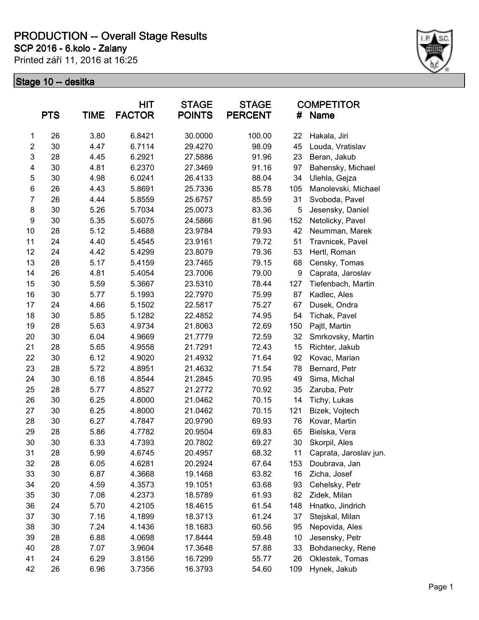**SCP 2016 - 6.kolo - Zalany**

Printed září 11, 2016 at 16:25



|                | <b>PTS</b> | <b>TIME</b> | HIT<br><b>FACTOR</b> | <b>STAGE</b><br><b>POINTS</b> | <b>STAGE</b><br><b>PERCENT</b> | #   | <b>COMPETITOR</b><br><b>Name</b> |
|----------------|------------|-------------|----------------------|-------------------------------|--------------------------------|-----|----------------------------------|
| 1              | 26         | 3.80        | 6.8421               | 30.0000                       | 100.00                         | 22  | Hakala, Jiri                     |
| $\overline{c}$ | 30         | 4.47        | 6.7114               | 29.4270                       | 98.09                          | 45  | Louda, Vratislav                 |
| 3              | 28         | 4.45        | 6.2921               | 27.5886                       | 91.96                          | 23  | Beran, Jakub                     |
| 4              | 30         | 4.81        | 6.2370               | 27.3469                       | 91.16                          | 97  | Bahensky, Michael                |
| 5              | 30         | 4.98        | 6.0241               | 26.4133                       | 88.04                          | 34  | Ulehla, Gejza                    |
| $\,6$          | 26         | 4.43        | 5.8691               | 25.7336                       | 85.78                          | 105 | Manolevski, Michael              |
| $\overline{7}$ | 26         | 4.44        | 5.8559               | 25.6757                       | 85.59                          | 31  | Svoboda, Pavel                   |
| 8              | 30         | 5.26        | 5.7034               | 25.0073                       | 83.36                          | 5   | Jesensky, Daniel                 |
| 9              | 30         | 5.35        | 5.6075               | 24.5866                       | 81.96                          | 152 | Netolicky, Pavel                 |
| 10             | 28         | 5.12        | 5.4688               | 23.9784                       | 79.93                          | 42  | Neumman, Marek                   |
| 11             | 24         | 4.40        | 5.4545               | 23.9161                       | 79.72                          | 51  | Travnicek, Pavel                 |
| 12             | 24         | 4.42        | 5.4299               | 23.8079                       | 79.36                          | 53  | Hertl, Roman                     |
| 13             | 28         | 5.17        | 5.4159               | 23.7465                       | 79.15                          | 68  | Censky, Tomas                    |
| 14             | 26         | 4.81        | 5.4054               | 23.7006                       | 79.00                          | 9   | Caprata, Jaroslav                |
| 15             | 30         | 5.59        | 5.3667               | 23.5310                       | 78.44                          | 127 | Tiefenbach, Martin               |
| 16             | 30         | 5.77        | 5.1993               | 22.7970                       | 75.99                          | 87  | Kadlec, Ales                     |
| 17             | 24         | 4.66        | 5.1502               | 22.5817                       | 75.27                          | 67  | Dusek, Ondra                     |
| 18             | 30         | 5.85        | 5.1282               | 22.4852                       | 74.95                          | 54  | Tichak, Pavel                    |
| 19             | 28         | 5.63        | 4.9734               | 21.8063                       | 72.69                          | 150 | Pajtl, Martin                    |
| 20             | 30         | 6.04        | 4.9669               | 21.7779                       | 72.59                          | 32  | Smrkovsky, Martin                |
| 21             | 28         | 5.65        | 4.9558               | 21.7291                       | 72.43                          | 15  | Richter, Jakub                   |
| 22             | 30         | 6.12        | 4.9020               | 21.4932                       | 71.64                          | 92  | Kovac, Marian                    |
| 23             | 28         | 5.72        | 4.8951               | 21.4632                       | 71.54                          | 78  | Bernard, Petr                    |
| 24             | 30         | 6.18        | 4.8544               | 21.2845                       | 70.95                          | 49  | Sima, Michal                     |
| 25             | 28         | 5.77        | 4.8527               | 21.2772                       | 70.92                          | 35  | Zaruba, Petr                     |
| 26             | 30         | 6.25        | 4.8000               | 21.0462                       | 70.15                          | 14  | Tichy, Lukas                     |
| 27             | 30         | 6.25        | 4.8000               | 21.0462                       | 70.15                          | 121 | Bizek, Vojtech                   |
| 28             | 30         | 6.27        | 4.7847               | 20.9790                       | 69.93                          | 76  | Kovar, Martin                    |
| 29             | 28         | 5.86        | 4.7782               | 20.9504                       | 69.83                          | 65  | Bielska, Vera                    |
| 30             | 30         | 6.33        | 4.7393               | 20.7802                       | 69.27                          | 30  | Skorpil, Ales                    |
| 31             | 28         | 5.99        | 4.6745               | 20.4957                       | 68.32                          | 11  | Caprata, Jaroslav jun.           |
| 32             | 28         | 6.05        | 4.6281               | 20.2924                       | 67.64                          | 153 | Doubrava, Jan                    |
| 33             | 30         | 6.87        | 4.3668               | 19.1468                       | 63.82                          | 16  | Zicha, Josef                     |
| 34             | 20         | 4.59        | 4.3573               | 19.1051                       | 63.68                          | 93  | Cehelsky, Petr                   |
| 35             | 30         | 7.08        | 4.2373               | 18.5789                       | 61.93                          | 82  | Zidek, Milan                     |
| 36             | 24         | 5.70        | 4.2105               | 18.4615                       | 61.54                          | 148 | Hnatko, Jindrich                 |
| 37             | 30         | 7.16        | 4.1899               | 18.3713                       | 61.24                          | 37  | Stejskal, Milan                  |
| 38             | 30         | 7.24        | 4.1436               | 18.1683                       | 60.56                          | 95  | Nepovida, Ales                   |
| 39             | 28         | 6.88        | 4.0698               | 17.8444                       | 59.48                          | 10  | Jesensky, Petr                   |
| 40             | 28         | 7.07        | 3.9604               | 17.3648                       | 57.88                          | 33  | Bohdanecky, Rene                 |
| 41             | 24         | 6.29        | 3.8156               | 16.7299                       | 55.77                          | 26  | Oklestek, Tomas                  |
| 42             | 26         | 6.96        | 3.7356               | 16.3793                       | 54.60                          | 109 | Hynek, Jakub                     |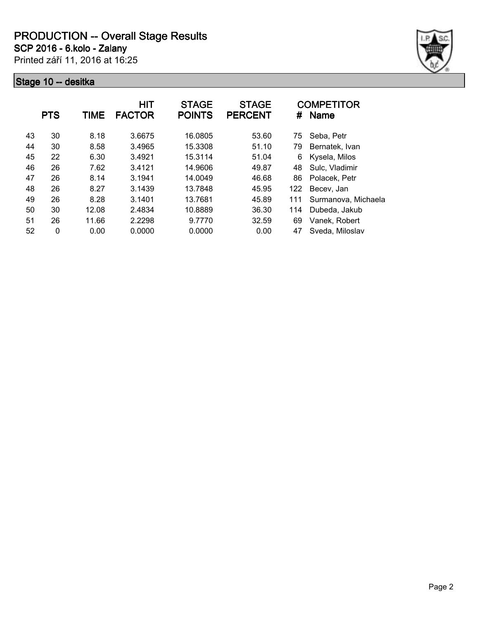**SCP 2016 - 6.kolo - Zalany**

Printed září 11, 2016 at 16:25



|    | <b>PTS</b>   | TIME  | <b>HIT</b><br><b>FACTOR</b> | <b>STAGE</b><br><b>POINTS</b> | <b>STAGE</b><br><b>PERCENT</b> | #   | <b>COMPETITOR</b><br><b>Name</b> |
|----|--------------|-------|-----------------------------|-------------------------------|--------------------------------|-----|----------------------------------|
| 43 | 30           | 8.18  | 3.6675                      | 16.0805                       | 53.60                          | 75  | Seba, Petr                       |
| 44 | 30           | 8.58  | 3.4965                      | 15.3308                       | 51.10                          | 79  | Bernatek, Ivan                   |
| 45 | 22           | 6.30  | 3.4921                      | 15.3114                       | 51.04                          | 6   | Kysela, Milos                    |
| 46 | 26           | 7.62  | 3.4121                      | 14.9606                       | 49.87                          | 48  | Sulc, Vladimir                   |
| 47 | 26           | 8.14  | 3.1941                      | 14.0049                       | 46.68                          | 86  | Polacek, Petr                    |
| 48 | 26           | 8.27  | 3.1439                      | 13.7848                       | 45.95                          | 122 | Becev, Jan                       |
| 49 | 26           | 8.28  | 3.1401                      | 13.7681                       | 45.89                          | 111 | Surmanova, Michaela              |
| 50 | 30           | 12.08 | 2.4834                      | 10.8889                       | 36.30                          | 114 | Dubeda, Jakub                    |
| 51 | 26           | 11.66 | 2.2298                      | 9.7770                        | 32.59                          | 69  | Vanek, Robert                    |
| 52 | $\mathbf{0}$ | 0.00  | 0.0000                      | 0.0000                        | 0.00                           | 47  | Sveda, Miloslav                  |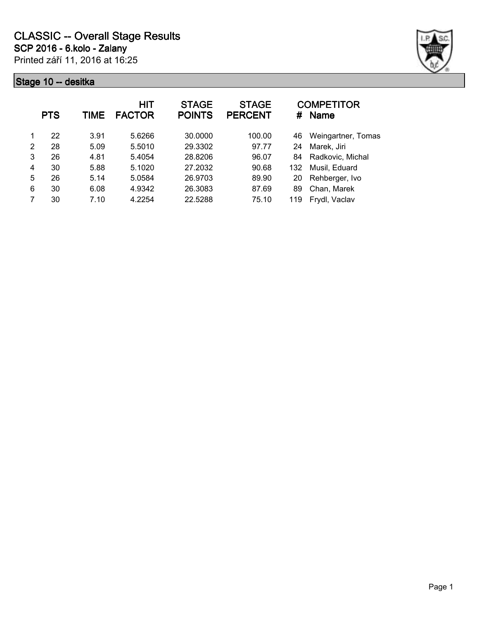

|   | <b>PTS</b> | TIME | HIT<br><b>FACTOR</b> | <b>STAGE</b><br><b>POINTS</b> | <b>STAGE</b><br><b>PERCENT</b> | #   | <b>COMPETITOR</b><br><b>Name</b> |
|---|------------|------|----------------------|-------------------------------|--------------------------------|-----|----------------------------------|
| 1 | 22         | 3.91 | 5.6266               | 30.0000                       | 100.00                         | 46  | Weingartner, Tomas               |
| 2 | 28         | 5.09 | 5.5010               | 29.3302                       | 97.77                          | 24  | Marek, Jiri                      |
| 3 | 26         | 4.81 | 5.4054               | 28.8206                       | 96.07                          | 84  | Radkovic, Michal                 |
| 4 | 30         | 5.88 | 5.1020               | 27.2032                       | 90.68                          | 132 | Musil, Eduard                    |
| 5 | 26         | 5.14 | 5.0584               | 26.9703                       | 89.90                          | 20  | Rehberger, Ivo                   |
| 6 | 30         | 6.08 | 4.9342               | 26.3083                       | 87.69                          | 89  | Chan, Marek                      |
|   | 30         | 7.10 | 4.2254               | 22.5288                       | 75.10                          | 119 | Frydl, Vaclav                    |